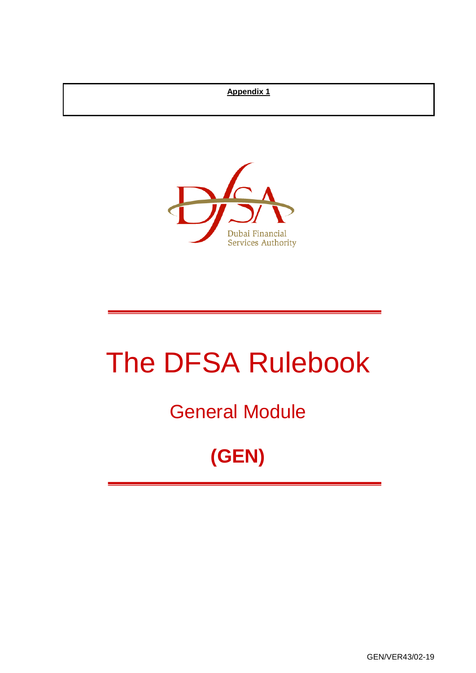## **Appendix 1**



# The DFSA Rulebook

## General Module

## **(GEN)**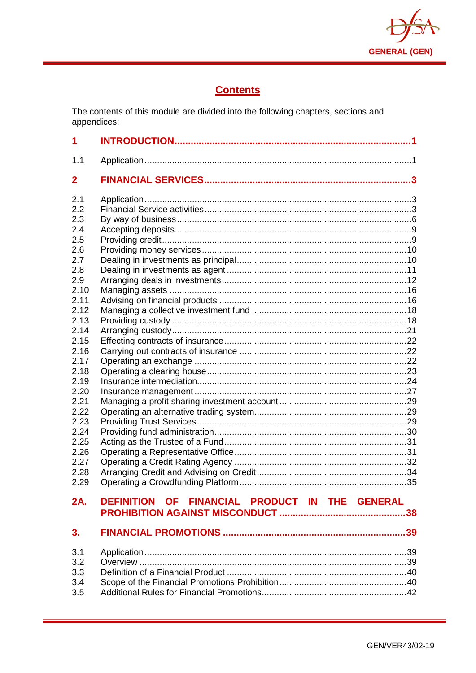

## **Contents**

The contents of this module are divided into the following chapters, sections and appendices:

| 1                                                                                                                                                                                                                   |                                                |  |
|---------------------------------------------------------------------------------------------------------------------------------------------------------------------------------------------------------------------|------------------------------------------------|--|
| 1.1                                                                                                                                                                                                                 |                                                |  |
| 2                                                                                                                                                                                                                   |                                                |  |
| 2.1<br>2.2<br>2.3<br>2.4<br>2.5<br>2.6<br>2.7<br>2.8<br>2.9<br>2.10<br>2.11<br>2.12<br>2.13<br>2.14<br>2.15<br>2.16<br>2.17<br>2.18<br>2.19<br>2.20<br>2.21<br>2.22<br>2.23<br>2.24<br>2.25<br>2.26<br>2.27<br>2.28 |                                                |  |
| 2.29                                                                                                                                                                                                                |                                                |  |
| 2A.                                                                                                                                                                                                                 | DEFINITION OF FINANCIAL PRODUCT IN THE GENERAL |  |
| 3.                                                                                                                                                                                                                  |                                                |  |
| 3.1<br>3.2<br>3.3<br>3.4<br>3.5                                                                                                                                                                                     |                                                |  |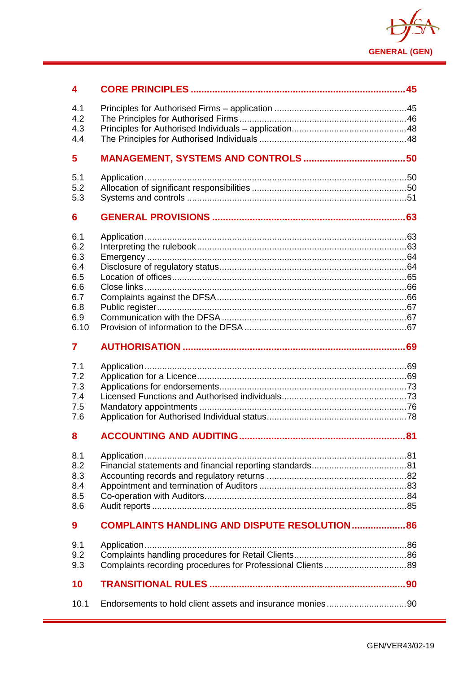

| 4                                                                   |                                                      |  |
|---------------------------------------------------------------------|------------------------------------------------------|--|
| 4.1<br>4.2<br>4.3                                                   |                                                      |  |
| 4.4                                                                 |                                                      |  |
| 5                                                                   |                                                      |  |
| 5.1<br>5.2<br>5.3                                                   |                                                      |  |
| 6                                                                   |                                                      |  |
| 6.1<br>6.2<br>6.3<br>6.4<br>6.5<br>6.6<br>6.7<br>6.8<br>6.9<br>6.10 |                                                      |  |
| 7                                                                   |                                                      |  |
| 7.1<br>7.2<br>7.3<br>7.4<br>7.5<br>7.6                              |                                                      |  |
| 8                                                                   |                                                      |  |
| 8.1<br>8.2<br>8.3<br>8.4<br>8.5<br>8.6                              |                                                      |  |
| 9                                                                   | <b>COMPLAINTS HANDLING AND DISPUTE RESOLUTION 86</b> |  |
| 9.1<br>9.2<br>9.3                                                   |                                                      |  |
| 10                                                                  |                                                      |  |
| 10.1                                                                |                                                      |  |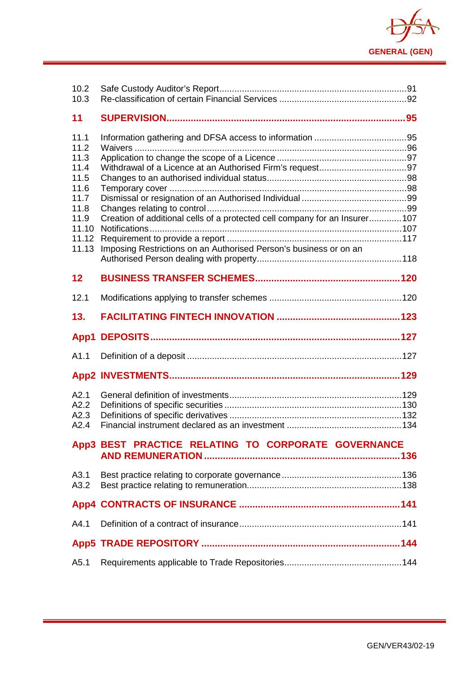

| 10.2<br>10.3                                                                                    |                                                                                                                                                  |  |
|-------------------------------------------------------------------------------------------------|--------------------------------------------------------------------------------------------------------------------------------------------------|--|
| 11                                                                                              |                                                                                                                                                  |  |
| 11.1<br>11.2<br>11.3<br>11.4<br>11.5<br>11.6<br>11.7<br>11.8<br>11.9<br>11.10<br>11.12<br>11.13 | Creation of additional cells of a protected cell company for an Insurer 107<br>Imposing Restrictions on an Authorised Person's business or on an |  |
| 12                                                                                              |                                                                                                                                                  |  |
| 12.1                                                                                            |                                                                                                                                                  |  |
| 13.                                                                                             |                                                                                                                                                  |  |
|                                                                                                 |                                                                                                                                                  |  |
| App1                                                                                            |                                                                                                                                                  |  |
| A1.1                                                                                            |                                                                                                                                                  |  |
|                                                                                                 |                                                                                                                                                  |  |
| A2.1<br>A2.2<br>A2.3<br>A2.4                                                                    |                                                                                                                                                  |  |
|                                                                                                 | App3 BEST PRACTICE RELATING TO CORPORATE GOVERNANCE                                                                                              |  |
| A3.1<br>A3.2                                                                                    |                                                                                                                                                  |  |
|                                                                                                 |                                                                                                                                                  |  |
| A4.1                                                                                            |                                                                                                                                                  |  |
|                                                                                                 |                                                                                                                                                  |  |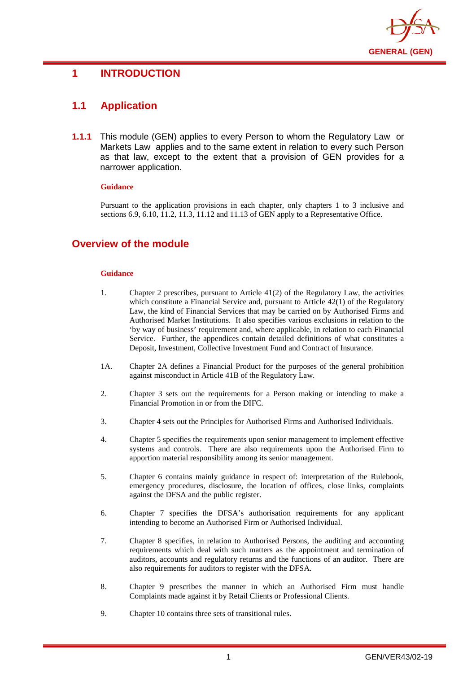

## <span id="page-4-0"></span>**1 INTRODUCTION**

## <span id="page-4-1"></span>**1.1 Application**

**1.1.1** This module (GEN) applies to every Person to whom the Regulatory Law or Markets Law applies and to the same extent in relation to every such Person as that law, except to the extent that a provision of GEN provides for a narrower application.

#### **Guidance**

Pursuant to the application provisions in each chapter, only chapters 1 to 3 inclusive and sections 6.9, 6.10, 11.2, 11.3, 11.12 and 11.13 of GEN apply to a Representative Office.

## **Overview of the module**

#### **Guidance**

- 1. Chapter 2 prescribes, pursuant to Article 41(2) of the Regulatory Law, the activities which constitute a Financial Service and, pursuant to Article 42(1) of the Regulatory Law, the kind of Financial Services that may be carried on by Authorised Firms and Authorised Market Institutions. It also specifies various exclusions in relation to the 'by way of business' requirement and, where applicable, in relation to each Financial Service. Further, the appendices contain detailed definitions of what constitutes a Deposit, Investment, Collective Investment Fund and Contract of Insurance.
- 1A. Chapter 2A defines a Financial Product for the purposes of the general prohibition against misconduct in Article 41B of the Regulatory Law.
- 2. Chapter 3 sets out the requirements for a Person making or intending to make a Financial Promotion in or from the DIFC.
- 3. Chapter 4 sets out the Principles for Authorised Firms and Authorised Individuals.
- 4. Chapter 5 specifies the requirements upon senior management to implement effective systems and controls. There are also requirements upon the Authorised Firm to apportion material responsibility among its senior management.
- 5. Chapter 6 contains mainly guidance in respect of: interpretation of the Rulebook, emergency procedures, disclosure, the location of offices, close links, complaints against the DFSA and the public register.
- 6. Chapter 7 specifies the DFSA's authorisation requirements for any applicant intending to become an Authorised Firm or Authorised Individual.
- 7. Chapter 8 specifies, in relation to Authorised Persons, the auditing and accounting requirements which deal with such matters as the appointment and termination of auditors, accounts and regulatory returns and the functions of an auditor. There are also requirements for auditors to register with the DFSA.
- 8. Chapter 9 prescribes the manner in which an Authorised Firm must handle Complaints made against it by Retail Clients or Professional Clients.
- 9. Chapter 10 contains three sets of transitional rules.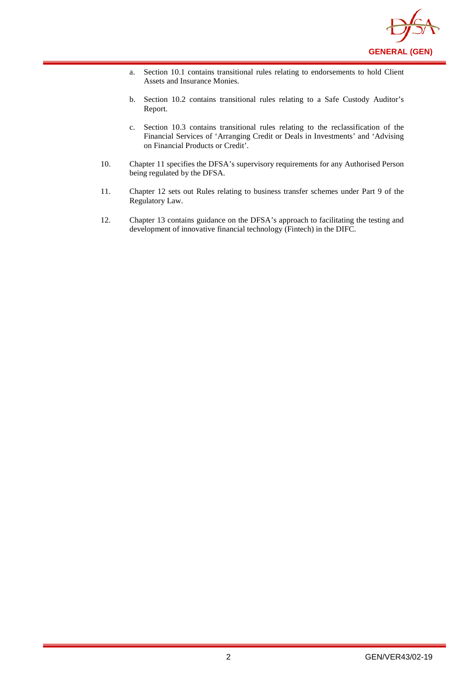

- a. Section 10.1 contains transitional rules relating to endorsements to hold Client Assets and Insurance Monies.
- b. Section 10.2 contains transitional rules relating to a Safe Custody Auditor's Report.
- c. Section 10.3 contains transitional rules relating to the reclassification of the Financial Services of 'Arranging Credit or Deals in Investments' and 'Advising on Financial Products or Credit'.
- 10. Chapter 11 specifies the DFSA's supervisory requirements for any Authorised Person being regulated by the DFSA.
- 11. Chapter 12 sets out Rules relating to business transfer schemes under Part 9 of the Regulatory Law.
- 12. Chapter 13 contains guidance on the DFSA's approach to facilitating the testing and development of innovative financial technology (Fintech) in the DIFC.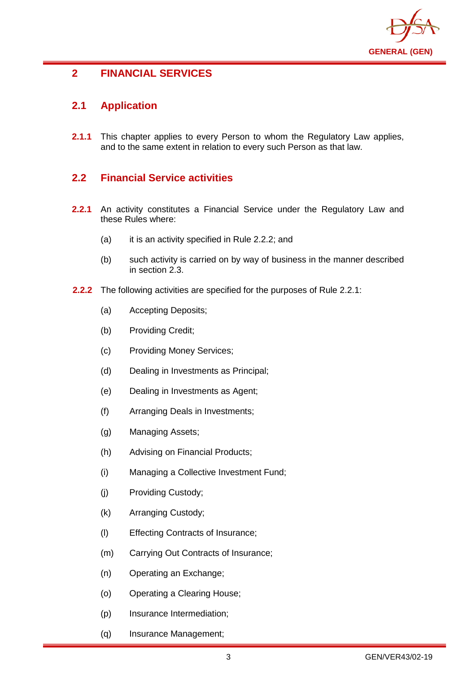

## <span id="page-6-0"></span>**2 FINANCIAL SERVICES**

## <span id="page-6-1"></span>**2.1 Application**

**2.1.1** This chapter applies to every Person to whom the Regulatory Law applies, and to the same extent in relation to every such Person as that law.

## <span id="page-6-2"></span>**2.2 Financial Service activities**

- **2.2.1** An activity constitutes a Financial Service under the Regulatory Law and these Rules where:
	- (a) it is an activity specified in Rule 2.2.2; and
	- (b) such activity is carried on by way of business in the manner described in section 2.3.
- **2.2.2** The following activities are specified for the purposes of Rule 2.2.1:
	- (a) Accepting Deposits;
	- (b) Providing Credit;
	- (c) Providing Money Services;
	- (d) Dealing in Investments as Principal;
	- (e) Dealing in Investments as Agent;
	- (f) Arranging Deals in Investments;
	- (g) Managing Assets;
	- (h) Advising on Financial Products;
	- (i) Managing a Collective Investment Fund;
	- (j) Providing Custody;
	- (k) Arranging Custody;
	- (l) Effecting Contracts of Insurance;
	- (m) Carrying Out Contracts of Insurance;
	- (n) Operating an Exchange;
	- (o) Operating a Clearing House;
	- (p) Insurance Intermediation;
	- (q) Insurance Management;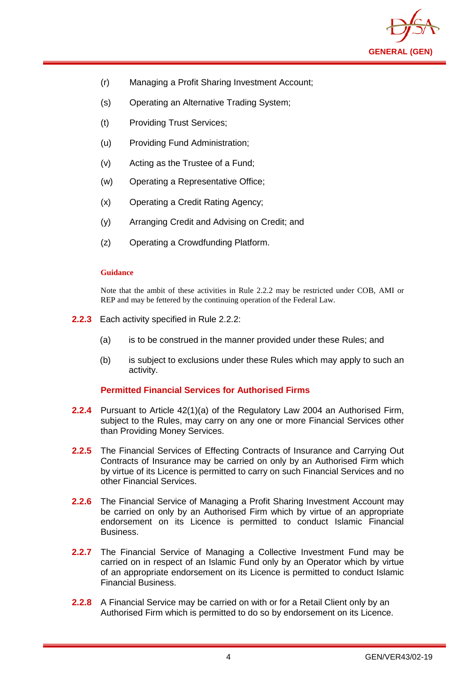

- (r) Managing a Profit Sharing Investment Account;
- (s) Operating an Alternative Trading System;
- (t) Providing Trust Services;
- (u) Providing Fund Administration;
- (v) Acting as the Trustee of a Fund;
- (w) Operating a Representative Office;
- (x) Operating a Credit Rating Agency;
- (y) Arranging Credit and Advising on Credit; and
- (z) Operating a Crowdfunding Platform.

Note that the ambit of these activities in Rule 2.2.2 may be restricted under COB, AMI or REP and may be fettered by the continuing operation of the Federal Law.

- **2.2.3** Each activity specified in Rule 2.2.2:
	- (a) is to be construed in the manner provided under these Rules; and
	- (b) is subject to exclusions under these Rules which may apply to such an activity.

#### **Permitted Financial Services for Authorised Firms**

- **2.2.4** Pursuant to Article 42(1)(a) of the Regulatory Law 2004 an Authorised Firm, subject to the Rules, may carry on any one or more Financial Services other than Providing Money Services.
- **2.2.5** The Financial Services of Effecting Contracts of Insurance and Carrying Out Contracts of Insurance may be carried on only by an Authorised Firm which by virtue of its Licence is permitted to carry on such Financial Services and no other Financial Services.
- **2.2.6** The Financial Service of Managing a Profit Sharing Investment Account may be carried on only by an Authorised Firm which by virtue of an appropriate endorsement on its Licence is permitted to conduct Islamic Financial Business.
- **2.2.7** The Financial Service of Managing a Collective Investment Fund may be carried on in respect of an Islamic Fund only by an Operator which by virtue of an appropriate endorsement on its Licence is permitted to conduct Islamic Financial Business.
- **2.2.8** A Financial Service may be carried on with or for a Retail Client only by an Authorised Firm which is permitted to do so by endorsement on its Licence.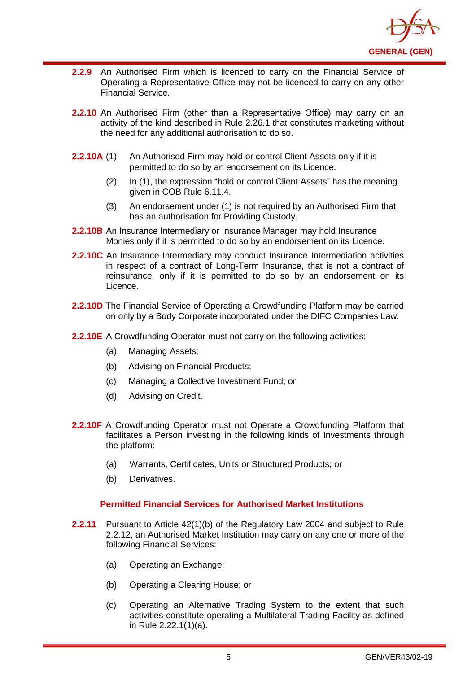

- **2.2.9** An Authorised Firm which is licenced to carry on the Financial Service of Operating a Representative Office may not be licenced to carry on any other Financial Service.
- **2.2.10** An Authorised Firm (other than a Representative Office) may carry on an activity of the kind described in Rule 2.26.1 that constitutes marketing without the need for any additional authorisation to do so.
- **2.2.10A** (1) An Authorised Firm may hold or control Client Assets only if it is permitted to do so by an endorsement on its Licence.
	- (2) In (1), the expression "hold or control Client Assets" has the meaning given in COB Rule 6.11.4.
	- (3) An endorsement under (1) is not required by an Authorised Firm that has an authorisation for Providing Custody.
- **2.2.10B** An Insurance Intermediary or Insurance Manager may hold Insurance Monies only if it is permitted to do so by an endorsement on its Licence.
- **2.2.10C** An Insurance Intermediary may conduct Insurance Intermediation activities in respect of a contract of Long-Term Insurance, that is not a contract of reinsurance, only if it is permitted to do so by an endorsement on its Licence.
- **2.2.10D** The Financial Service of Operating a Crowdfunding Platform may be carried on only by a Body Corporate incorporated under the DIFC Companies Law.
- **2.2.10E** A Crowdfunding Operator must not carry on the following activities:
	- (a) Managing Assets;
	- (b) Advising on Financial Products;
	- (c) Managing a Collective Investment Fund; or
	- (d) Advising on Credit.
- **2.2.10F** A Crowdfunding Operator must not Operate a Crowdfunding Platform that facilitates a Person investing in the following kinds of Investments through the platform:
	- (a) Warrants, Certificates, Units or Structured Products; or
	- (b) Derivatives.

#### **Permitted Financial Services for Authorised Market Institutions**

- **2.2.11** Pursuant to Article 42(1)(b) of the Regulatory Law 2004 and subject to Rule 2.2.12, an Authorised Market Institution may carry on any one or more of the following Financial Services:
	- (a) Operating an Exchange;
	- (b) Operating a Clearing House; or
	- (c) Operating an Alternative Trading System to the extent that such activities constitute operating a Multilateral Trading Facility as defined in Rule 2.22.1(1)(a).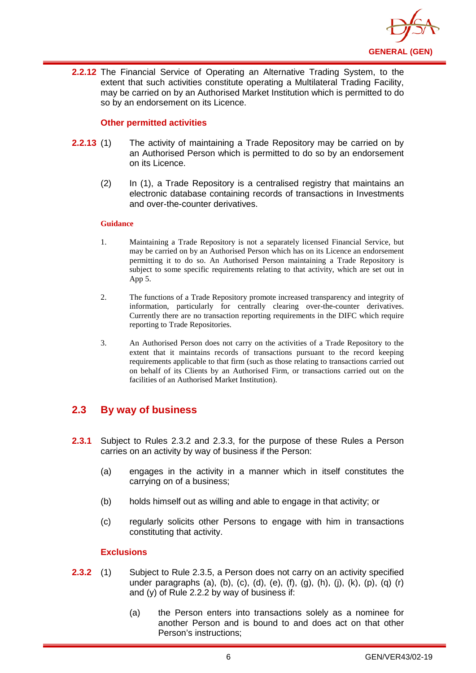

**2.2.12** The Financial Service of Operating an Alternative Trading System, to the extent that such activities constitute operating a Multilateral Trading Facility, may be carried on by an Authorised Market Institution which is permitted to do so by an endorsement on its Licence.

#### **Other permitted activities**

- **2.2.13** (1) The activity of maintaining a Trade Repository may be carried on by an Authorised Person which is permitted to do so by an endorsement on its Licence.
	- (2) In (1), a Trade Repository is a centralised registry that maintains an electronic database containing records of transactions in Investments and over-the-counter derivatives.

#### **Guidance**

- 1. Maintaining a Trade Repository is not a separately licensed Financial Service, but may be carried on by an Authorised Person which has on its Licence an endorsement permitting it to do so. An Authorised Person maintaining a Trade Repository is subject to some specific requirements relating to that activity, which are set out in App 5.
- 2. The functions of a Trade Repository promote increased transparency and integrity of information, particularly for centrally clearing over-the-counter derivatives. Currently there are no transaction reporting requirements in the DIFC which require reporting to Trade Repositories.
- 3. An Authorised Person does not carry on the activities of a Trade Repository to the extent that it maintains records of transactions pursuant to the record keeping requirements applicable to that firm (such as those relating to transactions carried out on behalf of its Clients by an Authorised Firm, or transactions carried out on the facilities of an Authorised Market Institution).

## <span id="page-9-0"></span>**2.3 By way of business**

- **2.3.1** Subject to Rules 2.3.2 and 2.3.3, for the purpose of these Rules a Person carries on an activity by way of business if the Person:
	- (a) engages in the activity in a manner which in itself constitutes the carrying on of a business;
	- (b) holds himself out as willing and able to engage in that activity; or
	- (c) regularly solicits other Persons to engage with him in transactions constituting that activity.

#### **Exclusions**

- **2.3.2** (1) Subject to Rule 2.3.5, a Person does not carry on an activity specified under paragraphs (a), (b), (c), (d), (e), (f), (g), (h), (j), (k), (p), (q) (r) and (y) of Rule 2.2.2 by way of business if:
	- (a) the Person enters into transactions solely as a nominee for another Person and is bound to and does act on that other Person's instructions;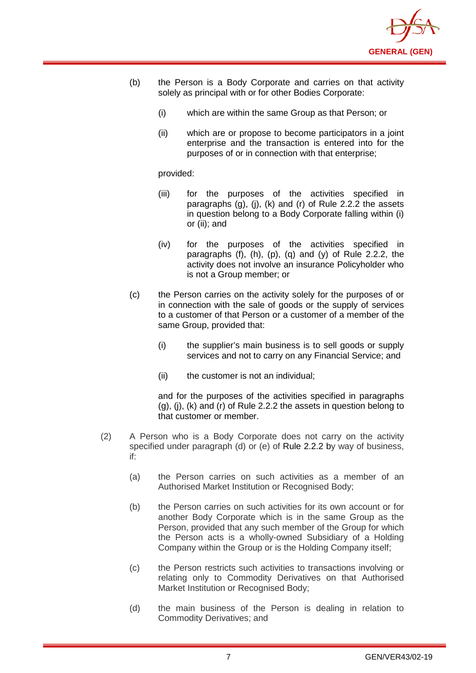

- (b) the Person is a Body Corporate and carries on that activity solely as principal with or for other Bodies Corporate:
	- (i) which are within the same Group as that Person; or
	- (ii) which are or propose to become participators in a joint enterprise and the transaction is entered into for the purposes of or in connection with that enterprise;

provided:

- (iii) for the purposes of the activities specified in paragraphs (g), (j), (k) and (r) of Rule 2.2.2 the assets in question belong to a Body Corporate falling within (i) or (ii); and
- (iv) for the purposes of the activities specified in paragraphs  $(f)$ ,  $(h)$ ,  $(p)$ ,  $(q)$  and  $(y)$  of Rule 2.2.2, the activity does not involve an insurance Policyholder who is not a Group member; or
- (c) the Person carries on the activity solely for the purposes of or in connection with the sale of goods or the supply of services to a customer of that Person or a customer of a member of the same Group, provided that:
	- (i) the supplier's main business is to sell goods or supply services and not to carry on any Financial Service; and
	- (ii) the customer is not an individual;

and for the purposes of the activities specified in paragraphs (g), (j), (k) and (r) of Rule 2.2.2 the assets in question belong to that customer or member.

- (2) A Person who is a Body Corporate does not carry on the activity specified under paragraph (d) or (e) of [Rule 2.2.2](http://www.complinet.com/dfsa/display/display.html?rbid=1547&element_id=1854) by way of business, if:
	- (a) the Person carries on such activities as a member of an Authorised Market Institution or Recognised Body;
	- (b) the Person carries on such activities for its own account or for another Body Corporate which is in the same Group as the Person, provided that any such member of the Group for which the Person acts is a wholly-owned Subsidiary of a Holding Company within the Group or is the Holding Company itself;
	- (c) the Person restricts such activities to transactions involving or relating only to Commodity Derivatives on that Authorised Market Institution or Recognised Body;
	- (d) the main business of the Person is dealing in relation to Commodity Derivatives; and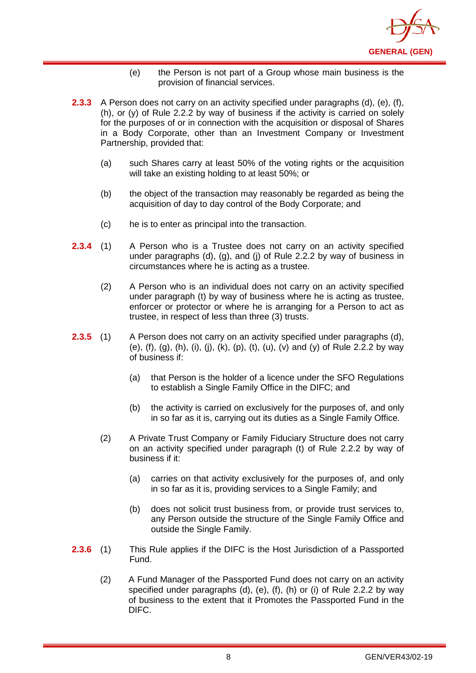

- (e) the Person is not part of a Group whose main business is the provision of financial services.
- **2.3.3** A Person does not carry on an activity specified under paragraphs (d), (e), (f), (h), or (y) of Rule 2.2.2 by way of business if the activity is carried on solely for the purposes of or in connection with the acquisition or disposal of Shares in a Body Corporate, other than an Investment Company or Investment Partnership, provided that:
	- (a) such Shares carry at least 50% of the voting rights or the acquisition will take an existing holding to at least 50%; or
	- (b) the object of the transaction may reasonably be regarded as being the acquisition of day to day control of the Body Corporate; and
	- (c) he is to enter as principal into the transaction.
- **2.3.4** (1) A Person who is a Trustee does not carry on an activity specified under paragraphs (d), (g), and (j) of Rule 2.2.2 by way of business in circumstances where he is acting as a trustee.
	- (2) A Person who is an individual does not carry on an activity specified under paragraph (t) by way of business where he is acting as trustee, enforcer or protector or where he is arranging for a Person to act as trustee, in respect of less than three (3) trusts.
- **2.3.5** (1) A Person does not carry on an activity specified under paragraphs (d), (e), (f), (g), (h), (i), (j), (k), (p), (t), (u), (v) and (y) of Rule 2.2.2 by way of business if:
	- (a) that Person is the holder of a licence under the SFO Regulations to establish a Single Family Office in the DIFC; and
	- (b) the activity is carried on exclusively for the purposes of, and only in so far as it is, carrying out its duties as a Single Family Office.
	- (2) A Private Trust Company or Family Fiduciary Structure does not carry on an activity specified under paragraph (t) of Rule 2.2.2 by way of business if it:
		- (a) carries on that activity exclusively for the purposes of, and only in so far as it is, providing services to a Single Family; and
		- (b) does not solicit trust business from, or provide trust services to, any Person outside the structure of the Single Family Office and outside the Single Family.
- **2.3.6** (1) This Rule applies if the DIFC is the Host Jurisdiction of a Passported Fund.
	- (2) A Fund Manager of the Passported Fund does not carry on an activity specified under paragraphs (d), (e), (f), (h) or (i) of Rule 2.2.2 by way of business to the extent that it Promotes the Passported Fund in the DIFC.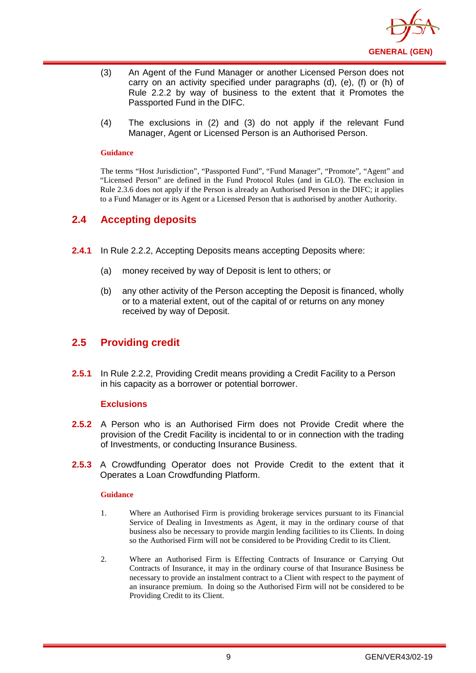

- (3) An Agent of the Fund Manager or another Licensed Person does not carry on an activity specified under paragraphs (d), (e), (f) or (h) of Rule 2.2.2 by way of business to the extent that it Promotes the Passported Fund in the DIFC.
- (4) The exclusions in (2) and (3) do not apply if the relevant Fund Manager, Agent or Licensed Person is an Authorised Person.

The terms "Host Jurisdiction", "Passported Fund", "Fund Manager", "Promote", "Agent" and "Licensed Person" are defined in the Fund Protocol Rules (and in GLO). The exclusion in Rule 2.3.6 does not apply if the Person is already an Authorised Person in the DIFC; it applies to a Fund Manager or its Agent or a Licensed Person that is authorised by another Authority.

## <span id="page-12-0"></span>**2.4 Accepting deposits**

- **2.4.1** In Rule 2.2.2, Accepting Deposits means accepting Deposits where:
	- (a) money received by way of Deposit is lent to others; or
	- (b) any other activity of the Person accepting the Deposit is financed, wholly or to a material extent, out of the capital of or returns on any money received by way of Deposit.

## <span id="page-12-1"></span>**2.5 Providing credit**

**2.5.1** In Rule 2.2.2, Providing Credit means providing a Credit Facility to a Person in his capacity as a borrower or potential borrower.

#### **Exclusions**

- **2.5.2** A Person who is an Authorised Firm does not Provide Credit where the provision of the Credit Facility is incidental to or in connection with the trading of Investments, or conducting Insurance Business.
- **2.5.3** A Crowdfunding Operator does not Provide Credit to the extent that it Operates a Loan Crowdfunding Platform.

#### **Guidance**

- 1. Where an Authorised Firm is providing brokerage services pursuant to its Financial Service of Dealing in Investments as Agent, it may in the ordinary course of that business also be necessary to provide margin lending facilities to its Clients. In doing so the Authorised Firm will not be considered to be Providing Credit to its Client.
- 2. Where an Authorised Firm is Effecting Contracts of Insurance or Carrying Out Contracts of Insurance, it may in the ordinary course of that Insurance Business be necessary to provide an instalment contract to a Client with respect to the payment of an insurance premium. In doing so the Authorised Firm will not be considered to be Providing Credit to its Client.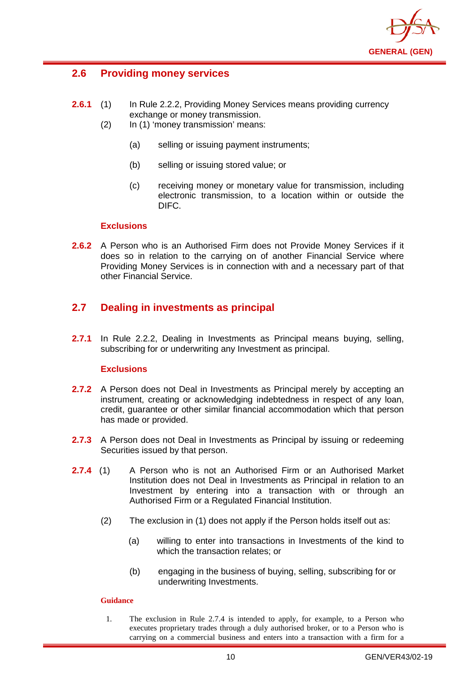

## <span id="page-13-0"></span>**2.6 Providing money services**

- **2.6.1** (1) In Rule 2.2.2, Providing Money Services means providing currency exchange or money transmission.
	- (2) In (1) 'money transmission' means:
		- (a) selling or issuing payment instruments;
		- (b) selling or issuing stored value; or
		- (c) receiving money or monetary value for transmission, including electronic transmission, to a location within or outside the DIFC.

#### **Exclusions**

**2.6.2** A Person who is an Authorised Firm does not Provide Money Services if it does so in relation to the carrying on of another Financial Service where Providing Money Services is in connection with and a necessary part of that other Financial Service.

## <span id="page-13-1"></span>**2.7 Dealing in investments as principal**

**2.7.1** In Rule 2.2.2, Dealing in Investments as Principal means buying, selling, subscribing for or underwriting any Investment as principal.

#### **Exclusions**

- **2.7.2** A Person does not Deal in Investments as Principal merely by accepting an instrument, creating or acknowledging indebtedness in respect of any loan, credit, guarantee or other similar financial accommodation which that person has made or provided.
- **2.7.3** A Person does not Deal in Investments as Principal by issuing or redeeming Securities issued by that person.
- **2.7.4** (1) A Person who is not an Authorised Firm or an Authorised Market Institution does not Deal in Investments as Principal in relation to an Investment by entering into a transaction with or through an Authorised Firm or a Regulated Financial Institution.
	- (2) The exclusion in (1) does not apply if the Person holds itself out as:
		- (a) willing to enter into transactions in Investments of the kind to which the transaction relates; or
		- (b) engaging in the business of buying, selling, subscribing for or underwriting Investments.

#### **Guidance**

1. The exclusion in Rule 2.7.4 is intended to apply, for example, to a Person who executes proprietary trades through a duly authorised broker, or to a Person who is carrying on a commercial business and enters into a transaction with a firm for a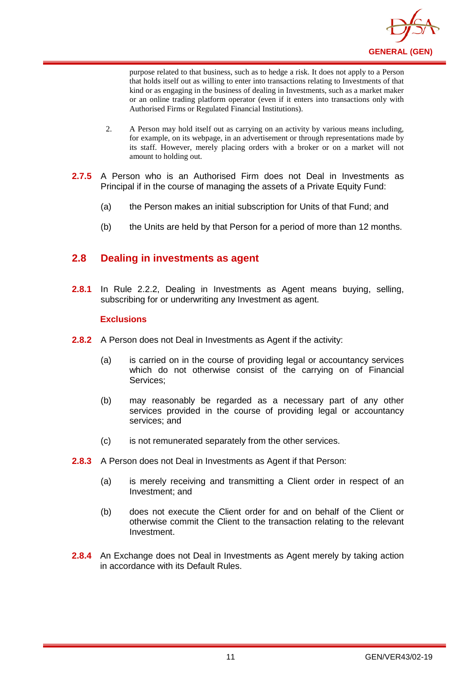

purpose related to that business, such as to hedge a risk. It does not apply to a Person that holds itself out as willing to enter into transactions relating to Investments of that kind or as engaging in the business of dealing in Investments, such as a market maker or an online trading platform operator (even if it enters into transactions only with Authorised Firms or Regulated Financial Institutions).

- 2. A Person may hold itself out as carrying on an activity by various means including, for example, on its webpage, in an advertisement or through representations made by its staff. However, merely placing orders with a broker or on a market will not amount to holding out.
- **2.7.5** A Person who is an Authorised Firm does not Deal in Investments as Principal if in the course of managing the assets of a Private Equity Fund:
	- (a) the Person makes an initial subscription for Units of that Fund; and
	- (b) the Units are held by that Person for a period of more than 12 months.

## <span id="page-14-0"></span>**2.8 Dealing in investments as agent**

**2.8.1** In Rule 2.2.2, Dealing in Investments as Agent means buying, selling, subscribing for or underwriting any Investment as agent.

#### **Exclusions**

- **2.8.2** A Person does not Deal in Investments as Agent if the activity:
	- (a) is carried on in the course of providing legal or accountancy services which do not otherwise consist of the carrying on of Financial Services;
	- (b) may reasonably be regarded as a necessary part of any other services provided in the course of providing legal or accountancy services; and
	- (c) is not remunerated separately from the other services.
- **2.8.3** A Person does not Deal in Investments as Agent if that Person:
	- (a) is merely receiving and transmitting a Client order in respect of an Investment; and
	- (b) does not execute the Client order for and on behalf of the Client or otherwise commit the Client to the transaction relating to the relevant Investment.
- **2.8.4** An Exchange does not Deal in Investments as Agent merely by taking action in accordance with its Default Rules.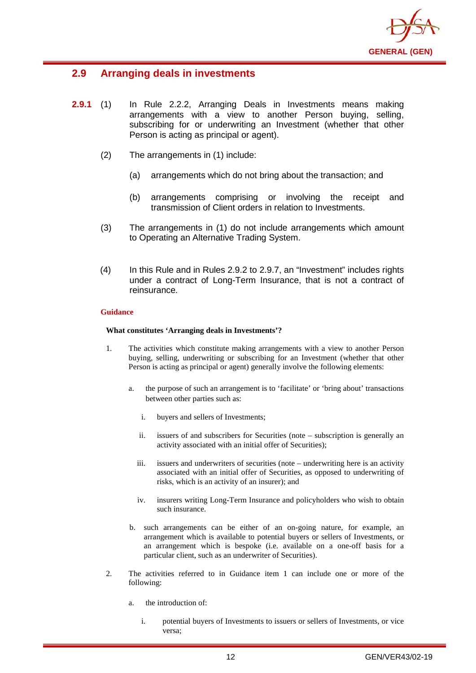

## <span id="page-15-0"></span>**2.9 Arranging deals in investments**

- **2.9.1** (1) In Rule 2.2.2, Arranging Deals in Investments means making arrangements with a view to another Person buying, selling, subscribing for or underwriting an Investment (whether that other Person is acting as principal or agent).
	- (2) The arrangements in (1) include:
		- (a) arrangements which do not bring about the transaction; and
		- (b) arrangements comprising or involving the receipt and transmission of Client orders in relation to Investments.
	- (3) The arrangements in (1) do not include arrangements which amount to Operating an Alternative Trading System.
	- (4) In this Rule and in Rules 2.9.2 to 2.9.7, an "Investment" includes rights under a contract of Long-Term Insurance, that is not a contract of reinsurance.

#### **Guidance**

#### **What constitutes 'Arranging deals in Investments'?**

- 1. The activities which constitute making arrangements with a view to another Person buying, selling, underwriting or subscribing for an Investment (whether that other Person is acting as principal or agent) generally involve the following elements:
	- a. the purpose of such an arrangement is to 'facilitate' or 'bring about' transactions between other parties such as:
		- i. buyers and sellers of Investments;
		- ii. issuers of and subscribers for Securities (note subscription is generally an activity associated with an initial offer of Securities);
		- iii. issuers and underwriters of securities (note underwriting here is an activity associated with an initial offer of Securities, as opposed to underwriting of risks, which is an activity of an insurer); and
		- iv. insurers writing Long-Term Insurance and policyholders who wish to obtain such insurance.
	- b. such arrangements can be either of an on-going nature, for example, an arrangement which is available to potential buyers or sellers of Investments, or an arrangement which is bespoke (i.e. available on a one-off basis for a particular client, such as an underwriter of Securities).
- 2. The activities referred to in Guidance item 1 can include one or more of the following:
	- a. the introduction of:
		- i. potential buyers of Investments to issuers or sellers of Investments, or vice versa;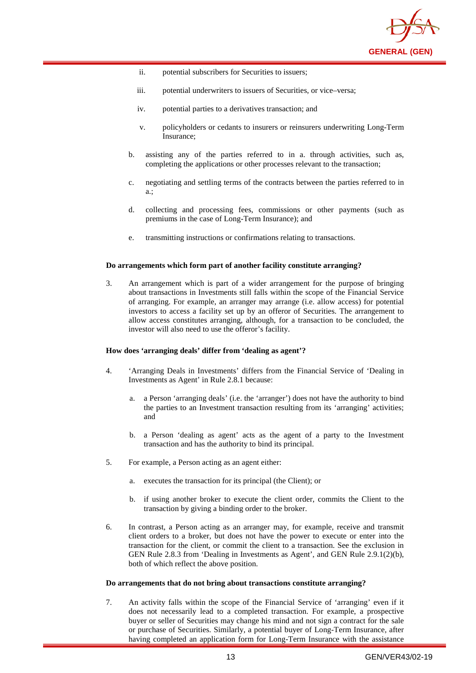

- ii. potential subscribers for Securities to issuers;
- iii. potential underwriters to issuers of Securities, or vice–versa;
- iv. potential parties to a derivatives transaction; and
- v. policyholders or cedants to insurers or reinsurers underwriting Long-Term Insurance;
- b. assisting any of the parties referred to in a. through activities, such as, completing the applications or other processes relevant to the transaction;
- c. negotiating and settling terms of the contracts between the parties referred to in a.;
- d. collecting and processing fees, commissions or other payments (such as premiums in the case of Long-Term Insurance); and
- e. transmitting instructions or confirmations relating to transactions.

#### **Do arrangements which form part of another facility constitute arranging?**

3. An arrangement which is part of a wider arrangement for the purpose of bringing about transactions in Investments still falls within the scope of the Financial Service of arranging. For example, an arranger may arrange (i.e. allow access) for potential investors to access a facility set up by an offeror of Securities. The arrangement to allow access constitutes arranging, although, for a transaction to be concluded, the investor will also need to use the offeror's facility.

#### **How does 'arranging deals' differ from 'dealing as agent'?**

- 4. 'Arranging Deals in Investments' differs from the Financial Service of 'Dealing in Investments as Agent' in Rule 2.8.1 because:
	- a. a Person 'arranging deals' (i.e. the 'arranger') does not have the authority to bind the parties to an Investment transaction resulting from its 'arranging' activities; and
	- b. a Person 'dealing as agent' acts as the agent of a party to the Investment transaction and has the authority to bind its principal.
- 5. For example, a Person acting as an agent either:
	- a. executes the transaction for its principal (the Client); or
	- b. if using another broker to execute the client order, commits the Client to the transaction by giving a binding order to the broker.
- 6. In contrast, a Person acting as an arranger may, for example, receive and transmit client orders to a broker, but does not have the power to execute or enter into the transaction for the client, or commit the client to a transaction. See the exclusion in GEN Rule 2.8.3 from 'Dealing in Investments as Agent', and GEN Rule 2.9.1(2)(b), both of which reflect the above position.

#### **Do arrangements that do not bring about transactions constitute arranging?**

7. An activity falls within the scope of the Financial Service of 'arranging' even if it does not necessarily lead to a completed transaction. For example, a prospective buyer or seller of Securities may change his mind and not sign a contract for the sale or purchase of Securities. Similarly, a potential buyer of Long-Term Insurance, after having completed an application form for Long-Term Insurance with the assistance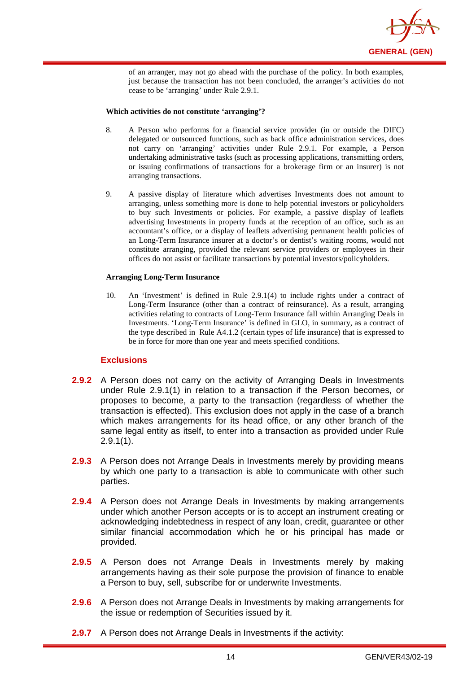

of an arranger, may not go ahead with the purchase of the policy. In both examples, just because the transaction has not been concluded, the arranger's activities do not cease to be 'arranging' under Rule 2.9.1.

#### **Which activities do not constitute 'arranging'?**

- 8. A Person who performs for a financial service provider (in or outside the DIFC) delegated or outsourced functions, such as back office administration services, does not carry on 'arranging' activities under Rule 2.9.1. For example, a Person undertaking administrative tasks (such as processing applications, transmitting orders, or issuing confirmations of transactions for a brokerage firm or an insurer) is not arranging transactions.
- 9. A passive display of literature which advertises Investments does not amount to arranging, unless something more is done to help potential investors or policyholders to buy such Investments or policies. For example, a passive display of leaflets advertising Investments in property funds at the reception of an office, such as an accountant's office, or a display of leaflets advertising permanent health policies of an Long-Term Insurance insurer at a doctor's or dentist's waiting rooms, would not constitute arranging, provided the relevant service providers or employees in their offices do not assist or facilitate transactions by potential investors/policyholders.

#### **Arranging Long-Term Insurance**

10. An 'Investment' is defined in Rule 2.9.1(4) to include rights under a contract of Long-Term Insurance (other than a contract of reinsurance). As a result, arranging activities relating to contracts of Long-Term Insurance fall within Arranging Deals in Investments. 'Long-Term Insurance' is defined in GLO, in summary, as a contract of the type described in Rule A4.1.2 (certain types of life insurance) that is expressed to be in force for more than one year and meets specified conditions.

#### **Exclusions**

- **2.9.2** A Person does not carry on the activity of Arranging Deals in Investments under Rule 2.9.1(1) in relation to a transaction if the Person becomes, or proposes to become, a party to the transaction (regardless of whether the transaction is effected). This exclusion does not apply in the case of a branch which makes arrangements for its head office, or any other branch of the same legal entity as itself, to enter into a transaction as provided under Rule  $2.9.1(1)$ .
- **2.9.3** A Person does not Arrange Deals in Investments merely by providing means by which one party to a transaction is able to communicate with other such parties.
- **2.9.4** A Person does not Arrange Deals in Investments by making arrangements under which another Person accepts or is to accept an instrument creating or acknowledging indebtedness in respect of any loan, credit, guarantee or other similar financial accommodation which he or his principal has made or provided.
- **2.9.5** A Person does not Arrange Deals in Investments merely by making arrangements having as their sole purpose the provision of finance to enable a Person to buy, sell, subscribe for or underwrite Investments.
- **2.9.6** A Person does not Arrange Deals in Investments by making arrangements for the issue or redemption of Securities issued by it.
- **2.9.7** A Person does not Arrange Deals in Investments if the activity: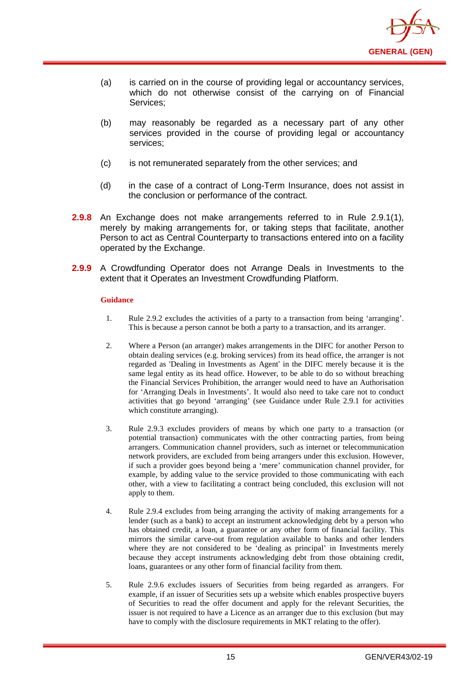

- (a) is carried on in the course of providing legal or accountancy services, which do not otherwise consist of the carrying on of Financial Services;
- (b) may reasonably be regarded as a necessary part of any other services provided in the course of providing legal or accountancy services;
- (c) is not remunerated separately from the other services; and
- (d) in the case of a contract of Long-Term Insurance, does not assist in the conclusion or performance of the contract.
- **2.9.8** An Exchange does not make arrangements referred to in Rule 2.9.1(1), merely by making arrangements for, or taking steps that facilitate, another Person to act as Central Counterparty to transactions entered into on a facility operated by the Exchange.
- **2.9.9** A Crowdfunding Operator does not Arrange Deals in Investments to the extent that it Operates an Investment Crowdfunding Platform.

- 1. Rule 2.9.2 excludes the activities of a party to a transaction from being 'arranging'. This is because a person cannot be both a party to a transaction, and its arranger.
- 2. Where a Person (an arranger) makes arrangements in the DIFC for another Person to obtain dealing services (e.g. broking services) from its head office, the arranger is not regarded as 'Dealing in Investments as Agent' in the DIFC merely because it is the same legal entity as its head office. However, to be able to do so without breaching the Financial Services Prohibition, the arranger would need to have an Authorisation for 'Arranging Deals in Investments'. It would also need to take care not to conduct activities that go beyond 'arranging' (see Guidance under Rule 2.9.1 for activities which constitute arranging).
- 3. Rule 2.9.3 excludes providers of means by which one party to a transaction (or potential transaction) communicates with the other contracting parties, from being arrangers. Communication channel providers, such as internet or telecommunication network providers, are excluded from being arrangers under this exclusion. However, if such a provider goes beyond being a 'mere' communication channel provider, for example, by adding value to the service provided to those communicating with each other, with a view to facilitating a contract being concluded, this exclusion will not apply to them.
- 4. Rule 2.9.4 excludes from being arranging the activity of making arrangements for a lender (such as a bank) to accept an instrument acknowledging debt by a person who has obtained credit, a loan, a guarantee or any other form of financial facility. This mirrors the similar carve-out from regulation available to banks and other lenders where they are not considered to be 'dealing as principal' in Investments merely because they accept instruments acknowledging debt from those obtaining credit, loans, guarantees or any other form of financial facility from them.
- 5. Rule 2.9.6 excludes issuers of Securities from being regarded as arrangers. For example, if an issuer of Securities sets up a website which enables prospective buyers of Securities to read the offer document and apply for the relevant Securities, the issuer is not required to have a Licence as an arranger due to this exclusion (but may have to comply with the disclosure requirements in MKT relating to the offer).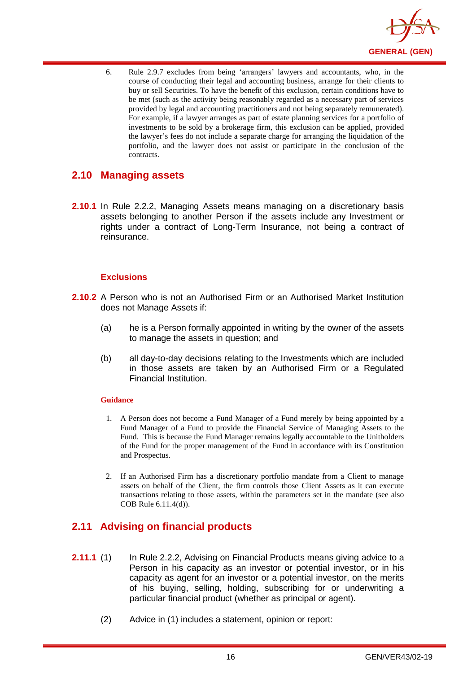

6. Rule 2.9.7 excludes from being 'arrangers' lawyers and accountants, who, in the course of conducting their legal and accounting business, arrange for their clients to buy or sell Securities. To have the benefit of this exclusion, certain conditions have to be met (such as the activity being reasonably regarded as a necessary part of services provided by legal and accounting practitioners and not being separately remunerated). For example, if a lawyer arranges as part of estate planning services for a portfolio of investments to be sold by a brokerage firm, this exclusion can be applied, provided the lawyer's fees do not include a separate charge for arranging the liquidation of the portfolio, and the lawyer does not assist or participate in the conclusion of the contracts.

## <span id="page-19-0"></span>**2.10 Managing assets**

**2.10.1** In Rule 2.2.2, Managing Assets means managing on a discretionary basis assets belonging to another Person if the assets include any Investment or rights under a contract of Long-Term Insurance, not being a contract of reinsurance.

#### **Exclusions**

- **2.10.2** A Person who is not an Authorised Firm or an Authorised Market Institution does not Manage Assets if:
	- (a) he is a Person formally appointed in writing by the owner of the assets to manage the assets in question; and
	- (b) all day-to-day decisions relating to the Investments which are included in those assets are taken by an Authorised Firm or a Regulated Financial Institution.

#### **Guidance**

- 1. A Person does not become a Fund Manager of a Fund merely by being appointed by a Fund Manager of a Fund to provide the Financial Service of Managing Assets to the Fund. This is because the Fund Manager remains legally accountable to the Unitholders of the Fund for the proper management of the Fund in accordance with its Constitution and Prospectus.
- 2. If an Authorised Firm has a discretionary portfolio mandate from a Client to manage assets on behalf of the Client, the firm controls those Client Assets as it can execute transactions relating to those assets, within the parameters set in the mandate (see also COB Rule 6.11.4(d)).

## <span id="page-19-1"></span>**2.11 Advising on financial products**

- **2.11.1** (1) In Rule 2.2.2, Advising on Financial Products means giving advice to a Person in his capacity as an investor or potential investor, or in his capacity as agent for an investor or a potential investor, on the merits of his buying, selling, holding, subscribing for or underwriting a particular financial product (whether as principal or agent).
	- (2) Advice in (1) includes a statement, opinion or report: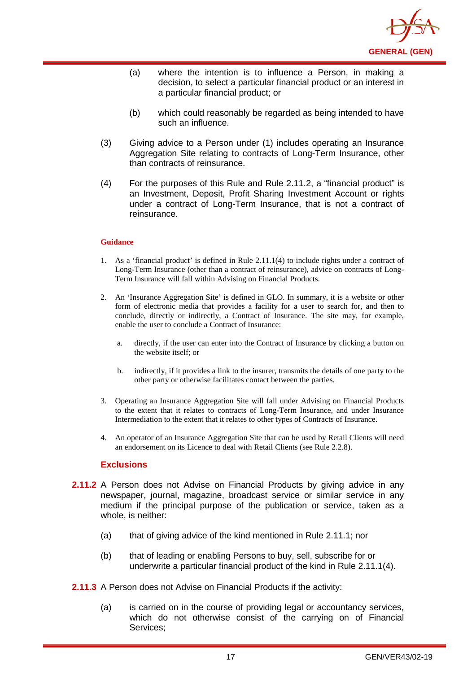

- (a) where the intention is to influence a Person, in making a decision, to select a particular financial product or an interest in a particular financial product; or
- (b) which could reasonably be regarded as being intended to have such an influence.
- (3) Giving advice to a Person under (1) includes operating an Insurance Aggregation Site relating to contracts of Long-Term Insurance, other than contracts of reinsurance.
- (4) For the purposes of this Rule and Rule 2.11.2, a "financial product" is an Investment, Deposit, Profit Sharing Investment Account or rights under a contract of Long-Term Insurance, that is not a contract of reinsurance.

- 1. As a 'financial product' is defined in Rule 2.11.1(4) to include rights under a contract of Long-Term Insurance (other than a contract of reinsurance), advice on contracts of Long-Term Insurance will fall within Advising on Financial Products.
- 2. An 'Insurance Aggregation Site' is defined in GLO. In summary, it is a website or other form of electronic media that provides a facility for a user to search for, and then to conclude, directly or indirectly, a Contract of Insurance. The site may, for example, enable the user to conclude a Contract of Insurance:
	- a. directly, if the user can enter into the Contract of Insurance by clicking a button on the website itself; or
	- b. indirectly, if it provides a link to the insurer, transmits the details of one party to the other party or otherwise facilitates contact between the parties.
- 3. Operating an Insurance Aggregation Site will fall under Advising on Financial Products to the extent that it relates to contracts of Long-Term Insurance, and under Insurance Intermediation to the extent that it relates to other types of Contracts of Insurance.
- 4. An operator of an Insurance Aggregation Site that can be used by Retail Clients will need an endorsement on its Licence to deal with Retail Clients (see Rule 2.2.8).

#### **Exclusions**

- **2.11.2** A Person does not Advise on Financial Products by giving advice in any newspaper, journal, magazine, broadcast service or similar service in any medium if the principal purpose of the publication or service, taken as a whole, is neither:
	- (a) that of giving advice of the kind mentioned in Rule 2.11.1; nor
	- (b) that of leading or enabling Persons to buy, sell, subscribe for or underwrite a particular financial product of the kind in Rule 2.11.1(4).
- **2.11.3** A Person does not Advise on Financial Products if the activity:
	- (a) is carried on in the course of providing legal or accountancy services, which do not otherwise consist of the carrying on of Financial Services;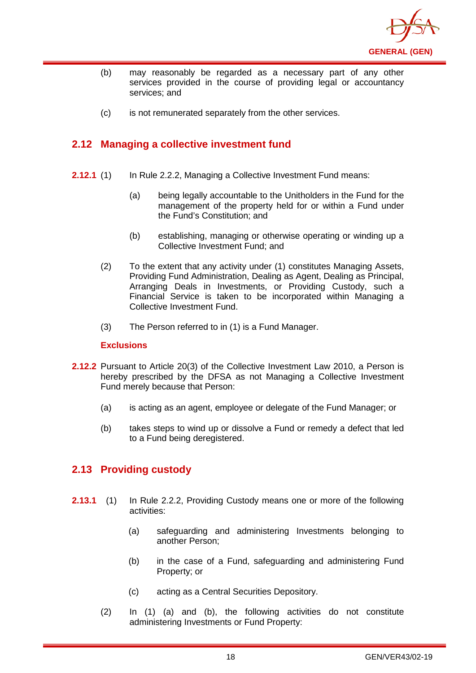

- (b) may reasonably be regarded as a necessary part of any other services provided in the course of providing legal or accountancy services; and
- (c) is not remunerated separately from the other services.

## <span id="page-21-0"></span>**2.12 Managing a collective investment fund**

- **2.12.1** (1) In Rule 2.2.2, Managing a Collective Investment Fund means:
	- (a) being legally accountable to the Unitholders in the Fund for the management of the property held for or within a Fund under the Fund's Constitution; and
	- (b) establishing, managing or otherwise operating or winding up a Collective Investment Fund; and
	- (2) To the extent that any activity under (1) constitutes Managing Assets, Providing Fund Administration, Dealing as Agent, Dealing as Principal, Arranging Deals in Investments, or Providing Custody, such a Financial Service is taken to be incorporated within Managing a Collective Investment Fund.
	- (3) The Person referred to in (1) is a Fund Manager.

#### **Exclusions**

- **2.12.2** Pursuant to Article 20(3) of the Collective Investment Law 2010, a Person is hereby prescribed by the DFSA as not Managing a Collective Investment Fund merely because that Person:
	- (a) is acting as an agent, employee or delegate of the Fund Manager; or
	- (b) takes steps to wind up or dissolve a Fund or remedy a defect that led to a Fund being deregistered.

## <span id="page-21-1"></span>**2.13 Providing custody**

- **2.13.1** (1) In Rule 2.2.2, Providing Custody means one or more of the following activities:
	- (a) safeguarding and administering Investments belonging to another Person;
	- (b) in the case of a Fund, safeguarding and administering Fund Property; or
	- (c) acting as a Central Securities Depository.
	- (2) In (1) (a) and (b), the following activities do not constitute administering Investments or Fund Property: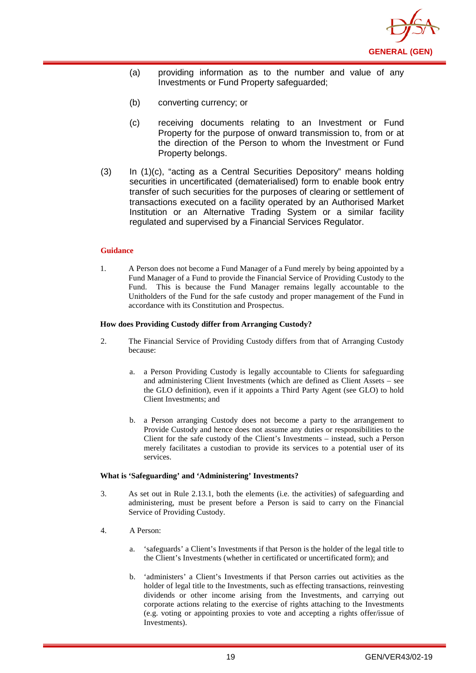

- (a) providing information as to the number and value of any Investments or Fund Property safeguarded;
- (b) converting currency; or
- (c) receiving documents relating to an Investment or Fund Property for the purpose of onward transmission to, from or at the direction of the Person to whom the Investment or Fund Property belongs.
- (3) In (1)(c), "acting as a Central Securities Depository" means holding securities in uncertificated (dematerialised) form to enable [book entry](http://en.wikipedia.org/wiki/Book_entry) transfer of such securities for the purposes of clearing or settlement of transactions executed on a facility operated by an Authorised Market Institution or an Alternative Trading System or a similar facility regulated and supervised by a Financial Services Regulator.

1. A Person does not become a Fund Manager of a Fund merely by being appointed by a Fund Manager of a Fund to provide the Financial Service of Providing Custody to the Fund. This is because the Fund Manager remains legally accountable to the Unitholders of the Fund for the safe custody and proper management of the Fund in accordance with its Constitution and Prospectus.

#### **How does Providing Custody differ from Arranging Custody?**

- 2. The Financial Service of Providing Custody differs from that of Arranging Custody because:
	- a. a Person Providing Custody is legally accountable to Clients for safeguarding and administering Client Investments (which are defined as Client Assets – see the GLO definition), even if it appoints a Third Party Agent (see GLO) to hold Client Investments; and
	- b. a Person arranging Custody does not become a party to the arrangement to Provide Custody and hence does not assume any duties or responsibilities to the Client for the safe custody of the Client's Investments – instead, such a Person merely facilitates a custodian to provide its services to a potential user of its services.

#### **What is 'Safeguarding' and 'Administering' Investments?**

- 3. As set out in Rule 2.13.1, both the elements (i.e. the activities) of safeguarding and administering, must be present before a Person is said to carry on the Financial Service of Providing Custody.
- 4. A Person:
	- a. 'safeguards' a Client's Investments if that Person is the holder of the legal title to the Client's Investments (whether in certificated or uncertificated form); and
	- b. 'administers' a Client's Investments if that Person carries out activities as the holder of legal title to the Investments, such as effecting transactions, reinvesting dividends or other income arising from the Investments, and carrying out corporate actions relating to the exercise of rights attaching to the Investments (e.g. voting or appointing proxies to vote and accepting a rights offer/issue of Investments).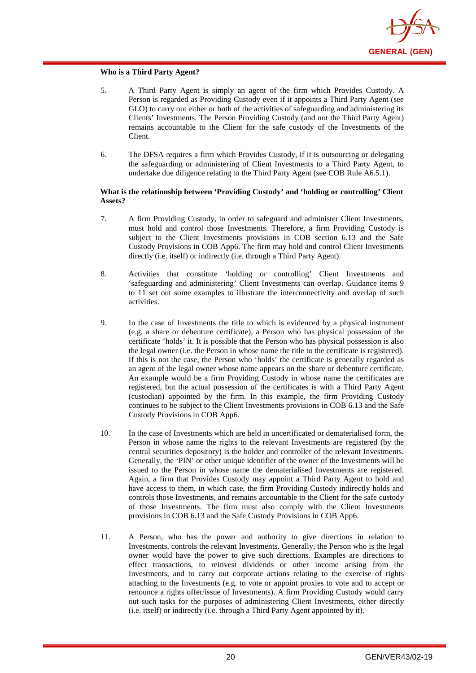

#### **Who is a Third Party Agent?**

- 5. A Third Party Agent is simply an agent of the firm which Provides Custody. A Person is regarded as Providing Custody even if it appoints a Third Party Agent (see GLO) to carry out either or both of the activities of safeguarding and administering its Clients' Investments. The Person Providing Custody (and not the Third Party Agent) remains accountable to the Client for the safe custody of the Investments of the Client.
- 6. The DFSA requires a firm which Provides Custody, if it is outsourcing or delegating the safeguarding or administering of Client Investments to a Third Party Agent, to undertake due diligence relating to the Third Party Agent (see COB Rule A6.5.1).

#### **What is the relationship between 'Providing Custody' and 'holding or controlling' Client Assets?**

- 7. A firm Providing Custody, in order to safeguard and administer Client Investments, must hold and control those Investments. Therefore, a firm Providing Custody is subject to the Client Investments provisions in COB section 6.13 and the Safe Custody Provisions in COB App6. The firm may hold and control Client Investments directly (i.e. itself) or indirectly (i.e. through a Third Party Agent).
- 8. Activities that constitute 'holding or controlling' Client Investments and 'safeguarding and administering' Client Investments can overlap. Guidance items 9 to 11 set out some examples to illustrate the interconnectivity and overlap of such activities.
- 9. In the case of Investments the title to which is evidenced by a physical instrument (e.g. a share or debenture certificate), a Person who has physical possession of the certificate 'holds' it. It is possible that the Person who has physical possession is also the legal owner (i.e. the Person in whose name the title to the certificate is registered). If this is not the case, the Person who 'holds' the certificate is generally regarded as an agent of the legal owner whose name appears on the share or debenture certificate. An example would be a firm Providing Custody in whose name the certificates are registered, but the actual possession of the certificates is with a Third Party Agent (custodian) appointed by the firm. In this example, the firm Providing Custody continues to be subject to the Client Investments provisions in COB 6.13 and the Safe Custody Provisions in COB App6.
- 10. In the case of Investments which are held in uncertificated or dematerialised form, the Person in whose name the rights to the relevant Investments are registered (by the central securities depository) is the holder and controller of the relevant Investments. Generally, the 'PIN' or other unique identifier of the owner of the Investments will be issued to the Person in whose name the dematerialised Investments are registered. Again, a firm that Provides Custody may appoint a Third Party Agent to hold and have access to them, in which case, the firm Providing Custody indirectly holds and controls those Investments, and remains accountable to the Client for the safe custody of those Investments. The firm must also comply with the Client Investments provisions in COB 6.13 and the Safe Custody Provisions in COB App6.
- 11. A Person, who has the power and authority to give directions in relation to Investments, controls the relevant Investments. Generally, the Person who is the legal owner would have the power to give such directions. Examples are directions to effect transactions, to reinvest dividends or other income arising from the Investments, and to carry out corporate actions relating to the exercise of rights attaching to the Investments (e.g. to vote or appoint proxies to vote and to accept or renounce a rights offer/issue of Investments). A firm Providing Custody would carry out such tasks for the purposes of administering Client Investments, either directly (i.e. itself) or indirectly (i.e. through a Third Party Agent appointed by it).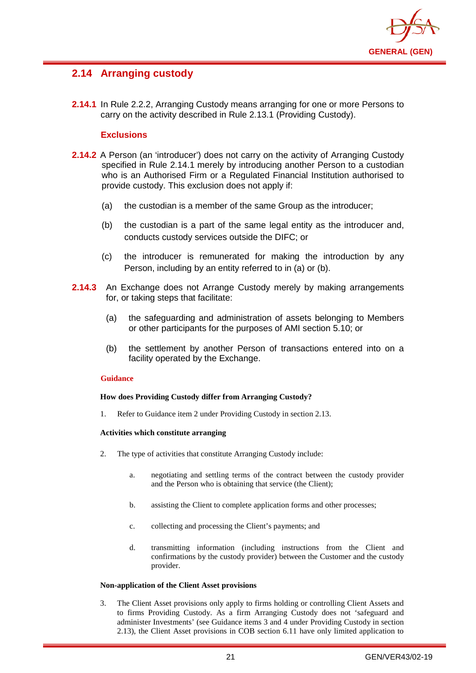

## <span id="page-24-0"></span>**2.14 Arranging custody**

**2.14.1** In Rule 2.2.2, Arranging Custody means arranging for one or more Persons to carry on the activity described in Rule 2.13.1 (Providing Custody).

#### **Exclusions**

- **2.14.2** A Person (an 'introducer') does not carry on the activity of Arranging Custody specified in Rule 2.14.1 merely by introducing another Person to a custodian who is an Authorised Firm or a Regulated Financial Institution authorised to provide custody. This exclusion does not apply if:
	- (a) the custodian is a member of the same Group as the introducer;
	- (b) the custodian is a part of the same legal entity as the introducer and, conducts custody services outside the DIFC; or
	- (c) the introducer is remunerated for making the introduction by any Person, including by an entity referred to in (a) or (b).
- **2.14.3** An Exchange does not Arrange Custody merely by making arrangements for, or taking steps that facilitate:
	- (a) the safeguarding and administration of assets belonging to Members or other participants for the purposes of AMI section 5.10; or
	- (b) the settlement by another Person of transactions entered into on a facility operated by the Exchange.

#### **Guidance**

#### **How does Providing Custody differ from Arranging Custody?**

1. Refer to Guidance item 2 under Providing Custody in section 2.13.

#### **Activities which constitute arranging**

- 2. The type of activities that constitute Arranging Custody include:
	- a. negotiating and settling terms of the contract between the custody provider and the Person who is obtaining that service (the Client);
	- b. assisting the Client to complete application forms and other processes;
	- c. collecting and processing the Client's payments; and
	- d. transmitting information (including instructions from the Client and confirmations by the custody provider) between the Customer and the custody provider.

#### **Non-application of the Client Asset provisions**

3. The Client Asset provisions only apply to firms holding or controlling Client Assets and to firms Providing Custody. As a firm Arranging Custody does not 'safeguard and administer Investments' (see Guidance items 3 and 4 under Providing Custody in section 2.13), the Client Asset provisions in COB section 6.11 have only limited application to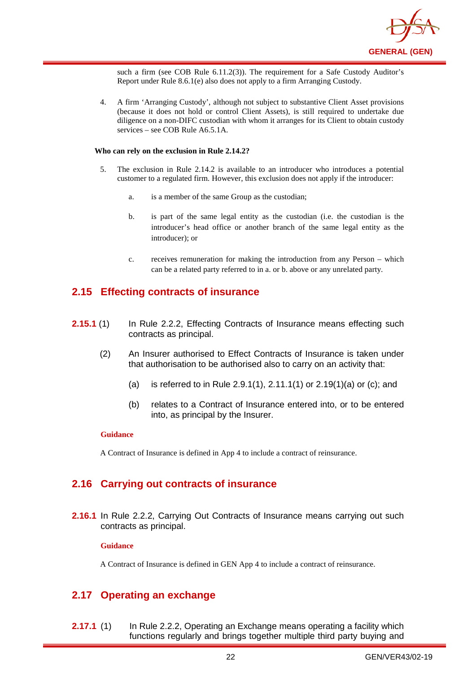

such a firm (see COB Rule 6.11.2(3)). The requirement for a Safe Custody Auditor's Report under Rule 8.6.1(e) also does not apply to a firm Arranging Custody.

4. A firm 'Arranging Custody', although not subject to substantive Client Asset provisions (because it does not hold or control Client Assets), is still required to undertake due diligence on a non-DIFC custodian with whom it arranges for its Client to obtain custody services – see COB Rule A6.5.1A.

#### **Who can rely on the exclusion in Rule 2.14.2?**

- 5. The exclusion in Rule 2.14.2 is available to an introducer who introduces a potential customer to a regulated firm. However, this exclusion does not apply if the introducer:
	- a. is a member of the same Group as the custodian;
	- b. is part of the same legal entity as the custodian (i.e. the custodian is the introducer's head office or another branch of the same legal entity as the introducer); or
	- c. receives remuneration for making the introduction from any Person which can be a related party referred to in a. or b. above or any unrelated party.

### <span id="page-25-0"></span>**2.15 Effecting contracts of insurance**

- **2.15.1** (1) In Rule 2.2.2, Effecting Contracts of Insurance means effecting such contracts as principal.
	- (2) An Insurer authorised to Effect Contracts of Insurance is taken under that authorisation to be authorised also to carry on an activity that:
		- (a) is referred to in Rule 2.9.1(1), 2.11.1(1) or 2.19(1)(a) or (c); and
		- (b) relates to a Contract of Insurance entered into, or to be entered into, as principal by the Insurer.

#### **Guidance**

A Contract of Insurance is defined in App 4 to include a contract of reinsurance.

## <span id="page-25-1"></span>**2.16 Carrying out contracts of insurance**

**2.16.1** In Rule 2.2.2, Carrying Out Contracts of Insurance means carrying out such contracts as principal.

#### **Guidance**

A Contract of Insurance is defined in GEN App 4 to include a contract of reinsurance.

## <span id="page-25-2"></span>**2.17 Operating an exchange**

**2.17.1** (1) In Rule 2.2.2, Operating an Exchange means operating a facility which functions regularly and brings together multiple third party buying and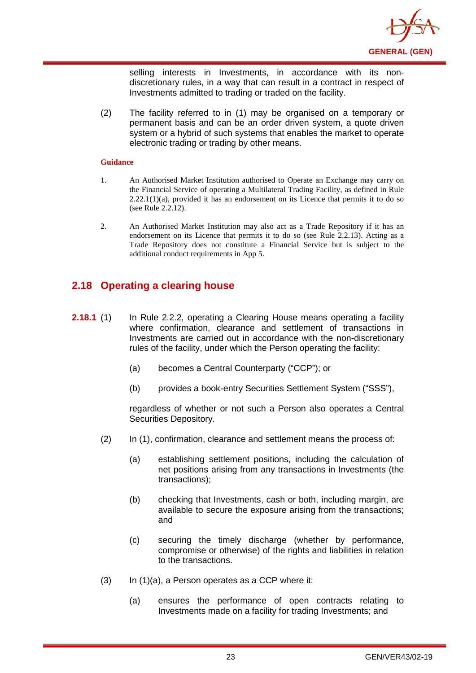

selling interests in Investments, in accordance with its nondiscretionary rules, in a way that can result in a contract in respect of Investments admitted to trading or traded on the facility.

(2) The facility referred to in (1) may be organised on a temporary or permanent basis and can be an order driven system, a quote driven system or a hybrid of such systems that enables the market to operate electronic trading or trading by other means.

#### **Guidance**

- 1. An Authorised Market Institution authorised to Operate an Exchange may carry on the Financial Service of operating a Multilateral Trading Facility, as defined in Rule  $2.22.1(1)(a)$ , provided it has an endorsement on its Licence that permits it to do so (see Rule 2.2.12).
- 2. An Authorised Market Institution may also act as a Trade Repository if it has an endorsement on its Licence that permits it to do so (see Rule 2.2.13). Acting as a Trade Repository does not constitute a Financial Service but is subject to the additional conduct requirements in App 5.

## <span id="page-26-0"></span>**2.18 Operating a clearing house**

- **2.18.1** (1) In Rule 2.2.2, operating a Clearing House means operating a facility where confirmation, clearance and settlement of transactions in Investments are carried out in accordance with the non-discretionary rules of the facility, under which the Person operating the facility:
	- (a) becomes a Central Counterparty ("CCP"); or
	- (b) provides a book-entry Securities Settlement System ("SSS"),

regardless of whether or not such a Person also operates a Central Securities Depository.

- (2) In (1), confirmation, clearance and settlement means the process of:
	- (a) establishing settlement positions, including the calculation of net positions arising from any transactions in Investments (the transactions);
	- (b) checking that Investments, cash or both, including margin, are available to secure the exposure arising from the transactions; and
	- (c) securing the timely discharge (whether by performance, compromise or otherwise) of the rights and liabilities in relation to the transactions.
- $(3)$  In  $(1)(a)$ , a Person operates as a CCP where it:
	- (a) ensures the performance of open contracts relating to Investments made on a facility for trading Investments; and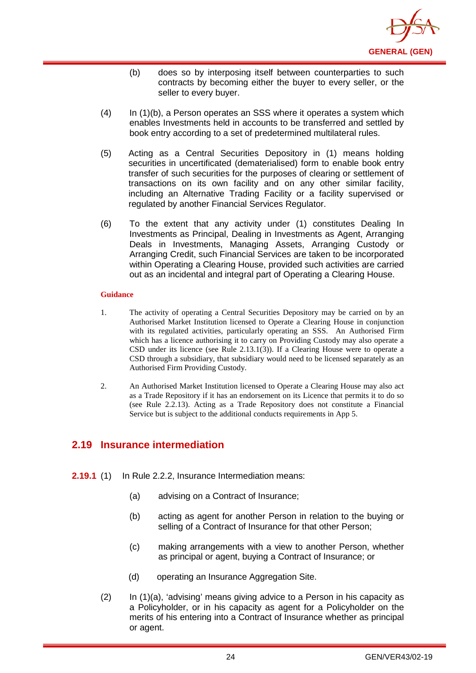

- (b) does so by interposing itself between counterparties to such contracts by becoming either the buyer to every seller, or the seller to every buyer.
- (4) In (1)(b), a Person operates an SSS where it operates a system which enables Investments held in accounts to be transferred and settled by book entry according to a set of predetermined multilateral rules.
- (5) Acting as a Central Securities Depository in (1) means holding securities in uncertificated (dematerialised) form to enable [book entry](http://en.wikipedia.org/wiki/Book_entry) transfer of such securities for the purposes of clearing or settlement of transactions on its own facility and on any other similar facility, including an Alternative Trading Facility or a facility supervised or regulated by another Financial Services Regulator.
- (6) To the extent that any activity under (1) constitutes Dealing In Investments as Principal, Dealing in Investments as Agent, Arranging Deals in Investments, Managing Assets, Arranging Custody or Arranging Credit, such Financial Services are taken to be incorporated within Operating a Clearing House, provided such activities are carried out as an incidental and integral part of Operating a Clearing House.

- 1. The activity of operating a Central Securities Depository may be carried on by an Authorised Market Institution licensed to Operate a Clearing House in conjunction with its regulated activities, particularly operating an SSS. An Authorised Firm which has a licence authorising it to carry on Providing Custody may also operate a CSD under its licence (see Rule 2.13.1(3)). If a Clearing House were to operate a CSD through a subsidiary, that subsidiary would need to be licensed separately as an Authorised Firm Providing Custody.
- 2. An Authorised Market Institution licensed to Operate a Clearing House may also act as a Trade Repository if it has an endorsement on its Licence that permits it to do so (see Rule 2.2.13). Acting as a Trade Repository does not constitute a Financial Service but is subject to the additional conducts requirements in App 5.

## <span id="page-27-0"></span>**2.19 Insurance intermediation**

- **2.19.1** (1) In Rule 2.2.2, Insurance Intermediation means:
	- (a) advising on a Contract of Insurance;
	- (b) acting as agent for another Person in relation to the buying or selling of a Contract of Insurance for that other Person;
	- (c) making arrangements with a view to another Person, whether as principal or agent, buying a Contract of Insurance; or
	- (d) operating an Insurance Aggregation Site.
	- (2) In (1)(a), 'advising' means giving advice to a Person in his capacity as a Policyholder, or in his capacity as agent for a Policyholder on the merits of his entering into a Contract of Insurance whether as principal or agent.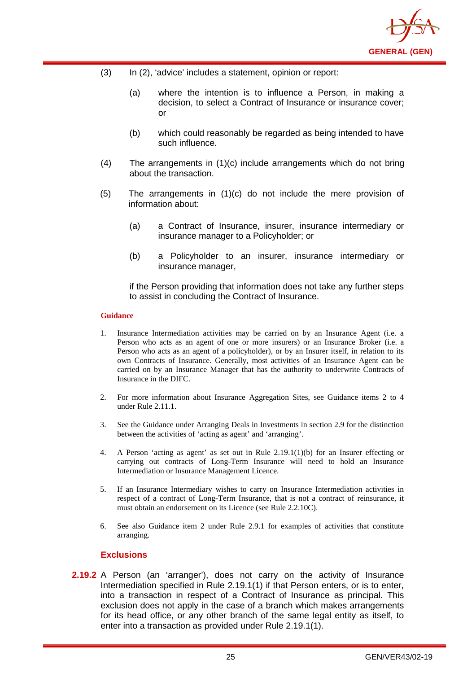

- (3) In (2), 'advice' includes a statement, opinion or report:
	- (a) where the intention is to influence a Person, in making a decision, to select a Contract of Insurance or insurance cover; or
	- (b) which could reasonably be regarded as being intended to have such influence.
- (4) The arrangements in (1)(c) include arrangements which do not bring about the transaction.
- (5) The arrangements in (1)(c) do not include the mere provision of information about:
	- (a) a Contract of Insurance, insurer, insurance intermediary or insurance manager to a Policyholder; or
	- (b) a Policyholder to an insurer, insurance intermediary or insurance manager,

if the Person providing that information does not take any further steps to assist in concluding the Contract of Insurance.

#### **Guidance**

- 1. Insurance Intermediation activities may be carried on by an Insurance Agent (i.e. a Person who acts as an agent of one or more insurers) or an Insurance Broker (i.e. a Person who acts as an agent of a policyholder), or by an Insurer itself, in relation to its own Contracts of Insurance. Generally, most activities of an Insurance Agent can be carried on by an Insurance Manager that has the authority to underwrite Contracts of Insurance in the DIFC.
- 2. For more information about Insurance Aggregation Sites, see Guidance items 2 to 4 under Rule 2.11.1.
- 3. See the Guidance under Arranging Deals in Investments in section 2.9 for the distinction between the activities of 'acting as agent' and 'arranging'.
- 4. A Person 'acting as agent' as set out in Rule 2.19.1(1)(b) for an Insurer effecting or carrying out contracts of Long-Term Insurance will need to hold an Insurance Intermediation or Insurance Management Licence.
- 5. If an Insurance Intermediary wishes to carry on Insurance Intermediation activities in respect of a contract of Long-Term Insurance, that is not a contract of reinsurance, it must obtain an endorsement on its Licence (see Rule 2.2.10C).
- 6. See also Guidance item 2 under Rule 2.9.1 for examples of activities that constitute arranging.

## **Exclusions**

**2.19.2** A Person (an 'arranger'), does not carry on the activity of Insurance Intermediation specified in Rule 2.19.1(1) if that Person enters, or is to enter, into a transaction in respect of a Contract of Insurance as principal. This exclusion does not apply in the case of a branch which makes arrangements for its head office, or any other branch of the same legal entity as itself, to enter into a transaction as provided under Rule 2.19.1(1).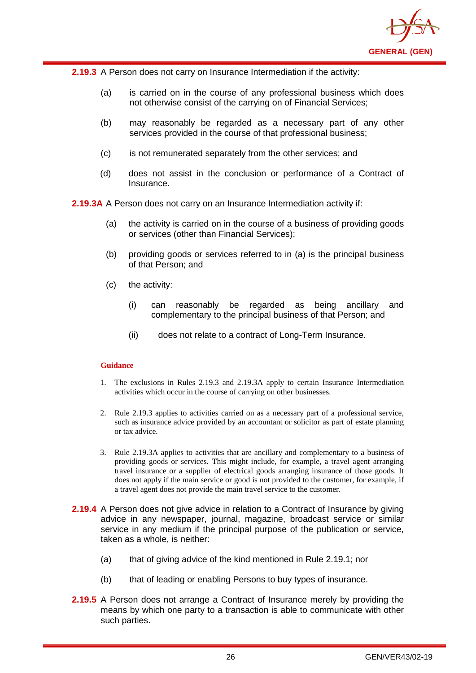

**2.19.3** A Person does not carry on Insurance Intermediation if the activity:

- (a) is carried on in the course of any professional business which does not otherwise consist of the carrying on of Financial Services;
- (b) may reasonably be regarded as a necessary part of any other services provided in the course of that professional business;
- (c) is not remunerated separately from the other services; and
- (d) does not assist in the conclusion or performance of a Contract of Insurance.

**2.19.3A** A Person does not carry on an Insurance Intermediation activity if:

- (a) the activity is carried on in the course of a business of providing goods or services (other than Financial Services);
- (b) providing goods or services referred to in (a) is the principal business of that Person; and
- (c) the activity:
	- (i) can reasonably be regarded as being ancillary and complementary to the principal business of that Person; and
	- (ii) does not relate to a contract of Long-Term Insurance.

#### **Guidance**

- 1. The exclusions in Rules 2.19.3 and 2.19.3A apply to certain Insurance Intermediation activities which occur in the course of carrying on other businesses.
- 2. Rule 2.19.3 applies to activities carried on as a necessary part of a professional service, such as insurance advice provided by an accountant or solicitor as part of estate planning or tax advice.
- 3. Rule 2.19.3A applies to activities that are ancillary and complementary to a business of providing goods or services. This might include, for example, a travel agent arranging travel insurance or a supplier of electrical goods arranging insurance of those goods. It does not apply if the main service or good is not provided to the customer, for example, if a travel agent does not provide the main travel service to the customer.
- **2.19.4** A Person does not give advice in relation to a Contract of Insurance by giving advice in any newspaper, journal, magazine, broadcast service or similar service in any medium if the principal purpose of the publication or service, taken as a whole, is neither:
	- (a) that of giving advice of the kind mentioned in Rule 2.19.1; nor
	- (b) that of leading or enabling Persons to buy types of insurance.
- **2.19.5** A Person does not arrange a Contract of Insurance merely by providing the means by which one party to a transaction is able to communicate with other such parties.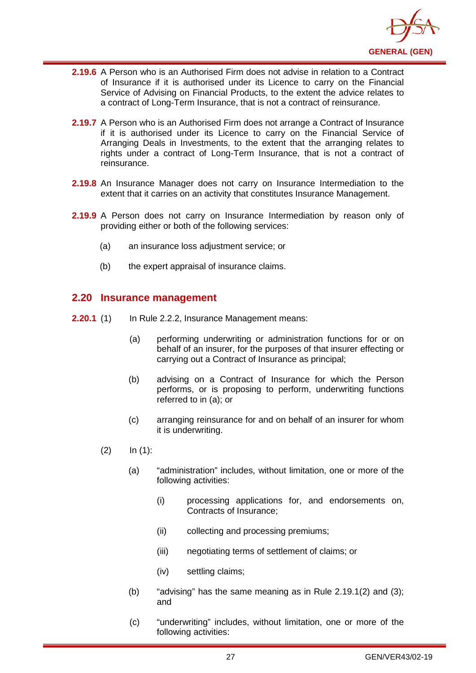

- **2.19.6** A Person who is an Authorised Firm does not advise in relation to a Contract of Insurance if it is authorised under its Licence to carry on the Financial Service of Advising on Financial Products, to the extent the advice relates to a contract of Long-Term Insurance, that is not a contract of reinsurance.
- **2.19.7** A Person who is an Authorised Firm does not arrange a Contract of Insurance if it is authorised under its Licence to carry on the Financial Service of Arranging Deals in Investments, to the extent that the arranging relates to rights under a contract of Long-Term Insurance, that is not a contract of reinsurance.
- **2.19.8** An Insurance Manager does not carry on Insurance Intermediation to the extent that it carries on an activity that constitutes Insurance Management.
- **2.19.9** A Person does not carry on Insurance Intermediation by reason only of providing either or both of the following services:
	- (a) an insurance loss adjustment service; or
	- (b) the expert appraisal of insurance claims.

### <span id="page-30-0"></span>**2.20 Insurance management**

- **2.20.1** (1) In Rule 2.2.2, Insurance Management means:
	- (a) performing underwriting or administration functions for or on behalf of an insurer, for the purposes of that insurer effecting or carrying out a Contract of Insurance as principal;
	- (b) advising on a Contract of Insurance for which the Person performs, or is proposing to perform, underwriting functions referred to in (a); or
	- (c) arranging reinsurance for and on behalf of an insurer for whom it is underwriting.
	- $(2)$  In  $(1)$ :
		- (a) "administration" includes, without limitation, one or more of the following activities:
			- (i) processing applications for, and endorsements on, Contracts of Insurance;
			- (ii) collecting and processing premiums;
			- (iii) negotiating terms of settlement of claims; or
			- (iv) settling claims;
		- (b) "advising" has the same meaning as in Rule 2.19.1(2) and (3): and
		- (c) "underwriting" includes, without limitation, one or more of the following activities: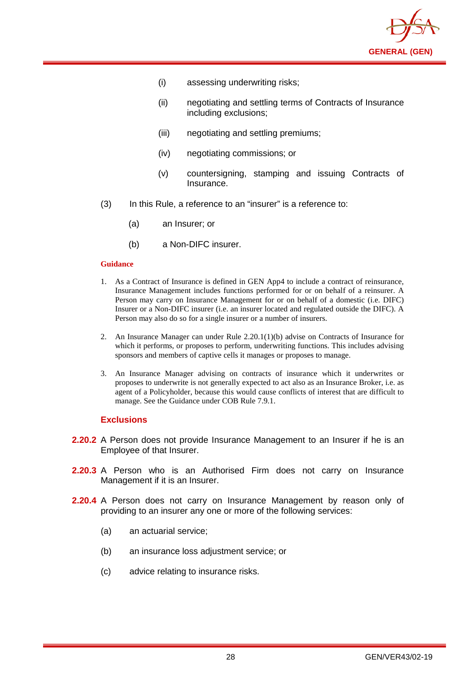

- (i) assessing underwriting risks;
- (ii) negotiating and settling terms of Contracts of Insurance including exclusions;
- (iii) negotiating and settling premiums;
- (iv) negotiating commissions; or
- (v) countersigning, stamping and issuing Contracts of Insurance.
- (3) In this Rule, a reference to an "insurer" is a reference to:
	- (a) an Insurer; or
	- (b) a Non-DIFC insurer.

- 1. As a Contract of Insurance is defined in GEN App4 to include a contract of reinsurance, Insurance Management includes functions performed for or on behalf of a reinsurer. A Person may carry on Insurance Management for or on behalf of a domestic (i.e. DIFC) Insurer or a Non-DIFC insurer (i.e. an insurer located and regulated outside the DIFC). A Person may also do so for a single insurer or a number of insurers.
- 2. An Insurance Manager can under Rule 2.20.1(1)(b) advise on Contracts of Insurance for which it performs, or proposes to perform, underwriting functions. This includes advising sponsors and members of captive cells it manages or proposes to manage.
- 3. An Insurance Manager advising on contracts of insurance which it underwrites or proposes to underwrite is not generally expected to act also as an Insurance Broker, i.e. as agent of a Policyholder, because this would cause conflicts of interest that are difficult to manage. See the Guidance under COB Rule 7.9.1.

#### **Exclusions**

- **2.20.2** A Person does not provide Insurance Management to an Insurer if he is an Employee of that Insurer.
- **2.20.3** A Person who is an Authorised Firm does not carry on Insurance Management if it is an Insurer.
- **2.20.4** A Person does not carry on Insurance Management by reason only of providing to an insurer any one or more of the following services:
	- (a) an actuarial service;
	- (b) an insurance loss adjustment service; or
	- (c) advice relating to insurance risks.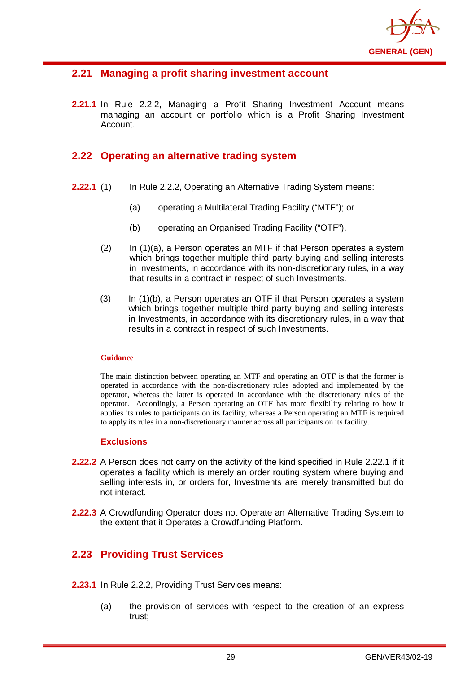

## <span id="page-32-0"></span>**2.21 Managing a profit sharing investment account**

**2.21.1** In Rule 2.2.2, Managing a Profit Sharing Investment Account means managing an account or portfolio which is a Profit Sharing Investment Account.

## <span id="page-32-1"></span>**2.22 Operating an alternative trading system**

- **2.22.1** (1) In Rule 2.2.2, Operating an Alternative Trading System means:
	- (a) operating a Multilateral Trading Facility ("MTF"); or
	- (b) operating an Organised Trading Facility ("OTF").
	- $(2)$  In  $(1)(a)$ , a Person operates an MTF if that Person operates a system which brings together multiple third party buying and selling interests in Investments, in accordance with its non-discretionary rules, in a way that results in a contract in respect of such Investments.
	- (3) In (1)(b), a Person operates an OTF if that Person operates a system which brings together multiple third party buying and selling interests in Investments, in accordance with its discretionary rules, in a way that results in a contract in respect of such Investments.

#### **Guidance**

The main distinction between operating an MTF and operating an OTF is that the former is operated in accordance with the non-discretionary rules adopted and implemented by the operator, whereas the latter is operated in accordance with the discretionary rules of the operator. Accordingly, a Person operating an OTF has more flexibility relating to how it applies its rules to participants on its facility, whereas a Person operating an MTF is required to apply its rules in a non-discretionary manner across all participants on its facility.

#### **Exclusions**

- **2.22.2** A Person does not carry on the activity of the kind specified in Rule 2.22.1 if it operates a facility which is merely an order routing system where buying and selling interests in, or orders for, Investments are merely transmitted but do not interact.
- **2.22.3** A Crowdfunding Operator does not Operate an Alternative Trading System to the extent that it Operates a Crowdfunding Platform.

## <span id="page-32-2"></span>**2.23 Providing Trust Services**

- **2.23.1** In Rule 2.2.2, Providing Trust Services means:
	- (a) the provision of services with respect to the creation of an express trust;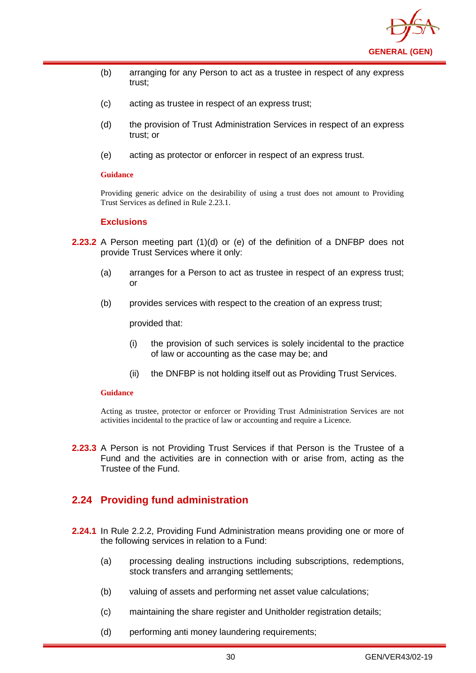

- (b) arranging for any Person to act as a trustee in respect of any express trust;
- (c) acting as trustee in respect of an express trust;
- (d) the provision of Trust Administration Services in respect of an express trust; or
- (e) acting as protector or enforcer in respect of an express trust.

Providing generic advice on the desirability of using a trust does not amount to Providing Trust Services as defined in Rule 2.23.1.

#### **Exclusions**

- **2.23.2** A Person meeting part (1)(d) or (e) of the definition of a DNFBP does not provide Trust Services where it only:
	- (a) arranges for a Person to act as trustee in respect of an express trust; or
	- (b) provides services with respect to the creation of an express trust;

provided that:

- (i) the provision of such services is solely incidental to the practice of law or accounting as the case may be; and
- (ii) the DNFBP is not holding itself out as Providing Trust Services.

#### **Guidance**

Acting as trustee, protector or enforcer or Providing Trust Administration Services are not activities incidental to the practice of law or accounting and require a Licence.

**2.23.3** A Person is not Providing Trust Services if that Person is the Trustee of a Fund and the activities are in connection with or arise from, acting as the Trustee of the Fund.

## <span id="page-33-0"></span>**2.24 Providing fund administration**

- **2.24.1** In Rule 2.2.2, Providing Fund Administration means providing one or more of the following services in relation to a Fund:
	- (a) processing dealing instructions including subscriptions, redemptions, stock transfers and arranging settlements;
	- (b) valuing of assets and performing net asset value calculations;
	- (c) maintaining the share register and Unitholder registration details;
	- (d) performing anti money laundering requirements;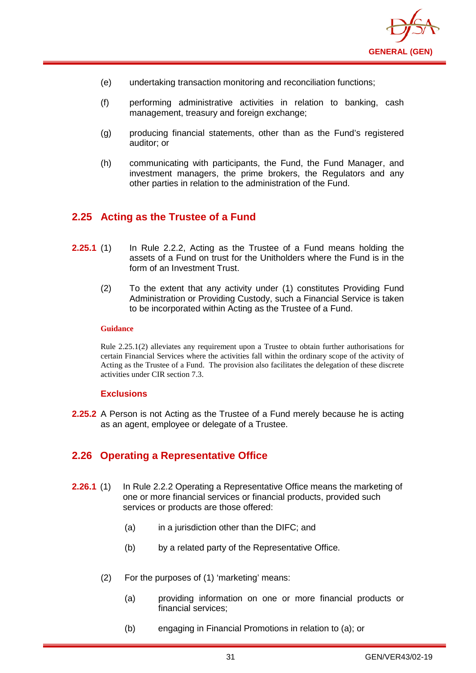

- (e) undertaking transaction monitoring and reconciliation functions;
- (f) performing administrative activities in relation to banking, cash management, treasury and foreign exchange;
- (g) producing financial statements, other than as the Fund's registered auditor; or
- (h) communicating with participants, the Fund, the Fund Manager, and investment managers, the prime brokers, the Regulators and any other parties in relation to the administration of the Fund.

## <span id="page-34-0"></span>**2.25 Acting as the Trustee of a Fund**

- **2.25.1** (1) In Rule 2.2.2, Acting as the Trustee of a Fund means holding the assets of a Fund on trust for the Unitholders where the Fund is in the form of an Investment Trust.
	- (2) To the extent that any activity under (1) constitutes Providing Fund Administration or Providing Custody, such a Financial Service is taken to be incorporated within Acting as the Trustee of a Fund.

#### **Guidance**

Rule 2.25.1(2) alleviates any requirement upon a Trustee to obtain further authorisations for certain Financial Services where the activities fall within the ordinary scope of the activity of Acting as the Trustee of a Fund. The provision also facilitates the delegation of these discrete activities under CIR section 7.3.

#### **Exclusions**

**2.25.2** A Person is not Acting as the Trustee of a Fund merely because he is acting as an agent, employee or delegate of a Trustee.

## <span id="page-34-1"></span>**2.26 Operating a Representative Office**

- **2.26.1** (1) In Rule 2.2.2 Operating a Representative Office means the marketing of one or more financial services or financial products, provided such services or products are those offered:
	- (a) in a jurisdiction other than the DIFC; and
	- (b) by a related party of the Representative Office.
	- (2) For the purposes of (1) 'marketing' means:
		- (a) providing information on one or more financial products or financial services;
		- (b) engaging in Financial Promotions in relation to (a); or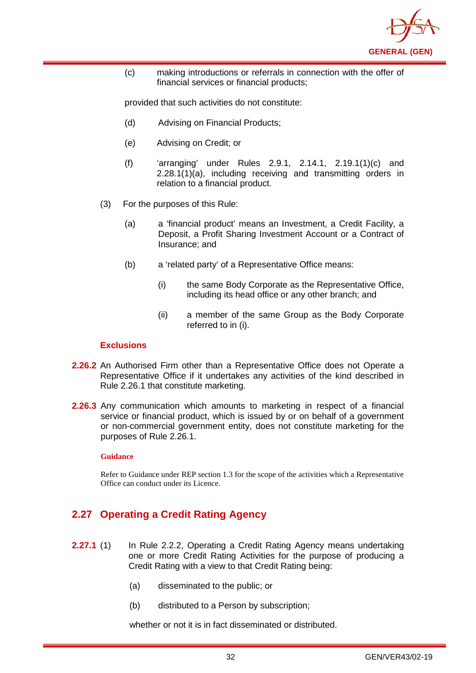

(c) making introductions or referrals in connection with the offer of financial services or financial products;

provided that such activities do not constitute:

- (d) Advising on Financial Products;
- (e) Advising on Credit; or
- (f) 'arranging' under Rules 2.9.1, 2.14.1, 2.19.1(1)(c) and  $2.28.1(1)(a)$ , including receiving and transmitting orders in relation to a financial product.
- (3) For the purposes of this Rule:
	- (a) a 'financial product' means an Investment, a Credit Facility, a Deposit, a Profit Sharing Investment Account or a Contract of Insurance; and
	- (b) a 'related party' of a Representative Office means:
		- (i) the same Body Corporate as the Representative Office, including its head office or any other branch; and
		- (ii) a member of the same Group as the Body Corporate referred to in (i).

#### **Exclusions**

- **2.26.2** An Authorised Firm other than a Representative Office does not Operate a Representative Office if it undertakes any activities of the kind described in Rule 2.26.1 that constitute marketing.
- **2.26.3** Any communication which amounts to marketing in respect of a financial service or financial product, which is issued by or on behalf of a government or non-commercial government entity, does not constitute marketing for the purposes of Rule 2.26.1.

#### **Guidance**

Refer to Guidance under REP section 1.3 for the scope of the activities which a Representative Office can conduct under its Licence.

## <span id="page-35-0"></span>**2.27 Operating a Credit Rating Agency**

- **2.27.1** (1) In Rule 2.2.2, Operating a Credit Rating Agency means undertaking one or more Credit Rating Activities for the purpose of producing a Credit Rating with a view to that Credit Rating being:
	- (a) disseminated to the public; or
	- (b) distributed to a Person by subscription;

whether or not it is in fact disseminated or distributed.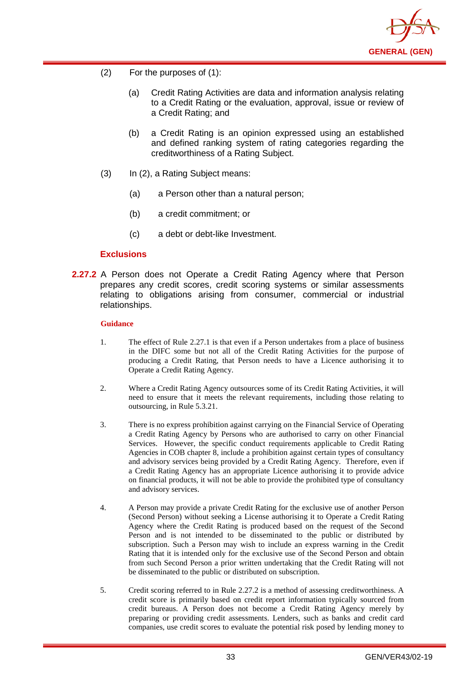

- (2) For the purposes of (1):
	- (a) Credit Rating Activities are data and information analysis relating to a Credit Rating or the evaluation, approval, issue or review of a Credit Rating; and
	- (b) a Credit Rating is an opinion expressed using an established and defined ranking system of rating categories regarding the creditworthiness of a Rating Subject.
- (3) In (2), a Rating Subject means:
	- (a) a Person other than a natural person;
	- (b) a credit commitment; or
	- (c) a debt or debt-like Investment.

### **Exclusions**

**2.27.2** A Person does not Operate a Credit Rating Agency where that Person prepares any credit scores, credit scoring systems or similar assessments relating to obligations arising from consumer, commercial or industrial relationships.

#### **Guidance**

- 1. The effect of Rule 2.27.1 is that even if a Person undertakes from a place of business in the DIFC some but not all of the Credit Rating Activities for the purpose of producing a Credit Rating, that Person needs to have a Licence authorising it to Operate a Credit Rating Agency.
- 2. Where a Credit Rating Agency outsources some of its Credit Rating Activities, it will need to ensure that it meets the relevant requirements, including those relating to outsourcing, in Rule 5.3.21.
- 3. There is no express prohibition against carrying on the Financial Service of Operating a Credit Rating Agency by Persons who are authorised to carry on other Financial Services. However, the specific conduct requirements applicable to Credit Rating Agencies in COB chapter 8, include a prohibition against certain types of consultancy and advisory services being provided by a Credit Rating Agency. Therefore, even if a Credit Rating Agency has an appropriate Licence authorising it to provide advice on financial products, it will not be able to provide the prohibited type of consultancy and advisory services.
- 4. A Person may provide a private Credit Rating for the exclusive use of another Person (Second Person) without seeking a License authorising it to Operate a Credit Rating Agency where the Credit Rating is produced based on the request of the Second Person and is not intended to be disseminated to the public or distributed by subscription. Such a Person may wish to include an express warning in the Credit Rating that it is intended only for the exclusive use of the Second Person and obtain from such Second Person a prior written undertaking that the Credit Rating will not be disseminated to the public or distributed on subscription.
- 5. Credit scoring referred to in Rule 2.27.2 is a method of assessing creditworthiness. A credit score is primarily based on credit report information typically sourced from credit bureaus. A Person does not become a Credit Rating Agency merely by preparing or providing credit assessments. Lenders, such as banks and credit card companies, use credit scores to evaluate the potential risk posed by lending money to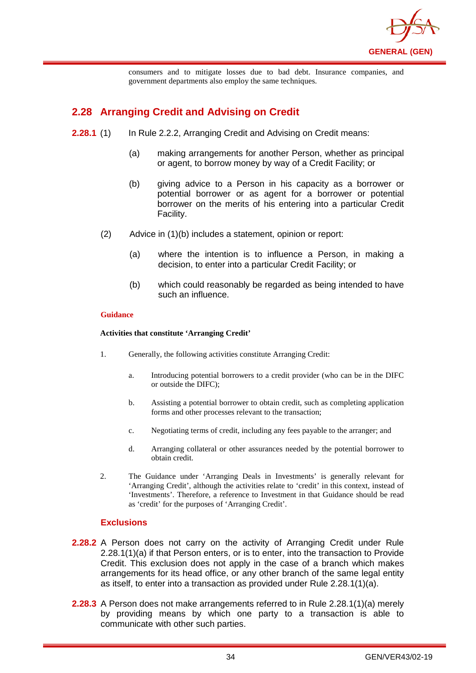

consumers and to mitigate losses due to bad debt. Insurance companies, and government departments also employ the same techniques.

# **2.28 Arranging Credit and Advising on Credit**

- **2.28.1** (1) In Rule 2.2.2, Arranging Credit and Advising on Credit means:
	- (a) making arrangements for another Person, whether as principal or agent, to borrow money by way of a Credit Facility; or
	- (b) giving advice to a Person in his capacity as a borrower or potential borrower or as agent for a borrower or potential borrower on the merits of his entering into a particular Credit Facility.
	- (2) Advice in (1)(b) includes a statement, opinion or report:
		- (a) where the intention is to influence a Person, in making a decision, to enter into a particular Credit Facility; or
		- (b) which could reasonably be regarded as being intended to have such an influence.

#### **Guidance**

#### **Activities that constitute 'Arranging Credit'**

- 1. Generally, the following activities constitute Arranging Credit:
	- a. Introducing potential borrowers to a credit provider (who can be in the DIFC or outside the DIFC);
	- b. Assisting a potential borrower to obtain credit, such as completing application forms and other processes relevant to the transaction;
	- c. Negotiating terms of credit, including any fees payable to the arranger; and
	- d. Arranging collateral or other assurances needed by the potential borrower to obtain credit.
- 2. The Guidance under 'Arranging Deals in Investments' is generally relevant for 'Arranging Credit', although the activities relate to 'credit' in this context, instead of 'Investments'. Therefore, a reference to Investment in that Guidance should be read as 'credit' for the purposes of 'Arranging Credit'.

## **Exclusions**

- **2.28.2** A Person does not carry on the activity of Arranging Credit under Rule 2.28.1(1)(a) if that Person enters, or is to enter, into the transaction to Provide Credit. This exclusion does not apply in the case of a branch which makes arrangements for its head office, or any other branch of the same legal entity as itself, to enter into a transaction as provided under Rule 2.28.1(1)(a).
- **2.28.3** A Person does not make arrangements referred to in Rule 2.28.1(1)(a) merely by providing means by which one party to a transaction is able to communicate with other such parties.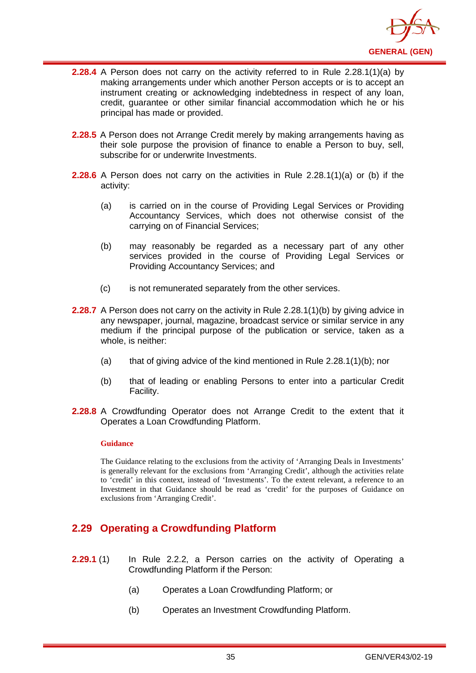

- **2.28.4** A Person does not carry on the activity referred to in Rule 2.28.1(1)(a) by making arrangements under which another Person accepts or is to accept an instrument creating or acknowledging indebtedness in respect of any loan, credit, guarantee or other similar financial accommodation which he or his principal has made or provided.
- **2.28.5** A Person does not Arrange Credit merely by making arrangements having as their sole purpose the provision of finance to enable a Person to buy, sell, subscribe for or underwrite Investments.
- **2.28.6** A Person does not carry on the activities in Rule 2.28.1(1)(a) or (b) if the activity:
	- (a) is carried on in the course of Providing Legal Services or Providing Accountancy Services, which does not otherwise consist of the carrying on of Financial Services;
	- (b) may reasonably be regarded as a necessary part of any other services provided in the course of Providing Legal Services or Providing Accountancy Services; and
	- (c) is not remunerated separately from the other services.
- **2.28.7** A Person does not carry on the activity in Rule 2.28.1(1)(b) by giving advice in any newspaper, journal, magazine, broadcast service or similar service in any medium if the principal purpose of the publication or service, taken as a whole, is neither:
	- (a) that of giving advice of the kind mentioned in Rule  $2.28.1(1)(b)$ ; nor
	- (b) that of leading or enabling Persons to enter into a particular Credit Facility.
- **2.28.8** A Crowdfunding Operator does not Arrange Credit to the extent that it Operates a Loan Crowdfunding Platform.

The Guidance relating to the exclusions from the activity of 'Arranging Deals in Investments' is generally relevant for the exclusions from 'Arranging Credit', although the activities relate to 'credit' in this context, instead of 'Investments'. To the extent relevant, a reference to an Investment in that Guidance should be read as 'credit' for the purposes of Guidance on exclusions from 'Arranging Credit'.

# **2.29 Operating a Crowdfunding Platform**

- **2.29.1** (1) In Rule 2.2.2, a Person carries on the activity of Operating a Crowdfunding Platform if the Person:
	- (a) Operates a Loan Crowdfunding Platform; or
	- (b) Operates an Investment Crowdfunding Platform.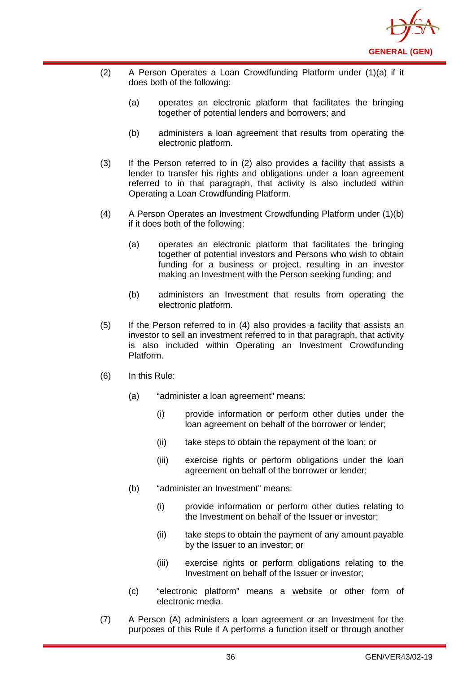

- (2) A Person Operates a Loan Crowdfunding Platform under (1)(a) if it does both of the following:
	- (a) operates an electronic platform that facilitates the bringing together of potential lenders and borrowers; and
	- (b) administers a loan agreement that results from operating the electronic platform.
- (3) If the Person referred to in (2) also provides a facility that assists a lender to transfer his rights and obligations under a loan agreement referred to in that paragraph, that activity is also included within Operating a Loan Crowdfunding Platform.
- (4) A Person Operates an Investment Crowdfunding Platform under (1)(b) if it does both of the following:
	- (a) operates an electronic platform that facilitates the bringing together of potential investors and Persons who wish to obtain funding for a business or project, resulting in an investor making an Investment with the Person seeking funding; and
	- (b) administers an Investment that results from operating the electronic platform.
- (5) If the Person referred to in (4) also provides a facility that assists an investor to sell an investment referred to in that paragraph, that activity is also included within Operating an Investment Crowdfunding Platform.
- (6) In this Rule:
	- (a) "administer a loan agreement" means:
		- (i) provide information or perform other duties under the loan agreement on behalf of the borrower or lender;
		- (ii) take steps to obtain the repayment of the loan; or
		- (iii) exercise rights or perform obligations under the loan agreement on behalf of the borrower or lender;
	- (b) "administer an Investment" means:
		- (i) provide information or perform other duties relating to the Investment on behalf of the Issuer or investor;
		- (ii) take steps to obtain the payment of any amount payable by the Issuer to an investor; or
		- (iii) exercise rights or perform obligations relating to the Investment on behalf of the Issuer or investor;
	- (c) "electronic platform" means a website or other form of electronic media.
- (7) A Person (A) administers a loan agreement or an Investment for the purposes of this Rule if A performs a function itself or through another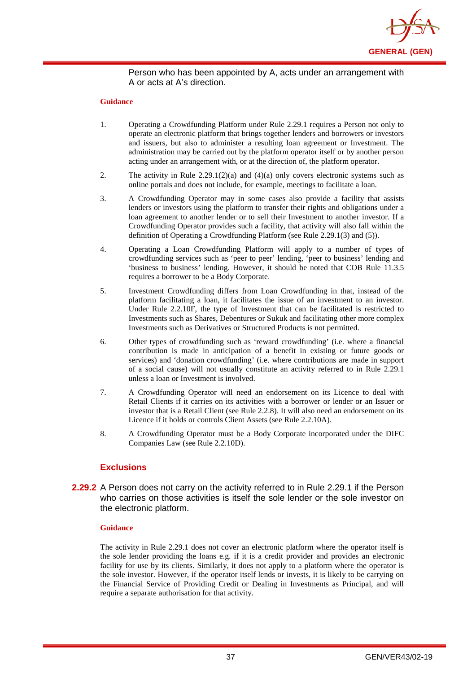

### Person who has been appointed by A, acts under an arrangement with A or acts at A's direction.

#### **Guidance**

- 1. Operating a Crowdfunding Platform under Rule 2.29.1 requires a Person not only to operate an electronic platform that brings together lenders and borrowers or investors and issuers, but also to administer a resulting loan agreement or Investment. The administration may be carried out by the platform operator itself or by another person acting under an arrangement with, or at the direction of, the platform operator.
- 2. The activity in Rule  $2.29.1(2)(a)$  and  $(4)(a)$  only covers electronic systems such as online portals and does not include, for example, meetings to facilitate a loan.
- 3. A Crowdfunding Operator may in some cases also provide a facility that assists lenders or investors using the platform to transfer their rights and obligations under a loan agreement to another lender or to sell their Investment to another investor. If a Crowdfunding Operator provides such a facility, that activity will also fall within the definition of Operating a Crowdfunding Platform (see Rule 2.29.1(3) and (5)).
- 4. Operating a Loan Crowdfunding Platform will apply to a number of types of crowdfunding services such as 'peer to peer' lending, 'peer to business' lending and 'business to business' lending. However, it should be noted that COB Rule 11.3.5 requires a borrower to be a Body Corporate.
- 5. Investment Crowdfunding differs from Loan Crowdfunding in that, instead of the platform facilitating a loan, it facilitates the issue of an investment to an investor. Under Rule 2.2.10F, the type of Investment that can be facilitated is restricted to Investments such as Shares, Debentures or Sukuk and facilitating other more complex Investments such as Derivatives or Structured Products is not permitted.
- 6. Other types of crowdfunding such as 'reward crowdfunding' (i.e. where a financial contribution is made in anticipation of a benefit in existing or future goods or services) and 'donation crowdfunding' (i.e. where contributions are made in support of a social cause) will not usually constitute an activity referred to in Rule 2.29.1 unless a loan or Investment is involved.
- 7. A Crowdfunding Operator will need an endorsement on its Licence to deal with Retail Clients if it carries on its activities with a borrower or lender or an Issuer or investor that is a Retail Client (see Rule 2.2.8). It will also need an endorsement on its Licence if it holds or controls Client Assets (see Rule 2.2.10A).
- 8. A Crowdfunding Operator must be a Body Corporate incorporated under the DIFC Companies Law (see Rule 2.2.10D).

## **Exclusions**

**2.29.2** A Person does not carry on the activity referred to in Rule 2.29.1 if the Person who carries on those activities is itself the sole lender or the sole investor on the electronic platform.

#### **Guidance**

The activity in Rule 2.29.1 does not cover an electronic platform where the operator itself is the sole lender providing the loans e.g. if it is a credit provider and provides an electronic facility for use by its clients. Similarly, it does not apply to a platform where the operator is the sole investor. However, if the operator itself lends or invests, it is likely to be carrying on the Financial Service of Providing Credit or Dealing in Investments as Principal, and will require a separate authorisation for that activity.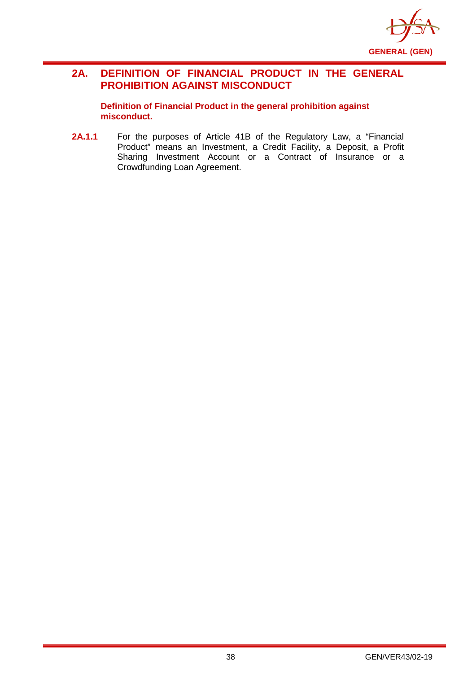

# **2A. DEFINITION OF FINANCIAL PRODUCT IN THE GENERAL PROHIBITION AGAINST MISCONDUCT**

**Definition of Financial Product in the general prohibition against misconduct.**

**2A.1.1** For the purposes of Article 41B of the Regulatory Law, a "Financial Product" means an Investment, a Credit Facility, a Deposit, a Profit Sharing Investment Account or a Contract of Insurance or a Crowdfunding Loan Agreement.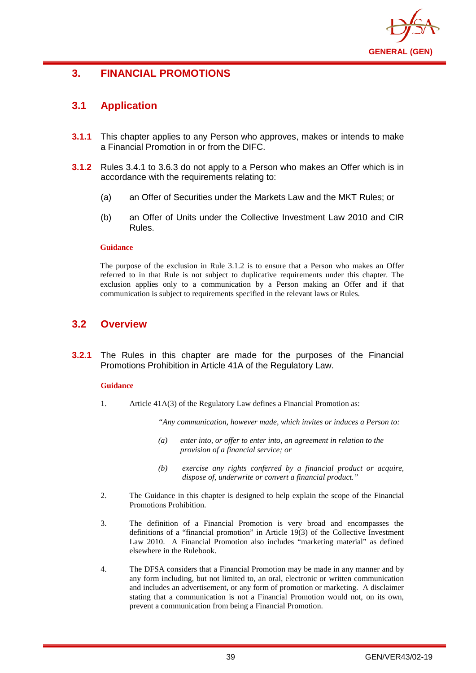

# **3. FINANCIAL PROMOTIONS**

# **3.1 Application**

- **3.1.1** This chapter applies to any Person who approves, makes or intends to make a Financial Promotion in or from the DIFC.
- **3.1.2** Rules 3.4.1 to 3.6.3 do not apply to a Person who makes an Offer which is in accordance with the requirements relating to:
	- (a) an Offer of Securities under the Markets Law and the MKT Rules; or
	- (b) an Offer of Units under the Collective Investment Law 2010 and CIR Rules.

### **Guidance**

The purpose of the exclusion in Rule 3.1.2 is to ensure that a Person who makes an Offer referred to in that Rule is not subject to duplicative requirements under this chapter. The exclusion applies only to a communication by a Person making an Offer and if that communication is subject to requirements specified in the relevant laws or Rules.

# **3.2 Overview**

**3.2.1** The Rules in this chapter are made for the purposes of the Financial Promotions Prohibition in Article 41A of the Regulatory Law.

### **Guidance**

1. Article 41A(3) of the Regulatory Law defines a Financial Promotion as:

*"Any communication, however made, which invites or induces a Person to:*

- *(a) enter into, or offer to enter into, an agreement in relation to the provision of a financial service; or*
- *(b) exercise any rights conferred by a financial product or acquire, dispose of, underwrite or convert a financial product."*
- 2. The Guidance in this chapter is designed to help explain the scope of the Financial Promotions Prohibition.
- 3. The definition of a Financial Promotion is very broad and encompasses the definitions of a "financial promotion" in Article 19(3) of the Collective Investment Law 2010. A Financial Promotion also includes "marketing material" as defined elsewhere in the Rulebook.
- 4. The DFSA considers that a Financial Promotion may be made in any manner and by any form including, but not limited to, an oral, electronic or written communication and includes an advertisement, or any form of promotion or marketing. A disclaimer stating that a communication is not a Financial Promotion would not, on its own, prevent a communication from being a Financial Promotion.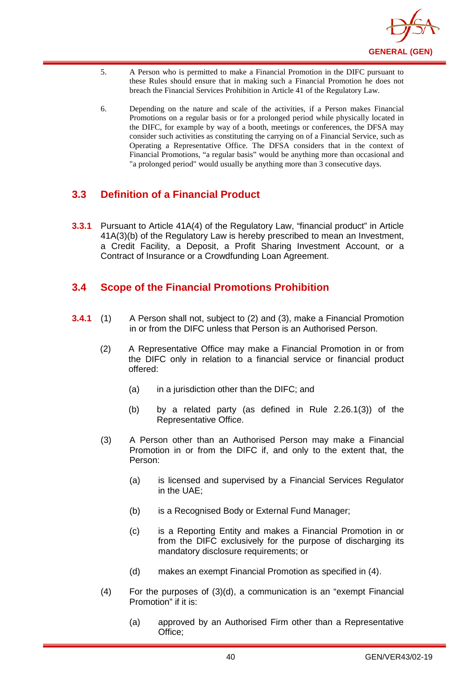

- 5. A Person who is permitted to make a Financial Promotion in the DIFC pursuant to these Rules should ensure that in making such a Financial Promotion he does not breach the Financial Services Prohibition in Article 41 of the Regulatory Law.
- 6. Depending on the nature and scale of the activities, if a Person makes Financial Promotions on a regular basis or for a prolonged period while physically located in the DIFC, for example by way of a booth, meetings or conferences, the DFSA may consider such activities as constituting the carrying on of a Financial Service, such as Operating a Representative Office. The DFSA considers that in the context of Financial Promotions, "a regular basis" would be anything more than occasional and "a prolonged period" would usually be anything more than 3 consecutive days.

# **3.3 Definition of a Financial Product**

**3.3.1** Pursuant to Article 41A(4) of the Regulatory Law, "financial product" in Article 41A(3)(b) of the Regulatory Law is hereby prescribed to mean an Investment, a Credit Facility, a Deposit, a Profit Sharing Investment Account, or a Contract of Insurance or a Crowdfunding Loan Agreement.

# **3.4 Scope of the Financial Promotions Prohibition**

- **3.4.1** (1) A Person shall not, subject to (2) and (3), make a Financial Promotion in or from the DIFC unless that Person is an Authorised Person.
	- (2) A Representative Office may make a Financial Promotion in or from the DIFC only in relation to a financial service or financial product offered:
		- (a) in a jurisdiction other than the DIFC; and
		- (b) by a related party (as defined in Rule 2.26.1(3)) of the Representative Office.
	- (3) A Person other than an Authorised Person may make a Financial Promotion in or from the DIFC if, and only to the extent that, the Person:
		- (a) is licensed and supervised by a Financial Services Regulator in the UAE;
		- (b) is a Recognised Body or External Fund Manager;
		- (c) is a Reporting Entity and makes a Financial Promotion in or from the DIFC exclusively for the purpose of discharging its mandatory disclosure requirements; or
		- (d) makes an exempt Financial Promotion as specified in (4).
	- (4) For the purposes of (3)(d), a communication is an "exempt Financial Promotion" if it is:
		- (a) approved by an Authorised Firm other than a Representative Office;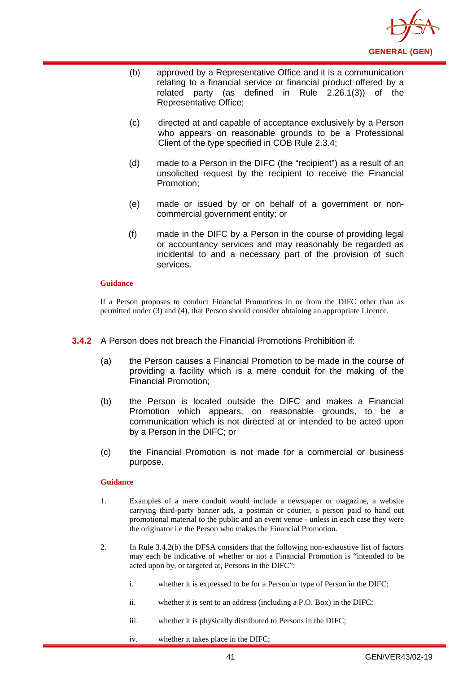

- (b) approved by a Representative Office and it is a communication relating to a financial service or financial product offered by a related party (as defined in Rule 2.26.1(3)) of the Representative Office;
- (c) directed at and capable of acceptance exclusively by a Person who appears on reasonable grounds to be a Professional Client of the type specified in COB Rule 2.3.4;
- (d) made to a Person in the DIFC (the "recipient") as a result of an unsolicited request by the recipient to receive the Financial Promotion;
- (e) made or issued by or on behalf of a government or noncommercial government entity; or
- (f) made in the DIFC by a Person in the course of providing legal or accountancy services and may reasonably be regarded as incidental to and a necessary part of the provision of such services.

If a Person proposes to conduct Financial Promotions in or from the DIFC other than as permitted under (3) and (4), that Person should consider obtaining an appropriate Licence.

- **3.4.2** A Person does not breach the Financial Promotions Prohibition if:
	- (a) the Person causes a Financial Promotion to be made in the course of providing a facility which is a mere conduit for the making of the Financial Promotion;
	- (b) the Person is located outside the DIFC and makes a Financial Promotion which appears, on reasonable grounds, to be a communication which is not directed at or intended to be acted upon by a Person in the DIFC; or
	- (c) the Financial Promotion is not made for a commercial or business purpose.

#### **Guidance**

- 1. Examples of a mere conduit would include a newspaper or magazine, a website carrying third-party banner ads, a postman or courier, a person paid to hand out promotional material to the public and an event venue - unless in each case they were the originator i.e the Person who makes the Financial Promotion.
- 2. In Rule 3.4.2(b) the DFSA considers that the following non-exhaustive list of factors may each be indicative of whether or not a Financial Promotion is "intended to be acted upon by, or targeted at, Persons in the DIFC":
	- i. whether it is expressed to be for a Person or type of Person in the DIFC;
	- ii. whether it is sent to an address (including a P.O. Box) in the DIFC;
	- iii. whether it is physically distributed to Persons in the DIFC;
	- iv. whether it takes place in the DIFC;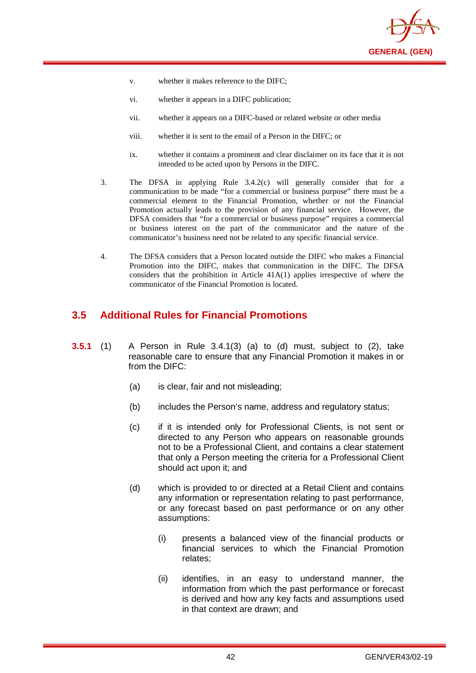

- v. whether it makes reference to the DIFC;
- vi. whether it appears in a DIFC publication;
- vii. whether it appears on a DIFC-based or related website or other media
- viii. whether it is sent to the email of a Person in the DIFC; or
- ix. whether it contains a prominent and clear disclaimer on its face that it is not intended to be acted upon by Persons in the DIFC.
- 3. The DFSA in applying Rule 3.4.2(c) will generally consider that for a communication to be made "for a commercial or business purpose" there must be a commercial element to the Financial Promotion, whether or not the Financial Promotion actually leads to the provision of any financial service. However, the DFSA considers that "for a commercial or business purpose" requires a commercial or business interest on the part of the communicator and the nature of the communicator's business need not be related to any specific financial service.
- 4. The DFSA considers that a Person located outside the DIFC who makes a Financial Promotion into the DIFC, makes that communication in the DIFC. The DFSA considers that the prohibition in Article 41A(1) applies irrespective of where the communicator of the Financial Promotion is located.

## **3.5 Additional Rules for Financial Promotions**

- **3.5.1** (1) A Person in Rule 3.4.1(3) (a) to (d) must, subject to (2), take reasonable care to ensure that any Financial Promotion it makes in or from the DIFC:
	- (a) is clear, fair and not misleading;
	- (b) includes the Person's name, address and regulatory status;
	- (c) if it is intended only for Professional Clients, is not sent or directed to any Person who appears on reasonable grounds not to be a Professional Client, and contains a clear statement that only a Person meeting the criteria for a Professional Client should act upon it; and
	- (d) which is provided to or directed at a Retail Client and contains any information or representation relating to past performance, or any forecast based on past performance or on any other assumptions:
		- (i) presents a balanced view of the financial products or financial services to which the Financial Promotion relates;
		- (ii) identifies, in an easy to understand manner, the information from which the past performance or forecast is derived and how any key facts and assumptions used in that context are drawn; and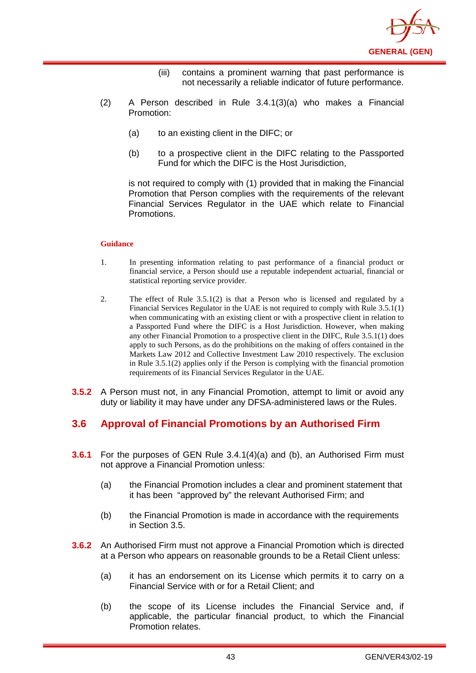

- (iii) contains a prominent warning that past performance is not necessarily a reliable indicator of future performance.
- (2) A Person described in Rule 3.4.1(3)(a) who makes a Financial Promotion:
	- (a) to an existing client in the DIFC; or
	- (b) to a prospective client in the DIFC relating to the Passported Fund for which the DIFC is the Host Jurisdiction,

is not required to comply with (1) provided that in making the Financial Promotion that Person complies with the requirements of the relevant Financial Services Regulator in the UAE which relate to Financial Promotions.

#### **Guidance**

- 1. In presenting information relating to past performance of a financial product or financial service, a Person should use a reputable independent actuarial, financial or statistical reporting service provider.
- 2. The effect of Rule 3.5.1(2) is that a Person who is licensed and regulated by a Financial Services Regulator in the UAE is not required to comply with Rule 3.5.1(1) when communicating with an existing client or with a prospective client in relation to a Passported Fund where the DIFC is a Host Jurisdiction. However, when making any other Financial Promotion to a prospective client in the DIFC, Rule 3.5.1(1) does apply to such Persons, as do the prohibitions on the making of offers contained in the Markets Law 2012 and Collective Investment Law 2010 respectively. The exclusion in Rule 3.5.1(2) applies only if the Person is complying with the financial promotion requirements of its Financial Services Regulator in the UAE.
- **3.5.2** A Person must not, in any Financial Promotion, attempt to limit or avoid any duty or liability it may have under any DFSA-administered laws or the Rules.

## **3.6 Approval of Financial Promotions by an Authorised Firm**

- **3.6.1** For the purposes of GEN Rule 3.4.1(4)(a) and (b), an Authorised Firm must not approve a Financial Promotion unless:
	- (a) the Financial Promotion includes a clear and prominent statement that it has been "approved by" the relevant Authorised Firm; and
	- (b) the Financial Promotion is made in accordance with the requirements in Section 3.5.
- **3.6.2** An Authorised Firm must not approve a Financial Promotion which is directed at a Person who appears on reasonable grounds to be a Retail Client unless:
	- (a) it has an endorsement on its License which permits it to carry on a Financial Service with or for a Retail Client; and
	- (b) the scope of its License includes the Financial Service and, if applicable, the particular financial product, to which the Financial Promotion relates.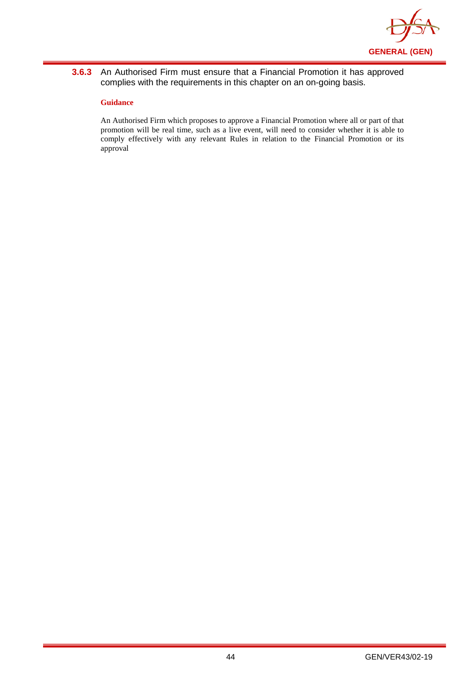

## **3.6.3** An Authorised Firm must ensure that a Financial Promotion it has approved complies with the requirements in this chapter on an on-going basis.

### **Guidance**

An Authorised Firm which proposes to approve a Financial Promotion where all or part of that promotion will be real time, such as a live event, will need to consider whether it is able to comply effectively with any relevant Rules in relation to the Financial Promotion or its approval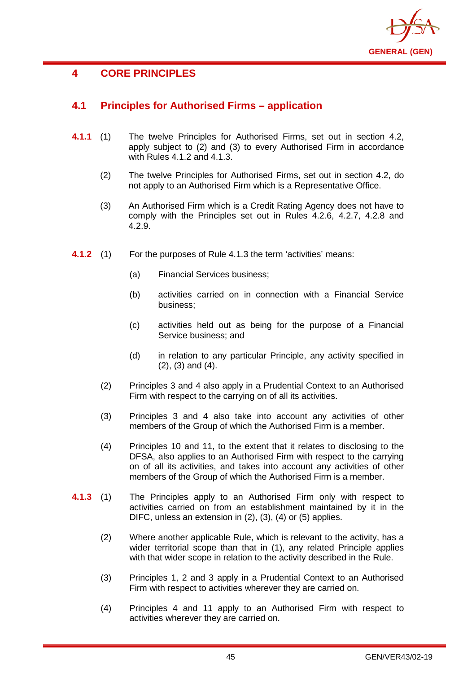

# **4 CORE PRINCIPLES**

# **4.1 Principles for Authorised Firms – application**

- **4.1.1** (1) The twelve Principles for Authorised Firms, set out in section 4.2, apply subject to (2) and (3) to every Authorised Firm in accordance with Rules 4.1.2 and 4.1.3.
	- (2) The twelve Principles for Authorised Firms, set out in section 4.2, do not apply to an Authorised Firm which is a Representative Office.
	- (3) An Authorised Firm which is a Credit Rating Agency does not have to comply with the Principles set out in Rules 4.2.6, 4.2.7, 4.2.8 and 4.2.9.
- **4.1.2** (1) For the purposes of Rule 4.1.3 the term 'activities' means:
	- (a) Financial Services business;
	- (b) activities carried on in connection with a Financial Service business;
	- (c) activities held out as being for the purpose of a Financial Service business; and
	- (d) in relation to any particular Principle, any activity specified in (2), (3) and (4).
	- (2) Principles 3 and 4 also apply in a Prudential Context to an Authorised Firm with respect to the carrying on of all its activities.
	- (3) Principles 3 and 4 also take into account any activities of other members of the Group of which the Authorised Firm is a member.
	- (4) Principles 10 and 11, to the extent that it relates to disclosing to the DFSA, also applies to an Authorised Firm with respect to the carrying on of all its activities, and takes into account any activities of other members of the Group of which the Authorised Firm is a member.
- **4.1.3** (1) The Principles apply to an Authorised Firm only with respect to activities carried on from an establishment maintained by it in the DIFC, unless an extension in (2), (3), (4) or (5) applies.
	- (2) Where another applicable Rule, which is relevant to the activity, has a wider territorial scope than that in (1), any related Principle applies with that wider scope in relation to the activity described in the Rule.
	- (3) Principles 1, 2 and 3 apply in a Prudential Context to an Authorised Firm with respect to activities wherever they are carried on.
	- (4) Principles 4 and 11 apply to an Authorised Firm with respect to activities wherever they are carried on.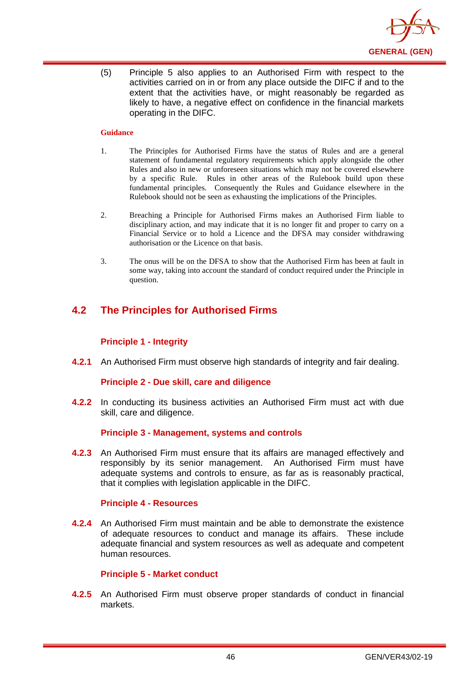

(5) Principle 5 also applies to an Authorised Firm with respect to the activities carried on in or from any place outside the DIFC if and to the extent that the activities have, or might reasonably be regarded as likely to have, a negative effect on confidence in the financial markets operating in the DIFC.

### **Guidance**

- 1. The Principles for Authorised Firms have the status of Rules and are a general statement of fundamental regulatory requirements which apply alongside the other Rules and also in new or unforeseen situations which may not be covered elsewhere by a specific Rule. Rules in other areas of the Rulebook build upon these fundamental principles. Consequently the Rules and Guidance elsewhere in the Rulebook should not be seen as exhausting the implications of the Principles.
- 2. Breaching a Principle for Authorised Firms makes an Authorised Firm liable to disciplinary action, and may indicate that it is no longer fit and proper to carry on a Financial Service or to hold a Licence and the DFSA may consider withdrawing authorisation or the Licence on that basis.
- 3. The onus will be on the DFSA to show that the Authorised Firm has been at fault in some way, taking into account the standard of conduct required under the Principle in question.

# **4.2 The Principles for Authorised Firms**

### **Principle 1 - Integrity**

**4.2.1** An Authorised Firm must observe high standards of integrity and fair dealing.

### **Principle 2 - Due skill, care and diligence**

**4.2.2** In conducting its business activities an Authorised Firm must act with due skill, care and diligence.

### **Principle 3 - Management, systems and controls**

**4.2.3** An Authorised Firm must ensure that its affairs are managed effectively and responsibly by its senior management. An Authorised Firm must have adequate systems and controls to ensure, as far as is reasonably practical, that it complies with legislation applicable in the DIFC.

## **Principle 4 - Resources**

**4.2.4** An Authorised Firm must maintain and be able to demonstrate the existence of adequate resources to conduct and manage its affairs. These include adequate financial and system resources as well as adequate and competent human resources.

### **Principle 5 - Market conduct**

**4.2.5** An Authorised Firm must observe proper standards of conduct in financial markets.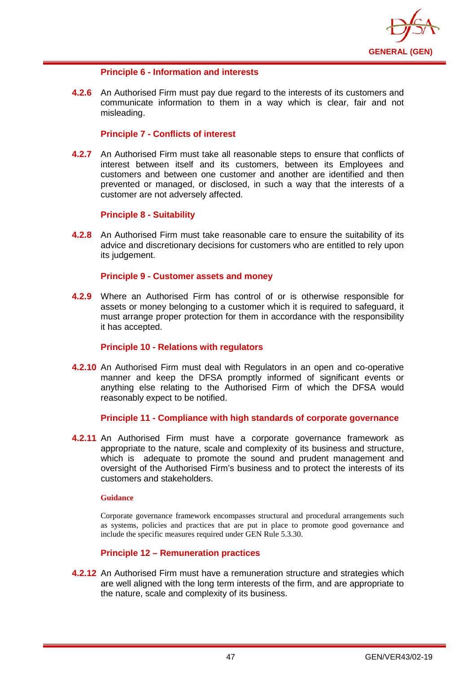

## **Principle 6 - Information and interests**

**4.2.6** An Authorised Firm must pay due regard to the interests of its customers and communicate information to them in a way which is clear, fair and not misleading.

## **Principle 7 - Conflicts of interest**

**4.2.7** An Authorised Firm must take all reasonable steps to ensure that conflicts of interest between itself and its customers, between its Employees and customers and between one customer and another are identified and then prevented or managed, or disclosed, in such a way that the interests of a customer are not adversely affected.

## **Principle 8 - Suitability**

**4.2.8** An Authorised Firm must take reasonable care to ensure the suitability of its advice and discretionary decisions for customers who are entitled to rely upon its judgement.

## **Principle 9 - Customer assets and money**

**4.2.9** Where an Authorised Firm has control of or is otherwise responsible for assets or money belonging to a customer which it is required to safeguard, it must arrange proper protection for them in accordance with the responsibility it has accepted.

### **Principle 10 - Relations with regulators**

**4.2.10** An Authorised Firm must deal with Regulators in an open and co-operative manner and keep the DFSA promptly informed of significant events or anything else relating to the Authorised Firm of which the DFSA would reasonably expect to be notified.

### **Principle 11 - Compliance with high standards of corporate governance**

**4.2.11** An Authorised Firm must have a corporate governance framework as appropriate to the nature, scale and complexity of its business and structure, which is adequate to promote the sound and prudent management and oversight of the Authorised Firm's business and to protect the interests of its customers and stakeholders.

#### **Guidance**

Corporate governance framework encompasses structural and procedural arrangements such as systems, policies and practices that are put in place to promote good governance and include the specific measures required under GEN Rule 5.3.30.

## **Principle 12 – Remuneration practices**

**4.2.12** An Authorised Firm must have a remuneration structure and strategies which are well aligned with the long term interests of the firm, and are appropriate to the nature, scale and complexity of its business.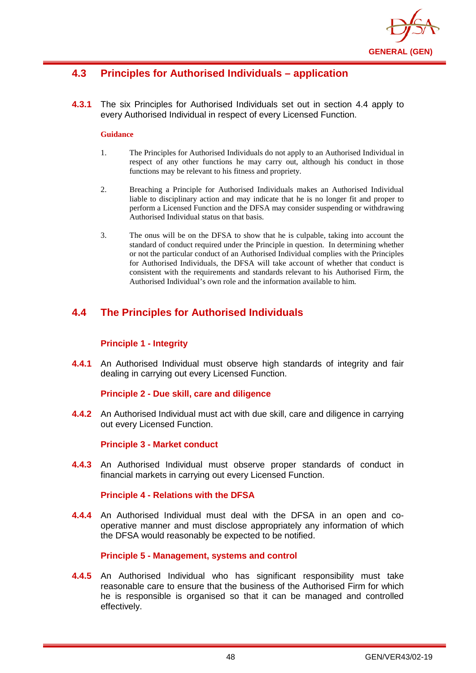

# **4.3 Principles for Authorised Individuals – application**

**4.3.1** The six Principles for Authorised Individuals set out in section 4.4 apply to every Authorised Individual in respect of every Licensed Function.

#### **Guidance**

- 1. The Principles for Authorised Individuals do not apply to an Authorised Individual in respect of any other functions he may carry out, although his conduct in those functions may be relevant to his fitness and propriety.
- 2. Breaching a Principle for Authorised Individuals makes an Authorised Individual liable to disciplinary action and may indicate that he is no longer fit and proper to perform a Licensed Function and the DFSA may consider suspending or withdrawing Authorised Individual status on that basis.
- 3. The onus will be on the DFSA to show that he is culpable, taking into account the standard of conduct required under the Principle in question. In determining whether or not the particular conduct of an Authorised Individual complies with the Principles for Authorised Individuals, the DFSA will take account of whether that conduct is consistent with the requirements and standards relevant to his Authorised Firm, the Authorised Individual's own role and the information available to him.

# **4.4 The Principles for Authorised Individuals**

## **Principle 1 - Integrity**

**4.4.1** An Authorised Individual must observe high standards of integrity and fair dealing in carrying out every Licensed Function.

### **Principle 2 - Due skill, care and diligence**

**4.4.2** An Authorised Individual must act with due skill, care and diligence in carrying out every Licensed Function.

### **Principle 3 - Market conduct**

**4.4.3** An Authorised Individual must observe proper standards of conduct in financial markets in carrying out every Licensed Function.

### **Principle 4 - Relations with the DFSA**

**4.4.4** An Authorised Individual must deal with the DFSA in an open and cooperative manner and must disclose appropriately any information of which the DFSA would reasonably be expected to be notified.

### **Principle 5 - Management, systems and control**

**4.4.5** An Authorised Individual who has significant responsibility must take reasonable care to ensure that the business of the Authorised Firm for which he is responsible is organised so that it can be managed and controlled effectively.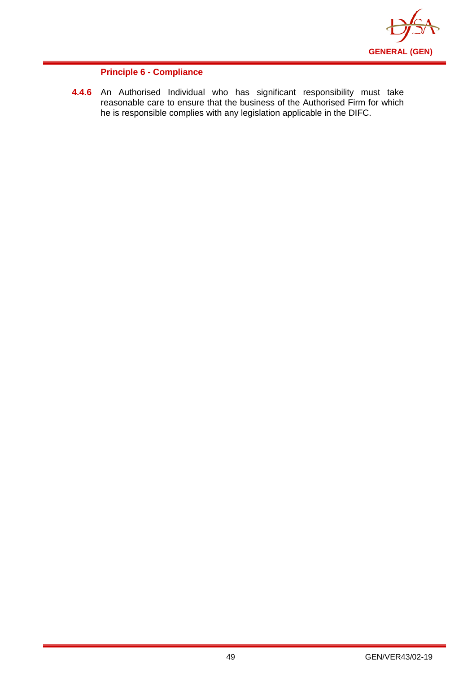

## **Principle 6 - Compliance**

**4.4.6** An Authorised Individual who has significant responsibility must take reasonable care to ensure that the business of the Authorised Firm for which he is responsible complies with any legislation applicable in the DIFC.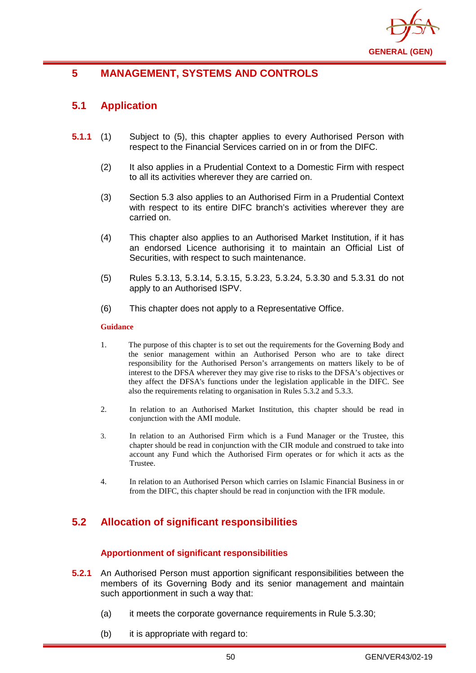

# **5 MANAGEMENT, SYSTEMS AND CONTROLS**

# **5.1 Application**

- **5.1.1** (1) Subject to (5), this chapter applies to every Authorised Person with respect to the Financial Services carried on in or from the DIFC.
	- (2) It also applies in a Prudential Context to a Domestic Firm with respect to all its activities wherever they are carried on.
	- (3) Section 5.3 also applies to an Authorised Firm in a Prudential Context with respect to its entire DIFC branch's activities wherever they are carried on.
	- (4) This chapter also applies to an Authorised Market Institution, if it has an endorsed Licence authorising it to maintain an Official List of Securities, with respect to such maintenance.
	- (5) Rules 5.3.13, 5.3.14, 5.3.15, 5.3.23, 5.3.24, 5.3.30 and 5.3.31 do not apply to an Authorised ISPV.
	- (6) This chapter does not apply to a Representative Office.

#### **Guidance**

- 1. The purpose of this chapter is to set out the requirements for the Governing Body and the senior management within an Authorised Person who are to take direct responsibility for the [Authorised Person's](http://www.fsa.gov.uk/handbook/hbk_glossary.pdf) arrangements on matters likely to be of interest to the DFSA wherever they may give rise to risks to the DFSA's objectives or they affect [the DFSA's](http://www.fsa.gov.uk/handbook/hbk_glossary.pdf) functions under the legislation applicable in the DIFC. See also the requirements relating to organisation in Rules 5.3.2 and 5.3.3.
- 2. In relation to an Authorised Market Institution, this chapter should be read in conjunction with the AMI module.
- 3. In relation to an Authorised Firm which is a Fund Manager or the Trustee, this chapter should be read in conjunction with the CIR module and construed to take into account any Fund which the Authorised Firm operates or for which it acts as the Trustee.
- 4. In relation to an Authorised Person which carries on Islamic Financial Business in or from the DIFC, this chapter should be read in conjunction with the IFR module.

# **5.2 Allocation of significant responsibilities**

## **Apportionment of significant responsibilities**

- **5.2.1** An Authorised Person must apportion significant responsibilities between the members of its Governing Body and its senior management and maintain such apportionment in such a way that:
	- (a) it meets the corporate governance requirements in Rule 5.3.30;
	- (b) it is appropriate with regard to: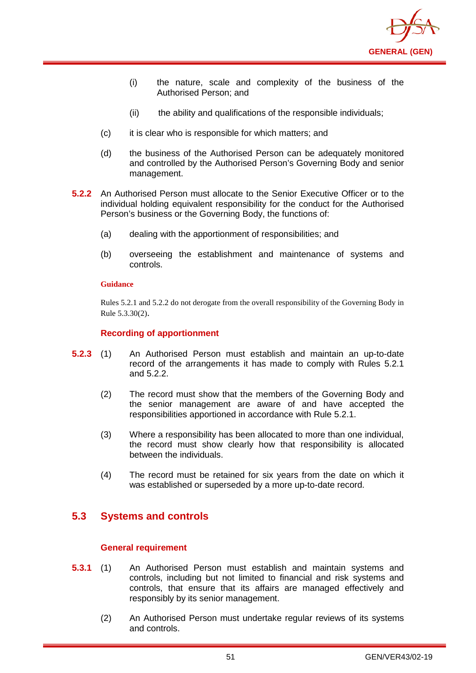

- (i) the nature, scale and complexity of the business of the Authorised Person; and
- (ii) the ability and qualifications of the responsible individuals;
- (c) it is clear who is responsible for which matters; and
- (d) the business of the Authorised Person can be adequately monitored and controlled by the Authorised Person's Governing Body and senior management.
- **5.2.2** An Authorised Person must allocate to the Senior Executive Officer or to the individual holding equivalent responsibility for the conduct for the Authorised Person's business or the Governing Body, the functions of:
	- (a) dealing with the apportionment of responsibilities; and
	- (b) overseeing the establishment and maintenance of systems and controls.

Rules 5.2.1 and 5.2.2 do not derogate from the overall responsibility of the Governing Body in Rule 5.3.30(2).

## **Recording of apportionment**

- **5.2.3** (1) An Authorised Person must establish and maintain an up-to-date record of the arrangements it has made to comply with Rules 5.2.1 and 5.2.2.
	- (2) The record must show that the members of the Governing Body and the senior management are aware of and have accepted the responsibilities apportioned in accordance with Rule 5.2.1.
	- (3) Where a responsibility has been allocated to more than one individual, the record must show clearly how that responsibility is allocated between the individuals.
	- (4) The record must be retained for six years from the date on which it was established or superseded by a more up-to-date record.

# **5.3 Systems and controls**

### **General requirement**

- **5.3.1** (1) An Authorised Person must establish and maintain systems and controls, including but not limited to financial and risk systems and controls, that ensure that its affairs are managed effectively and responsibly by its senior management.
	- (2) An Authorised Person must undertake regular reviews of its systems and controls.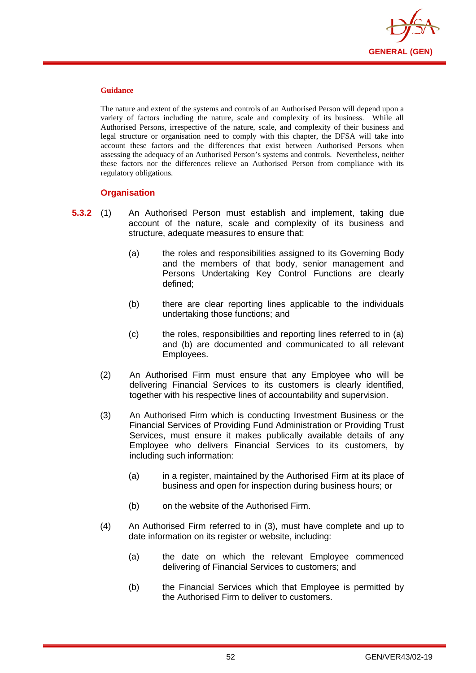

The nature and extent of the systems and controls of an Authorised Person will depend upon a variety of factors including the nature, scale and complexity of its business. While all Authorised Persons, irrespective of the nature, scale, and complexity of their business and legal structure or organisation need to comply with this chapter, the DFSA will take into account these factors and the differences that exist between Authorised Persons when assessing the adequacy of an Authorised Person's systems and controls. Nevertheless, neither these factors nor the differences relieve an Authorised Person from compliance with its regulatory obligations.

## **Organisation**

- **5.3.2** (1) An Authorised Person must establish and implement, taking due account of the nature, scale and complexity of its business and structure, adequate measures to ensure that:
	- (a) the roles and responsibilities assigned to its Governing Body and the members of that body, senior management and Persons Undertaking Key Control Functions are clearly defined;
	- (b) there are clear reporting lines applicable to the individuals undertaking those functions; and
	- (c) the roles, responsibilities and reporting lines referred to in (a) and (b) are documented and communicated to all relevant Employees.
	- (2) An Authorised Firm must ensure that any Employee who will be delivering Financial Services to its customers is clearly identified, together with his respective lines of accountability and supervision.
	- (3) An Authorised Firm which is conducting Investment Business or the Financial Services of Providing Fund Administration or Providing Trust Services, must ensure it makes publically available details of any Employee who delivers Financial Services to its customers, by including such information:
		- (a) in a register, maintained by the Authorised Firm at its place of business and open for inspection during business hours; or
		- (b) on the website of the Authorised Firm.
	- (4) An Authorised Firm referred to in (3), must have complete and up to date information on its register or website, including:
		- (a) the date on which the relevant Employee commenced delivering of Financial Services to customers; and
		- (b) the Financial Services which that Employee is permitted by the Authorised Firm to deliver to customers.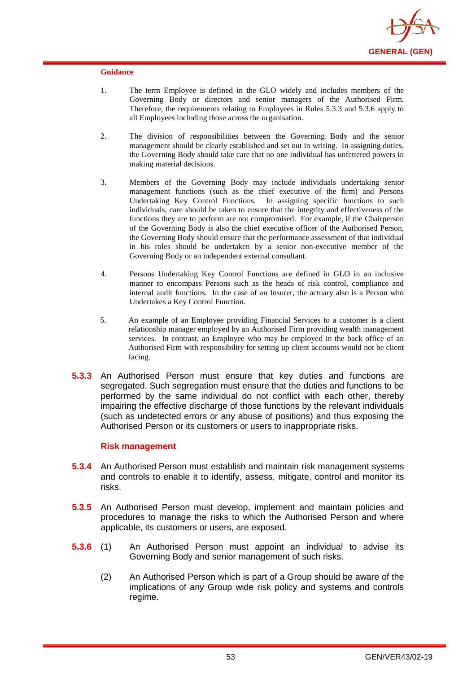

- 1. The term Employee is defined in the GLO widely and includes members of the Governing Body or directors and senior managers of the Authorised Firm. Therefore, the requirements relating to Employees in Rules 5.3.3 and 5.3.6 apply to all Employees including those across the organisation.
- 2. The division of responsibilities between the Governing Body and the senior management should be clearly established and set out in writing. In assigning duties, the Governing Body should take care that no one individual has unfettered powers in making material decisions.
- 3. Members of the Governing Body may include individuals undertaking senior management functions (such as the chief executive of the firm) and Persons Undertaking Key Control Functions. In assigning specific functions to such individuals, care should be taken to ensure that the integrity and effectiveness of the functions they are to perform are not compromised. For example, if the Chairperson of the Governing Body is also the chief executive officer of the Authorised Person, the Governing Body should ensure that the performance assessment of that individual in his roles should be undertaken by a senior non-executive member of the Governing Body or an independent external consultant.
- 4. Persons Undertaking Key Control Functions are defined in GLO in an inclusive manner to encompass Persons such as the heads of risk control, compliance and internal audit functions. In the case of an Insurer, the actuary also is a Person who Undertakes a Key Control Function.
- 5. An example of an Employee providing Financial Services to a customer is a client relationship manager employed by an Authorised Firm providing wealth management services. In contrast, an Employee who may be employed in the back office of an Authorised Firm with responsibility for setting up client accounts would not be client facing.
- **5.3.3** An Authorised Person must ensure that key duties and functions are segregated. Such segregation must ensure that the duties and functions to be performed by the same individual do not conflict with each other, thereby impairing the effective discharge of those functions by the relevant individuals (such as undetected errors or any abuse of positions) and thus exposing the Authorised Person or its customers or users to inappropriate risks.

### **Risk management**

- **5.3.4** An Authorised Person must establish and maintain risk management systems and controls to enable it to identify, assess, mitigate, control and monitor its risks.
- **5.3.5** An Authorised Person must develop, implement and maintain policies and procedures to manage the risks to which the Authorised Person and where applicable, its customers or users, are exposed.
- **5.3.6** (1) An Authorised Person must appoint an individual to advise its Governing Body and senior management of such risks.
	- (2) An Authorised Person which is part of a Group should be aware of the implications of any Group wide risk policy and systems and controls regime.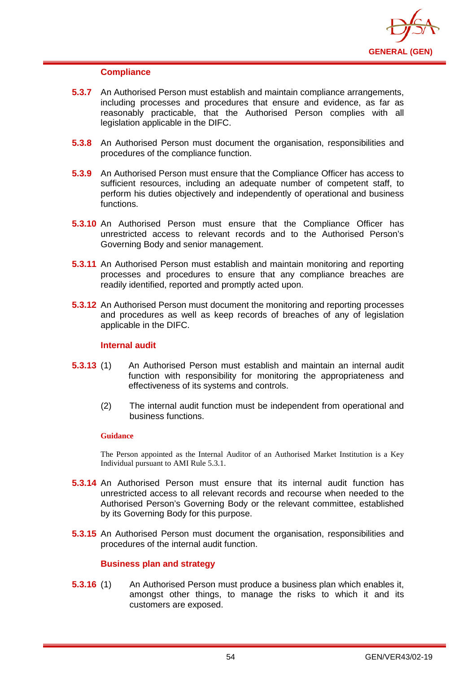

### **Compliance**

- **5.3.7** An Authorised Person must establish and maintain compliance arrangements, including processes and procedures that ensure and evidence, as far as reasonably practicable, that the Authorised Person complies with all legislation applicable in the DIFC.
- **5.3.8** An Authorised Person must document the organisation, responsibilities and procedures of the compliance function.
- **5.3.9** An Authorised Person must ensure that the Compliance Officer has access to sufficient resources, including an adequate number of competent staff, to perform his duties objectively and independently of operational and business functions.
- **5.3.10** An Authorised Person must ensure that the Compliance Officer has unrestricted access to relevant records and to the Authorised Person's Governing Body and senior management.
- **5.3.11** An Authorised Person must establish and maintain monitoring and reporting processes and procedures to ensure that any compliance breaches are readily identified, reported and promptly acted upon.
- **5.3.12** An Authorised Person must document the monitoring and reporting processes and procedures as well as keep records of breaches of any of legislation applicable in the DIFC.

## **Internal audit**

- **5.3.13** (1) An Authorised Person must establish and maintain an internal audit function with responsibility for monitoring the appropriateness and effectiveness of its systems and controls.
	- (2) The internal audit function must be independent from operational and business functions.

#### **Guidance**

The Person appointed as the Internal Auditor of an Authorised Market Institution is a Key Individual pursuant to AMI Rule 5.3.1.

- **5.3.14** An Authorised Person must ensure that its internal audit function has unrestricted access to all relevant records and recourse when needed to the Authorised Person's Governing Body or the relevant committee, established by its Governing Body for this purpose.
- **5.3.15** An Authorised Person must document the organisation, responsibilities and procedures of the internal audit function.

## **Business plan and strategy**

**5.3.16** (1) An Authorised Person must produce a business plan which enables it, amongst other things, to manage the risks to which it and its customers are exposed.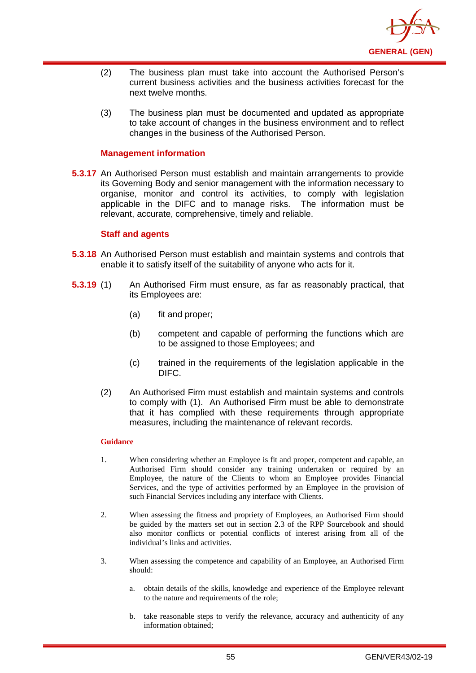

- (2) The business plan must take into account the Authorised Person's current business activities and the business activities forecast for the next twelve months.
- (3) The business plan must be documented and updated as appropriate to take account of changes in the business environment and to reflect changes in the business of the Authorised Person.

### **Management information**

**5.3.17** An Authorised Person must establish and maintain arrangements to provide its Governing Body and senior management with the information necessary to organise, monitor and control its activities, to comply with legislation applicable in the DIFC and to manage risks. The information must be relevant, accurate, comprehensive, timely and reliable.

### **Staff and agents**

- **5.3.18** An Authorised Person must establish and maintain systems and controls that enable it to satisfy itself of the suitability of anyone who acts for it.
- **5.3.19** (1) An Authorised Firm must ensure, as far as reasonably practical, that its Employees are:
	- (a) fit and proper;
	- (b) competent and capable of performing the functions which are to be assigned to those Employees; and
	- (c) trained in the requirements of the legislation applicable in the DIFC.
	- (2) An Authorised Firm must establish and maintain systems and controls to comply with (1). An Authorised Firm must be able to demonstrate that it has complied with these requirements through appropriate measures, including the maintenance of relevant records.

#### **Guidance**

- 1. When considering whether an Employee is fit and proper, competent and capable, an Authorised Firm should consider any training undertaken or required by an Employee, the nature of the Clients to whom an Employee provides Financial Services, and the type of activities performed by an Employee in the provision of such Financial Services including any interface with Clients.
- 2. When assessing the fitness and propriety of Employees, an Authorised Firm should be guided by the matters set out in section 2.3 of the RPP Sourcebook and should also monitor conflicts or potential conflicts of interest arising from all of the individual's links and activities.
- 3. When assessing the competence and capability of an Employee, an Authorised Firm should:
	- a. obtain details of the skills, knowledge and experience of the Employee relevant to the nature and requirements of the role;
	- b. take reasonable steps to verify the relevance, accuracy and authenticity of any information obtained;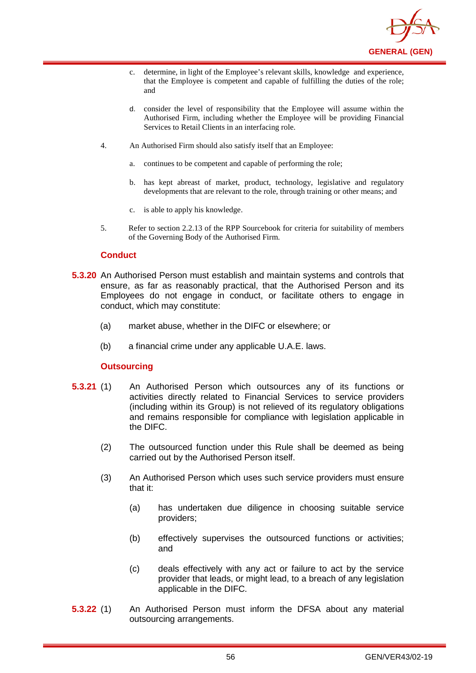

- c. determine, in light of the Employee's relevant skills, knowledge and experience, that the Employee is competent and capable of fulfilling the duties of the role; and
- d. consider the level of responsibility that the Employee will assume within the Authorised Firm, including whether the Employee will be providing Financial Services to Retail Clients in an interfacing role.
- 4. An Authorised Firm should also satisfy itself that an Employee:
	- a. continues to be competent and capable of performing the role;
	- b. has kept abreast of market, product, technology, legislative and regulatory developments that are relevant to the role, through training or other means; and
	- c. is able to apply his knowledge.
- 5. Refer to section 2.2.13 of the RPP Sourcebook for criteria for suitability of members of the Governing Body of the Authorised Firm.

## **Conduct**

- **5.3.20** An Authorised Person must establish and maintain systems and controls that ensure, as far as reasonably practical, that the Authorised Person and its Employees do not engage in conduct, or facilitate others to engage in conduct, which may constitute:
	- (a) market abuse, whether in the DIFC or elsewhere; or
	- (b) a financial crime under any applicable U.A.E. laws.

## **Outsourcing**

- **5.3.21** (1) An Authorised Person which outsources any of its functions or activities directly related to Financial Services to service providers (including within its Group) is not relieved of its regulatory obligations and remains responsible for compliance with legislation applicable in the DIFC.
	- (2) The outsourced function under this Rule shall be deemed as being carried out by the Authorised Person itself.
	- (3) An Authorised Person which uses such service providers must ensure that it:
		- (a) has undertaken due diligence in choosing suitable service providers;
		- (b) effectively supervises the outsourced functions or activities; and
		- (c) deals effectively with any act or failure to act by the service provider that leads, or might lead, to a breach of any legislation applicable in the DIFC.
- **5.3.22** (1) An Authorised Person must inform the DFSA about any material outsourcing arrangements.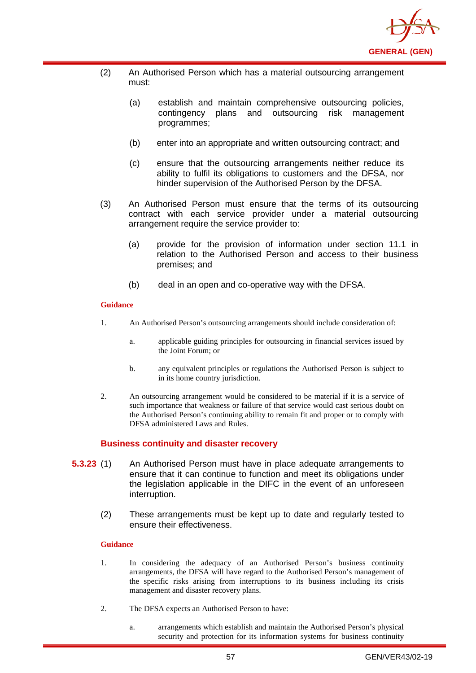

- (2) An Authorised Person which has a material outsourcing arrangement must:
	- (a) establish and maintain comprehensive outsourcing policies, contingency plans and outsourcing risk management programmes;
	- (b) enter into an appropriate and written outsourcing contract; and
	- (c) ensure that the outsourcing arrangements neither reduce its ability to fulfil its obligations to customers and the DFSA, nor hinder supervision of the Authorised Person by the DFSA.
- (3) An Authorised Person must ensure that the terms of its outsourcing contract with each service provider under a material outsourcing arrangement require the service provider to:
	- (a) provide for the provision of information under section 11.1 in relation to the Authorised Person and access to their business premises; and
	- (b) deal in an open and co-operative way with the DFSA.

- 1. An Authorised Person's outsourcing arrangements should include consideration of:
	- a. applicable guiding principles for outsourcing in financial services issued by the Joint Forum; or
	- b. any equivalent principles or regulations the Authorised Person is subject to in its home country jurisdiction.
- 2. An outsourcing arrangement would be considered to be material if it is a service of such importance that weakness or failure of that service would cast serious doubt on the Authorised Person's continuing ability to remain fit and proper or to comply with DFSA administered Laws and Rules.

## **Business continuity and disaster recovery**

- **5.3.23** (1) An Authorised Person must have in place adequate arrangements to ensure that it can continue to function and meet its obligations under the legislation applicable in the DIFC in the event of an unforeseen interruption.
	- (2) These arrangements must be kept up to date and regularly tested to ensure their effectiveness.

### **Guidance**

- 1. In considering the adequacy of an Authorised Person's business continuity arrangements, the DFSA will have regard to the Authorised Person's management of the specific risks arising from interruptions to its business including its crisis management and disaster recovery plans.
- 2. The DFSA expects an Authorised Person to have:
	- a. arrangements which establish and maintain the Authorised Person's physical security and protection for its information systems for business continuity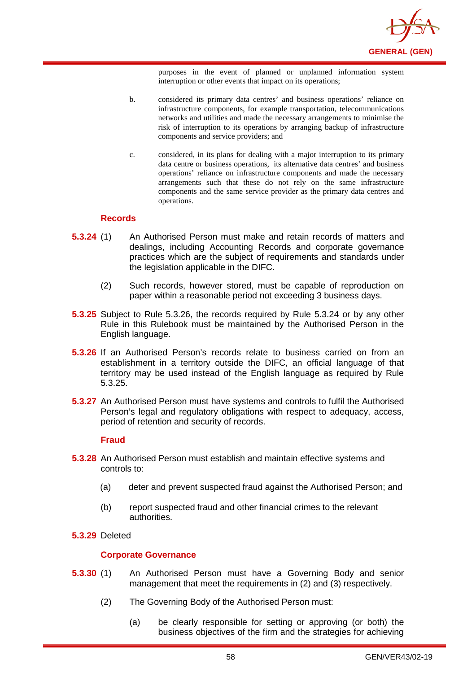

purposes in the event of planned or unplanned information system interruption or other events that impact on its operations;

- b. considered its primary data centres' and business operations' reliance on infrastructure components, for example transportation, telecommunications networks and utilities and made the necessary arrangements to minimise the risk of interruption to its operations by arranging backup of infrastructure components and service providers; and
- c. considered, in its plans for dealing with a major interruption to its primary data centre or business operations, its alternative data centres' and business operations' reliance on infrastructure components and made the necessary arrangements such that these do not rely on the same infrastructure components and the same service provider as the primary data centres and operations.

### **Records**

- **5.3.24** (1) An Authorised Person must make and retain records of matters and dealings, including Accounting Records and corporate governance practices which are the subject of requirements and standards under the legislation applicable in the DIFC.
	- (2) Such records, however stored, must be capable of reproduction on paper within a reasonable period not exceeding 3 business days.
- **5.3.25** Subject to Rule 5.3.26, the records required by Rule 5.3.24 or by any other Rule in this Rulebook must be maintained by the Authorised Person in the English language.
- **5.3.26** If an Authorised Person's records relate to business carried on from an establishment in a territory outside the DIFC, an official language of that territory may be used instead of the English language as required by Rule 5.3.25.
- **5.3.27** An Authorised Person must have systems and controls to fulfil the Authorised Person's legal and regulatory obligations with respect to adequacy, access, period of retention and security of records.

#### **Fraud**

- **5.3.28** An Authorised Person must establish and maintain effective systems and controls to:
	- (a) deter and prevent suspected fraud against the Authorised Person; and
	- (b) report suspected fraud and other financial crimes to the relevant authorities.
- **5.3.29** Deleted

### **Corporate Governance**

- **5.3.30** (1) An Authorised Person must have a Governing Body and senior management that meet the requirements in (2) and (3) respectively.
	- (2) The Governing Body of the Authorised Person must:
		- (a) be clearly responsible for setting or approving (or both) the business objectives of the firm and the strategies for achieving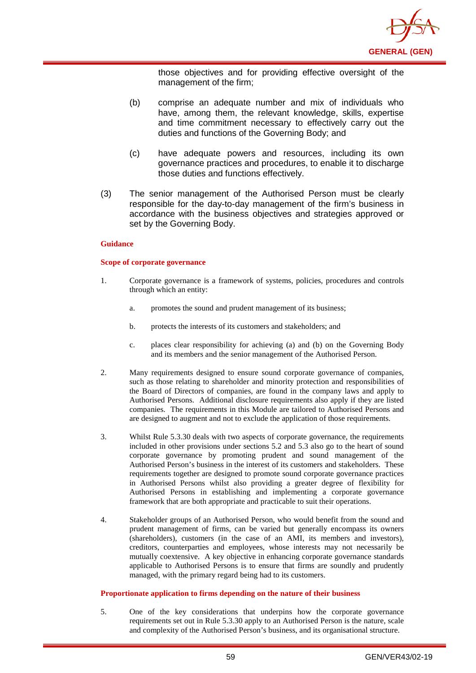

those objectives and for providing effective oversight of the management of the firm;

- (b) comprise an adequate number and mix of individuals who have, among them, the relevant knowledge, skills, expertise and time commitment necessary to effectively carry out the duties and functions of the Governing Body; and
- (c) have adequate powers and resources, including its own governance practices and procedures, to enable it to discharge those duties and functions effectively.
- (3) The senior management of the Authorised Person must be clearly responsible for the day-to-day management of the firm's business in accordance with the business objectives and strategies approved or set by the Governing Body.

#### **Guidance**

#### **Scope of corporate governance**

- 1. Corporate governance is a framework of systems, policies, procedures and controls through which an entity:
	- a. promotes the sound and prudent management of its business;
	- b. protects the interests of its customers and stakeholders; and
	- c. places clear responsibility for achieving (a) and (b) on the Governing Body and its members and the senior management of the Authorised Person.
- 2. Many requirements designed to ensure sound corporate governance of companies, such as those relating to shareholder and minority protection and responsibilities of the Board of Directors of companies, are found in the company laws and apply to Authorised Persons. Additional disclosure requirements also apply if they are listed companies. The requirements in this Module are tailored to Authorised Persons and are designed to augment and not to exclude the application of those requirements.
- 3. Whilst Rule 5.3.30 deals with two aspects of corporate governance, the requirements included in other provisions under sections 5.2 and 5.3 also go to the heart of sound corporate governance by promoting prudent and sound management of the Authorised Person's business in the interest of its customers and stakeholders. These requirements together are designed to promote sound corporate governance practices in Authorised Persons whilst also providing a greater degree of flexibility for Authorised Persons in establishing and implementing a corporate governance framework that are both appropriate and practicable to suit their operations.
- 4. Stakeholder groups of an Authorised Person, who would benefit from the sound and prudent management of firms, can be varied but generally encompass its owners (shareholders), customers (in the case of an AMI, its members and investors), creditors, counterparties and employees, whose interests may not necessarily be mutually coextensive. A key objective in enhancing corporate governance standards applicable to Authorised Persons is to ensure that firms are soundly and prudently managed, with the primary regard being had to its customers.

#### **Proportionate application to firms depending on the nature of their business**

5. One of the key considerations that underpins how the corporate governance requirements set out in Rule 5.3.30 apply to an Authorised Person is the nature, scale and complexity of the Authorised Person's business, and its organisational structure.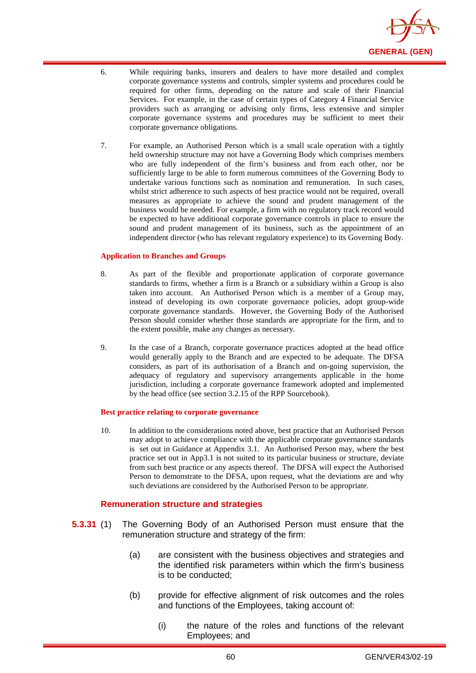

- 6. While requiring banks, insurers and dealers to have more detailed and complex corporate governance systems and controls, simpler systems and procedures could be required for other firms, depending on the nature and scale of their Financial Services. For example, in the case of certain types of Category 4 Financial Service providers such as arranging or advising only firms, less extensive and simpler corporate governance systems and procedures may be sufficient to meet their corporate governance obligations.
- 7. For example, an Authorised Person which is a small scale operation with a tightly held ownership structure may not have a Governing Body which comprises members who are fully independent of the firm's business and from each other, nor be sufficiently large to be able to form numerous committees of the Governing Body to undertake various functions such as nomination and remuneration. In such cases, whilst strict adherence to such aspects of best practice would not be required, overall measures as appropriate to achieve the sound and prudent management of the business would be needed. For example, a firm with no regulatory track record would be expected to have additional corporate governance controls in place to ensure the sound and prudent management of its business, such as the appointment of an independent director (who has relevant regulatory experience) to its Governing Body.

#### **Application to Branches and Groups**

- 8. As part of the flexible and proportionate application of corporate governance standards to firms, whether a firm is a Branch or a subsidiary within a Group is also taken into account. An Authorised Person which is a member of a Group may, instead of developing its own corporate governance policies, adopt group-wide corporate governance standards. However, the Governing Body of the Authorised Person should consider whether those standards are appropriate for the firm, and to the extent possible, make any changes as necessary.
- 9. In the case of a Branch, corporate governance practices adopted at the head office would generally apply to the Branch and are expected to be adequate. The DFSA considers, as part of its authorisation of a Branch and on-going supervision, the adequacy of regulatory and supervisory arrangements applicable in the home jurisdiction, including a corporate governance framework adopted and implemented by the head office (see section 3.2.15 of the RPP Sourcebook).

#### **Best practice relating to corporate governance**

10. In addition to the considerations noted above, best practice that an Authorised Person may adopt to achieve compliance with the applicable corporate governance standards is set out in Guidance at Appendix 3.1. An Authorised Person may, where the best practice set out in App3.1 is not suited to its particular business or structure, deviate from such best practice or any aspects thereof. The DFSA will expect the Authorised Person to demonstrate to the DFSA, upon request, what the deviations are and why such deviations are considered by the Authorised Person to be appropriate.

### **Remuneration structure and strategies**

- **5.3.31** (1) The Governing Body of an Authorised Person must ensure that the remuneration structure and strategy of the firm:
	- (a) are consistent with the business objectives and strategies and the identified risk parameters within which the firm's business is to be conducted;
	- (b) provide for effective alignment of risk outcomes and the roles and functions of the Employees, taking account of:
		- (i) the nature of the roles and functions of the relevant Employees; and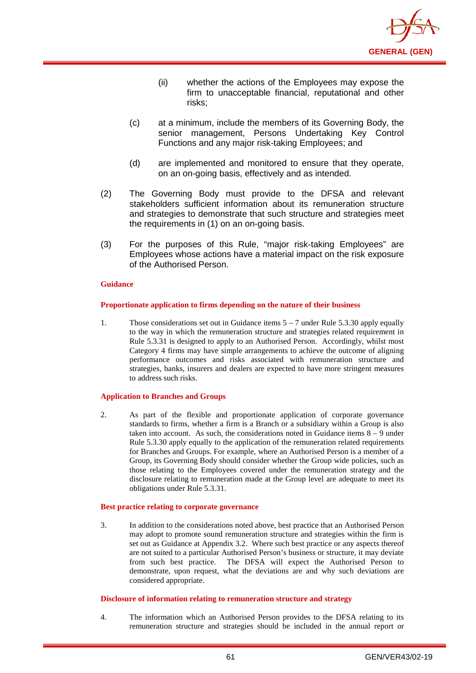

- (ii) whether the actions of the Employees may expose the firm to unacceptable financial, reputational and other risks;
- (c) at a minimum, include the members of its Governing Body, the senior management, Persons Undertaking Key Control Functions and any major risk-taking Employees; and
- (d) are implemented and monitored to ensure that they operate, on an on-going basis, effectively and as intended.
- (2) The Governing Body must provide to the DFSA and relevant stakeholders sufficient information about its remuneration structure and strategies to demonstrate that such structure and strategies meet the requirements in (1) on an on-going basis.
- (3) For the purposes of this Rule, "major risk-taking Employees" are Employees whose actions have a material impact on the risk exposure of the Authorised Person.

#### **Proportionate application to firms depending on the nature of their business**

1. Those considerations set out in Guidance items 5 – 7 under Rule 5.3.30 apply equally to the way in which the remuneration structure and strategies related requirement in Rule 5.3.31 is designed to apply to an Authorised Person. Accordingly, whilst most Category 4 firms may have simple arrangements to achieve the outcome of aligning performance outcomes and risks associated with remuneration structure and strategies, banks, insurers and dealers are expected to have more stringent measures to address such risks.

#### **Application to Branches and Groups**

2. As part of the flexible and proportionate application of corporate governance standards to firms, whether a firm is a Branch or a subsidiary within a Group is also taken into account. As such, the considerations noted in Guidance items 8 – 9 under Rule 5.3.30 apply equally to the application of the remuneration related requirements for Branches and Groups. For example, where an Authorised Person is a member of a Group, its Governing Body should consider whether the Group wide policies, such as those relating to the Employees covered under the remuneration strategy and the disclosure relating to remuneration made at the Group level are adequate to meet its obligations under Rule 5.3.31.

#### **Best practice relating to corporate governance**

3. In addition to the considerations noted above, best practice that an Authorised Person may adopt to promote sound remuneration structure and strategies within the firm is set out as Guidance at Appendix 3.2. Where such best practice or any aspects thereof are not suited to a particular Authorised Person's business or structure, it may deviate from such best practice. The DFSA will expect the Authorised Person to demonstrate, upon request, what the deviations are and why such deviations are considered appropriate.

#### **Disclosure of information relating to remuneration structure and strategy**

4. The information which an Authorised Person provides to the DFSA relating to its remuneration structure and strategies should be included in the annual report or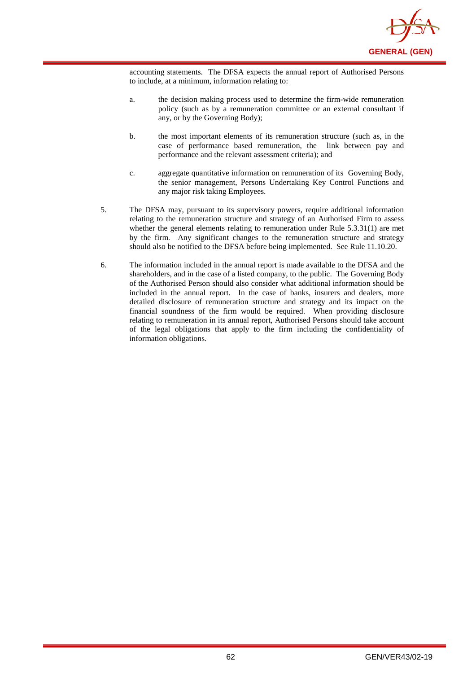

accounting statements. The DFSA expects the annual report of Authorised Persons to include, at a minimum, information relating to:

- a. the decision making process used to determine the firm-wide remuneration policy (such as by a remuneration committee or an external consultant if any, or by the Governing Body);
- b. the most important elements of its remuneration structure (such as, in the case of performance based remuneration, the link between pay and performance and the relevant assessment criteria); and
- c. aggregate quantitative information on remuneration of its Governing Body, the senior management, Persons Undertaking Key Control Functions and any major risk taking Employees.
- 5. The DFSA may, pursuant to its supervisory powers, require additional information relating to the remuneration structure and strategy of an Authorised Firm to assess whether the general elements relating to remuneration under Rule 5.3.31(1) are met by the firm. Any significant changes to the remuneration structure and strategy should also be notified to the DFSA before being implemented. See Rule 11.10.20.
- 6. The information included in the annual report is made available to the DFSA and the shareholders, and in the case of a listed company, to the public. The Governing Body of the Authorised Person should also consider what additional information should be included in the annual report. In the case of banks, insurers and dealers, more detailed disclosure of remuneration structure and strategy and its impact on the financial soundness of the firm would be required. When providing disclosure relating to remuneration in its annual report, Authorised Persons should take account of the legal obligations that apply to the firm including the confidentiality of information obligations.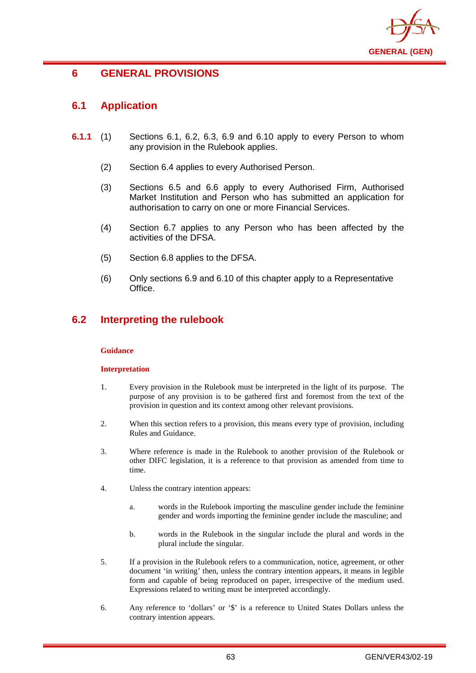

# **6 GENERAL PROVISIONS**

# **6.1 Application**

- **6.1.1** (1) Sections 6.1, 6.2, 6.3, 6.9 and 6.10 apply to every Person to whom any provision in the Rulebook applies.
	- (2) Section 6.4 applies to every Authorised Person.
	- (3) Sections 6.5 and 6.6 apply to every Authorised Firm, Authorised Market Institution and Person who has submitted an application for authorisation to carry on one or more Financial Services.
	- (4) Section 6.7 applies to any Person who has been affected by the activities of the DFSA.
	- (5) Section 6.8 applies to the DFSA.
	- (6) Only sections 6.9 and 6.10 of this chapter apply to a Representative Office.

# **6.2 Interpreting the rulebook**

### **Guidance**

### **Interpretation**

- 1. Every provision in the Rulebook must be interpreted in the light of its purpose. The purpose of any provision is to be gathered first and foremost from the text of the provision in question and its context among other relevant provisions.
- 2. When this section refers to a provision, this means every type of provision, including Rules and Guidance.
- 3. Where reference is made in the Rulebook to another provision of the Rulebook or other DIFC legislation, it is a reference to that provision as amended from time to time.
- 4. Unless the contrary intention appears:
	- a. words in the Rulebook importing the masculine gender include the feminine gender and words importing the feminine gender include the masculine; and
	- b. words in the Rulebook in the singular include the plural and words in the plural include the singular.
- 5. If a provision in the Rulebook refers to a communication, notice, agreement, or other document 'in writing' then, unless the contrary intention appears, it means in legible form and capable of being reproduced on paper, irrespective of the medium used. Expressions related to writing must be interpreted accordingly.
- 6. Any reference to 'dollars' or '\$' is a reference to United States Dollars unless the contrary intention appears.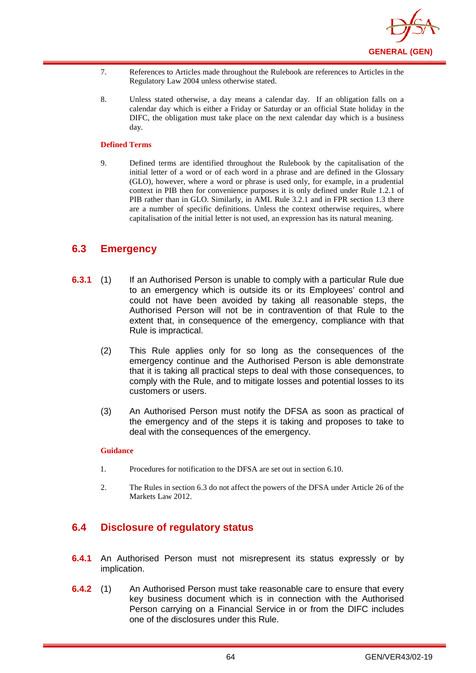

- 7. References to Articles made throughout the Rulebook are references to Articles in the Regulatory Law 2004 unless otherwise stated.
- 8. Unless stated otherwise, a day means a calendar day. If an obligation falls on a calendar day which is either a Friday or Saturday or an official State holiday in the DIFC, the obligation must take place on the next calendar day which is a business day.

#### **Defined Terms**

9. Defined terms are identified throughout the Rulebook by the capitalisation of the initial letter of a word or of each word in a phrase and are defined in the Glossary (GLO), however, where a word or phrase is used only, for example, in a prudential context in PIB then for convenience purposes it is only defined under Rule 1.2.1 of PIB rather than in GLO. Similarly, in AML Rule 3.2.1 and in FPR section 1.3 there are a number of specific definitions. Unless the context otherwise requires, where capitalisation of the initial letter is not used, an expression has its natural meaning.

## **6.3 Emergency**

- **6.3.1** (1) If an Authorised Person is unable to comply with a particular Rule due to an emergency which is outside its or its Employees' control and could not have been avoided by taking all reasonable steps, the Authorised Person will not be in contravention of that Rule to the extent that, in consequence of the emergency, compliance with that Rule is impractical.
	- (2) This Rule applies only for so long as the consequences of the emergency continue and the Authorised Person is able demonstrate that it is taking all practical steps to deal with those consequences, to comply with the Rule, and to mitigate losses and potential losses to its customers or users.
	- (3) An Authorised Person must notify the DFSA as soon as practical of the emergency and of the steps it is taking and proposes to take to deal with the consequences of the emergency.

#### **Guidance**

- 1. Procedures for notification to the DFSA are set out in section 6.10.
- 2. The Rules in section 6.3 do not affect the powers of the DFSA under Article 26 of the Markets Law 2012.

## **6.4 Disclosure of regulatory status**

- **6.4.1** An Authorised Person must not misrepresent its status expressly or by implication.
- **6.4.2** (1) An Authorised Person must take reasonable care to ensure that every key business document which is in connection with the Authorised Person carrying on a Financial Service in or from the DIFC includes one of the disclosures under this Rule.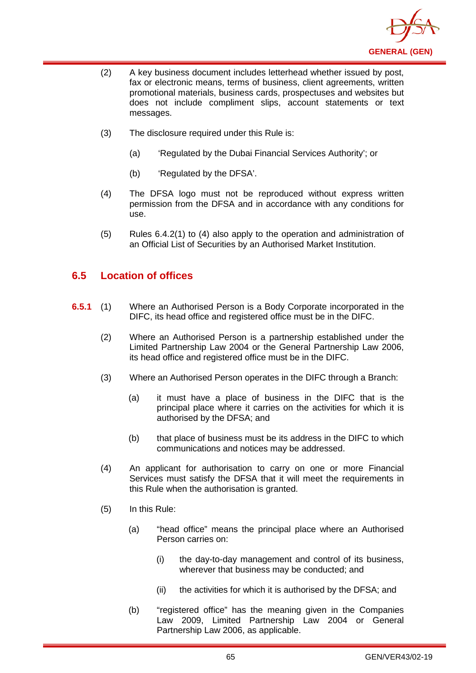

- (2) A key business document includes letterhead whether issued by post, fax or electronic means, terms of business, client agreements, written promotional materials, business cards, prospectuses and websites but does not include compliment slips, account statements or text messages.
- (3) The disclosure required under this Rule is:
	- (a) 'Regulated by the Dubai Financial Services Authority'; or
	- (b) 'Regulated by the DFSA'.
- (4) The DFSA logo must not be reproduced without express written permission from the DFSA and in accordance with any conditions for use.
- (5) Rules 6.4.2(1) to (4) also apply to the operation and administration of an Official List of Securities by an Authorised Market Institution.

# **6.5 Location of offices**

- **6.5.1** (1) Where an Authorised Person is a Body Corporate incorporated in the DIFC, its head office and registered office must be in the DIFC.
	- (2) Where an Authorised Person is a partnership established under the Limited Partnership Law 2004 or the General Partnership Law 2006, its head office and registered office must be in the DIFC.
	- (3) Where an Authorised Person operates in the DIFC through a Branch:
		- (a) it must have a place of business in the DIFC that is the principal place where it carries on the activities for which it is authorised by the DFSA; and
		- (b) that place of business must be its address in the DIFC to which communications and notices may be addressed.
	- (4) An applicant for authorisation to carry on one or more Financial Services must satisfy the DFSA that it will meet the requirements in this Rule when the authorisation is granted.
	- (5) In this Rule:
		- (a) "head office" means the principal place where an Authorised Person carries on:
			- (i) the day-to-day management and control of its business, wherever that business may be conducted; and
			- (ii) the activities for which it is authorised by the DFSA; and
		- (b) "registered office" has the meaning given in the Companies Law 2009, Limited Partnership Law 2004 or General Partnership Law 2006, as applicable.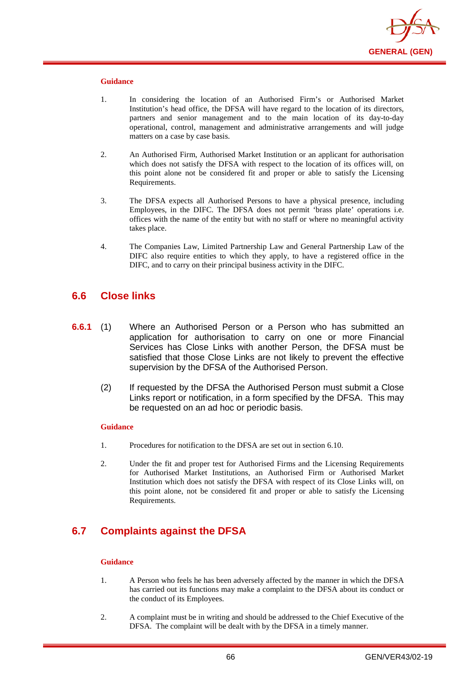

- 1. In considering the location of an Authorised Firm's or Authorised Market Institution's head office, the DFSA will have regard to the location of its directors, partners and senior management and to the main location of its day-to-day operational, control, management and administrative arrangements and will judge matters on a case by case basis.
- 2. An Authorised Firm, Authorised Market Institution or an applicant for authorisation which does not satisfy the DFSA with respect to the location of its offices will, on this point alone not be considered fit and proper or able to satisfy the Licensing Requirements.
- 3. The DFSA expects all Authorised Persons to have a physical presence, including Employees, in the DIFC. The DFSA does not permit 'brass plate' operations i.e. offices with the name of the entity but with no staff or where no meaningful activity takes place.
- 4. The Companies Law, Limited Partnership Law and General Partnership Law of the DIFC also require entities to which they apply, to have a registered office in the DIFC, and to carry on their principal business activity in the DIFC.

## **6.6 Close links**

- **6.6.1** (1) Where an Authorised Person or a Person who has submitted an application for authorisation to carry on one or more Financial Services has Close Links with another Person, the DFSA must be satisfied that those Close Links are not likely to prevent the effective supervision by the DFSA of the Authorised Person.
	- (2) If requested by the DFSA the Authorised Person must submit a Close Links report or notification, in a form specified by the DFSA. This may be requested on an ad hoc or periodic basis.

#### **Guidance**

- 1. Procedures for notification to the DFSA are set out in section 6.10.
- 2. Under the fit and proper test for Authorised Firms and the Licensing Requirements for Authorised Market Institutions, an Authorised Firm or Authorised Market Institution which does not satisfy the DFSA with respect of its Close Links will, on this point alone, not be considered fit and proper or able to satisfy the Licensing Requirements.

# **6.7 Complaints against the DFSA**

#### **Guidance**

- 1. A Person who feels he has been adversely affected by the manner in which the DFSA has carried out its functions may make a complaint to the DFSA about its conduct or the conduct of its Employees.
- 2. A complaint must be in writing and should be addressed to the Chief Executive of the DFSA. The complaint will be dealt with by the DFSA in a timely manner.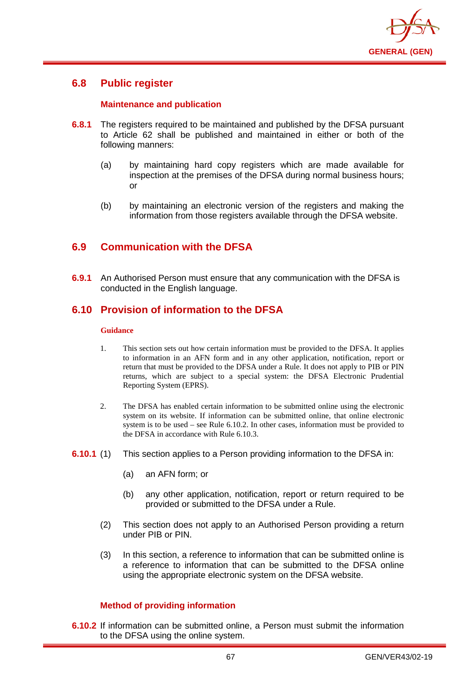

## **6.8 Public register**

## **Maintenance and publication**

- **6.8.1** The registers required to be maintained and published by the DFSA pursuant to Article 62 shall be published and maintained in either or both of the following manners:
	- (a) by maintaining hard copy registers which are made available for inspection at the premises of the DFSA during normal business hours; or
	- (b) by maintaining an electronic version of the registers and making the information from those registers available through the DFSA website.

# **6.9 Communication with the DFSA**

**6.9.1** An Authorised Person must ensure that any communication with the DFSA is conducted in the English language.

## **6.10 Provision of information to the DFSA**

#### **Guidance**

- 1. This section sets out how certain information must be provided to the DFSA. It applies to information in an AFN form and in any other application, notification, report or return that must be provided to the DFSA under a Rule. It does not apply to PIB or PIN returns, which are subject to a special system: the DFSA Electronic Prudential Reporting System (EPRS).
- 2. The DFSA has enabled certain information to be submitted online using the electronic system on its website. If information can be submitted online, that online electronic system is to be used – see Rule 6.10.2. In other cases, information must be provided to the DFSA in accordance with Rule 6.10.3.
- **6.10.1** (1) This section applies to a Person providing information to the DFSA in:
	- (a) an AFN form; or
	- (b) any other application, notification, report or return required to be provided or submitted to the DFSA under a Rule.
	- (2) This section does not apply to an Authorised Person providing a return under PIB or PIN.
	- (3) In this section, a reference to information that can be submitted online is a reference to information that can be submitted to the DFSA online using the appropriate electronic system on the DFSA website.

## **Method of providing information**

**6.10.2** If information can be submitted online, a Person must submit the information to the DFSA using the online system.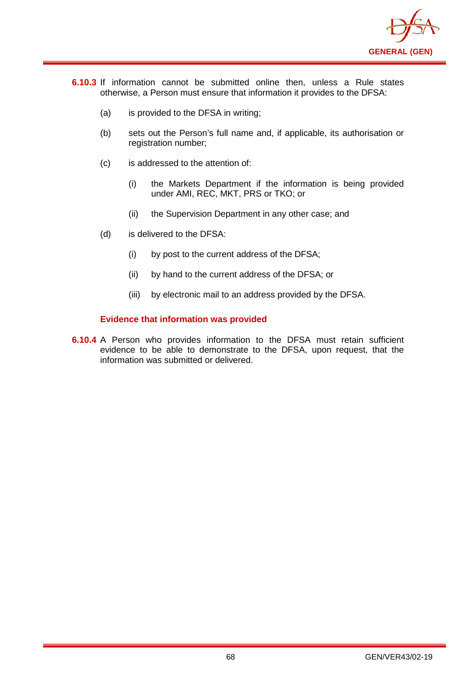

- **6.10.3** If information cannot be submitted online then, unless a Rule states otherwise, a Person must ensure that information it provides to the DFSA:
	- (a) is provided to the DFSA in writing;
	- (b) sets out the Person's full name and, if applicable, its authorisation or registration number;
	- (c) is addressed to the attention of:
		- (i) the Markets Department if the information is being provided under AMI, REC, MKT, PRS or TKO; or
		- (ii) the Supervision Department in any other case; and
	- (d) is delivered to the DFSA:
		- (i) by post to the current address of the DFSA;
		- (ii) by hand to the current address of the DFSA; or
		- (iii) by electronic mail to an address provided by the DFSA.

## **Evidence that information was provided**

**6.10.4** A Person who provides information to the DFSA must retain sufficient evidence to be able to demonstrate to the DFSA, upon request, that the information was submitted or delivered.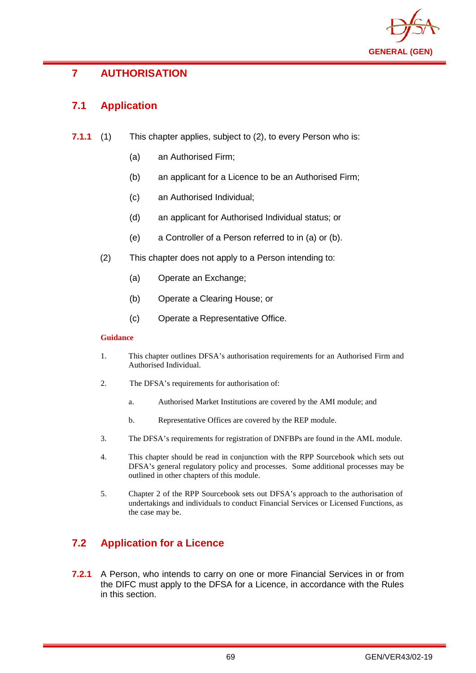

# **7 AUTHORISATION**

# **7.1 Application**

- **7.1.1** (1) This chapter applies, subject to (2), to every Person who is:
	- (a) an Authorised Firm;
	- (b) an applicant for a Licence to be an Authorised Firm;
	- (c) an Authorised Individual;
	- (d) an applicant for Authorised Individual status; or
	- (e) a Controller of a Person referred to in (a) or (b).
	- (2) This chapter does not apply to a Person intending to:
		- (a) Operate an Exchange;
		- (b) Operate a Clearing House; or
		- (c) Operate a Representative Office.

### **Guidance**

- 1. This chapter outlines DFSA's authorisation requirements for an Authorised Firm and Authorised Individual.
- 2. The DFSA's requirements for authorisation of:
	- a. Authorised Market Institutions are covered by the AMI module; and
	- b. Representative Offices are covered by the REP module.
- 3. The DFSA's requirements for registration of DNFBPs are found in the AML module.
- 4. This chapter should be read in conjunction with the RPP Sourcebook which sets out DFSA's general regulatory policy and processes. Some additional processes may be outlined in other chapters of this module.
- 5. Chapter 2 of the RPP Sourcebook sets out DFSA's approach to the authorisation of undertakings and individuals to conduct Financial Services or Licensed Functions, as the case may be.

# **7.2 Application for a Licence**

**7.2.1** A Person, who intends to carry on one or more Financial Services in or from the DIFC must apply to the DFSA for a Licence, in accordance with the Rules in this section.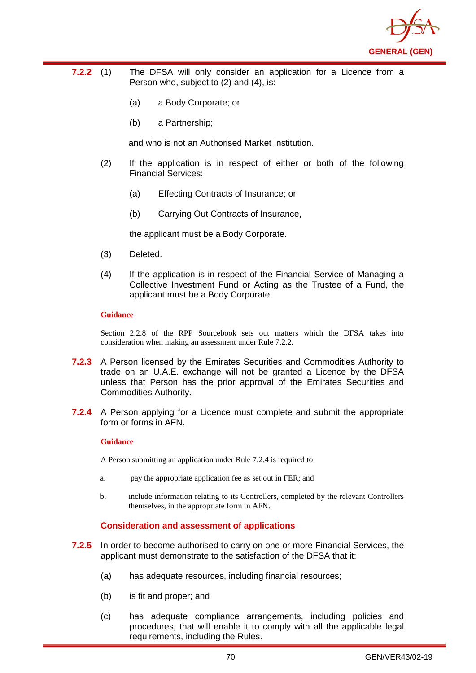

- **7.2.2** (1) The DFSA will only consider an application for a Licence from a Person who, subject to (2) and (4), is:
	- (a) a Body Corporate; or
	- (b) a Partnership;

and who is not an Authorised Market Institution.

- (2) If the application is in respect of either or both of the following Financial Services:
	- (a) Effecting Contracts of Insurance; or
	- (b) Carrying Out Contracts of Insurance,

the applicant must be a Body Corporate.

- (3) Deleted.
- (4) If the application is in respect of the Financial Service of Managing a Collective Investment Fund or Acting as the Trustee of a Fund, the applicant must be a Body Corporate.

#### **Guidance**

Section 2.2.8 of the RPP Sourcebook sets out matters which the DFSA takes into consideration when making an assessment under Rule 7.2.2.

- **7.2.3** A Person licensed by the Emirates Securities and Commodities Authority to trade on an U.A.E. exchange will not be granted a Licence by the DFSA unless that Person has the prior approval of the Emirates Securities and Commodities Authority.
- **7.2.4** A Person applying for a Licence must complete and submit the appropriate form or forms in AFN.

#### **Guidance**

A Person submitting an application under Rule 7.2.4 is required to:

- a. pay the appropriate application fee as set out in FER; and
- b. include information relating to its Controllers, completed by the relevant Controllers themselves, in the appropriate form in AFN.

### **Consideration and assessment of applications**

- **7.2.5** In order to become authorised to carry on one or more Financial Services, the applicant must demonstrate to the satisfaction of the DFSA that it:
	- (a) has adequate resources, including financial resources;
	- (b) is fit and proper; and
	- (c) has adequate compliance arrangements, including policies and procedures, that will enable it to comply with all the applicable legal requirements, including the Rules.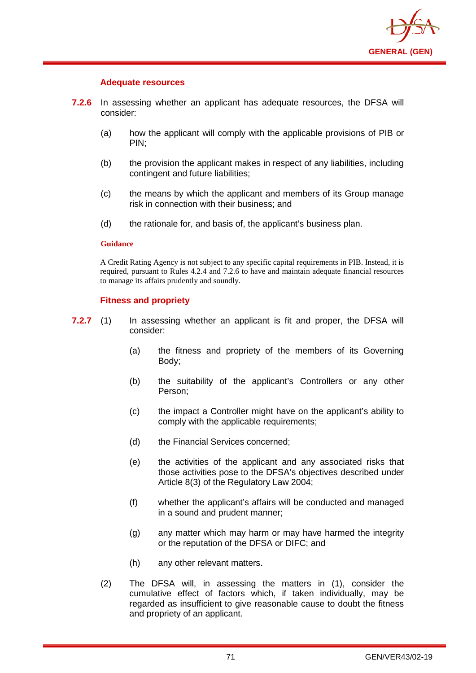

### **Adequate resources**

- **7.2.6** In assessing whether an applicant has adequate resources, the DFSA will consider:
	- (a) how the applicant will comply with the applicable provisions of PIB or PIN;
	- (b) the provision the applicant makes in respect of any liabilities, including contingent and future liabilities;
	- (c) the means by which the applicant and members of its Group manage risk in connection with their business; and
	- (d) the rationale for, and basis of, the applicant's business plan.

#### **Guidance**

A Credit Rating Agency is not subject to any specific capital requirements in PIB. Instead, it is required, pursuant to Rules 4.2.4 and 7.2.6 to have and maintain adequate financial resources to manage its affairs prudently and soundly.

### **Fitness and propriety**

- **7.2.7** (1) In assessing whether an applicant is fit and proper, the DFSA will consider:
	- (a) the fitness and propriety of the members of its Governing Body;
	- (b) the suitability of the applicant's Controllers or any other Person;
	- (c) the impact a Controller might have on the applicant's ability to comply with the applicable requirements;
	- (d) the Financial Services concerned;
	- (e) the activities of the applicant and any associated risks that those activities pose to the DFSA's objectives described under Article 8(3) of the Regulatory Law 2004;
	- (f) whether the applicant's affairs will be conducted and managed in a sound and prudent manner;
	- (g) any matter which may harm or may have harmed the integrity or the reputation of the DFSA or DIFC; and
	- (h) any other relevant matters.
	- (2) The DFSA will, in assessing the matters in (1), consider the cumulative effect of factors which, if taken individually, may be regarded as insufficient to give reasonable cause to doubt the fitness and propriety of an applicant.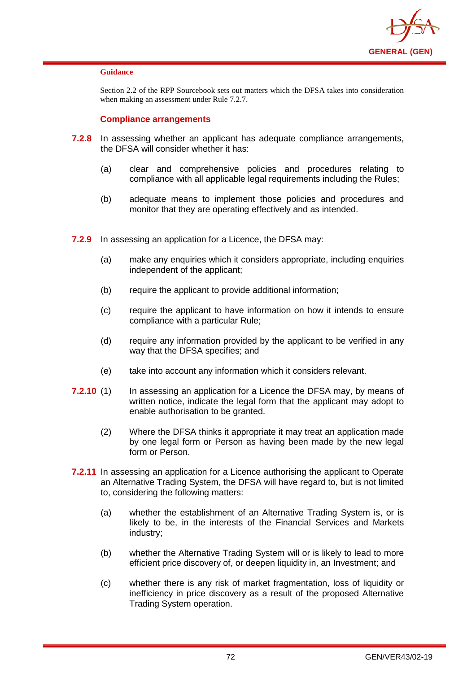

Section 2.2 of the RPP Sourcebook sets out matters which the DFSA takes into consideration when making an assessment under Rule 7.2.7.

### **Compliance arrangements**

- **7.2.8** In assessing whether an applicant has adequate compliance arrangements, the DFSA will consider whether it has:
	- (a) clear and comprehensive policies and procedures relating to compliance with all applicable legal requirements including the Rules;
	- (b) adequate means to implement those policies and procedures and monitor that they are operating effectively and as intended.
- **7.2.9** In assessing an application for a Licence, the DFSA may:
	- (a) make any enquiries which it considers appropriate, including enquiries independent of the applicant;
	- (b) require the applicant to provide additional information;
	- (c) require the applicant to have information on how it intends to ensure compliance with a particular Rule;
	- (d) require any information provided by the applicant to be verified in any way that the DFSA specifies; and
	- (e) take into account any information which it considers relevant.
- **7.2.10** (1) In assessing an application for a Licence the DFSA may, by means of written notice, indicate the legal form that the applicant may adopt to enable authorisation to be granted.
	- (2) Where the DFSA thinks it appropriate it may treat an application made by one legal form or Person as having been made by the new legal form or Person.
- **7.2.11** In assessing an application for a Licence authorising the applicant to Operate an Alternative Trading System, the DFSA will have regard to, but is not limited to, considering the following matters:
	- (a) whether the establishment of an Alternative Trading System is, or is likely to be, in the interests of the Financial Services and Markets industry;
	- (b) whether the Alternative Trading System will or is likely to lead to more efficient price discovery of, or deepen liquidity in, an Investment; and
	- (c) whether there is any risk of market fragmentation, loss of liquidity or inefficiency in price discovery as a result of the proposed Alternative Trading System operation.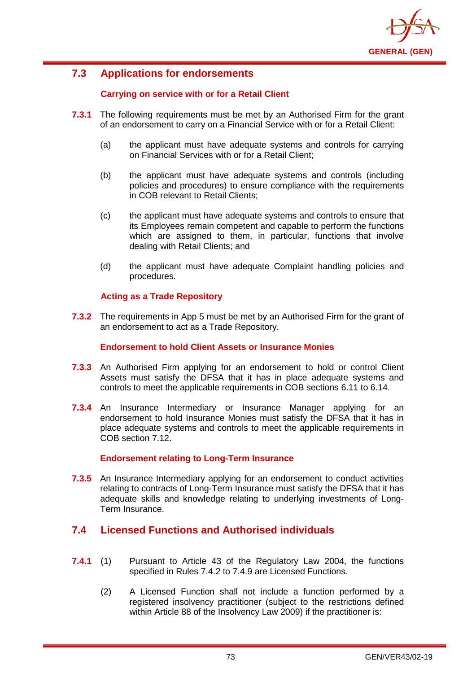

# **7.3 Applications for endorsements**

## **Carrying on service with or for a Retail Client**

- **7.3.1** The following requirements must be met by an Authorised Firm for the grant of an endorsement to carry on a Financial Service with or for a Retail Client:
	- (a) the applicant must have adequate systems and controls for carrying on Financial Services with or for a Retail Client;
	- (b) the applicant must have adequate systems and controls (including policies and procedures) to ensure compliance with the requirements in COB relevant to Retail Clients;
	- (c) the applicant must have adequate systems and controls to ensure that its Employees remain competent and capable to perform the functions which are assigned to them, in particular, functions that involve dealing with Retail Clients; and
	- (d) the applicant must have adequate Complaint handling policies and procedures.

## **Acting as a Trade Repository**

**7.3.2** The requirements in App 5 must be met by an Authorised Firm for the grant of an endorsement to act as a Trade Repository.

### **Endorsement to hold Client Assets or Insurance Monies**

- **7.3.3** An Authorised Firm applying for an endorsement to hold or control Client Assets must satisfy the DFSA that it has in place adequate systems and controls to meet the applicable requirements in COB sections 6.11 to 6.14.
- **7.3.4** An Insurance Intermediary or Insurance Manager applying for an endorsement to hold Insurance Monies must satisfy the DFSA that it has in place adequate systems and controls to meet the applicable requirements in COB section 7.12.

## **Endorsement relating to Long-Term Insurance**

**7.3.5** An Insurance Intermediary applying for an endorsement to conduct activities relating to contracts of Long-Term Insurance must satisfy the DFSA that it has adequate skills and knowledge relating to underlying investments of Long-Term Insurance.

## **7.4 Licensed Functions and Authorised individuals**

- **7.4.1** (1) Pursuant to Article 43 of the Regulatory Law 2004, the functions specified in Rules 7.4.2 to 7.4.9 are Licensed Functions.
	- (2) A Licensed Function shall not include a function performed by a registered insolvency practitioner (subject to the restrictions defined within Article 88 of the Insolvency Law 2009) if the practitioner is: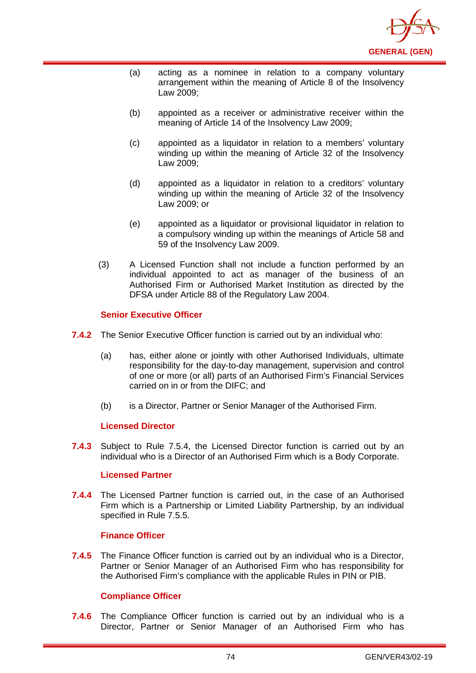

- (a) acting as a nominee in relation to a company voluntary arrangement within the meaning of Article 8 of the Insolvency Law 2009;
- (b) appointed as a receiver or administrative receiver within the meaning of Article 14 of the Insolvency Law 2009;
- (c) appointed as a liquidator in relation to a members' voluntary winding up within the meaning of Article 32 of the Insolvency Law 2009;
- (d) appointed as a liquidator in relation to a creditors' voluntary winding up within the meaning of Article 32 of the Insolvency Law 2009; or
- (e) appointed as a liquidator or provisional liquidator in relation to a compulsory winding up within the meanings of Article 58 and 59 of the Insolvency Law 2009.
- (3) A Licensed Function shall not include a function performed by an individual appointed to act as manager of the business of an Authorised Firm or Authorised Market Institution as directed by the DFSA under Article 88 of the Regulatory Law 2004.

### **Senior Executive Officer**

- **7.4.2** The Senior Executive Officer function is carried out by an individual who:
	- (a) has, either alone or jointly with other Authorised Individuals, ultimate responsibility for the day-to-day management, supervision and control of one or more (or all) parts of an Authorised Firm's Financial Services carried on in or from the DIFC; and
	- (b) is a Director, Partner or Senior Manager of the Authorised Firm.

### **Licensed Director**

**7.4.3** Subject to Rule 7.5.4, the Licensed Director function is carried out by an individual who is a Director of an Authorised Firm which is a Body Corporate.

### **Licensed Partner**

**7.4.4** The Licensed Partner function is carried out, in the case of an Authorised Firm which is a Partnership or Limited Liability Partnership, by an individual specified in Rule 7.5.5.

### **Finance Officer**

**7.4.5** The Finance Officer function is carried out by an individual who is a Director, Partner or Senior Manager of an Authorised Firm who has responsibility for the Authorised Firm's compliance with the applicable Rules in PIN or PIB.

## **Compliance Officer**

**7.4.6** The Compliance Officer function is carried out by an individual who is a Director, Partner or Senior Manager of an Authorised Firm who has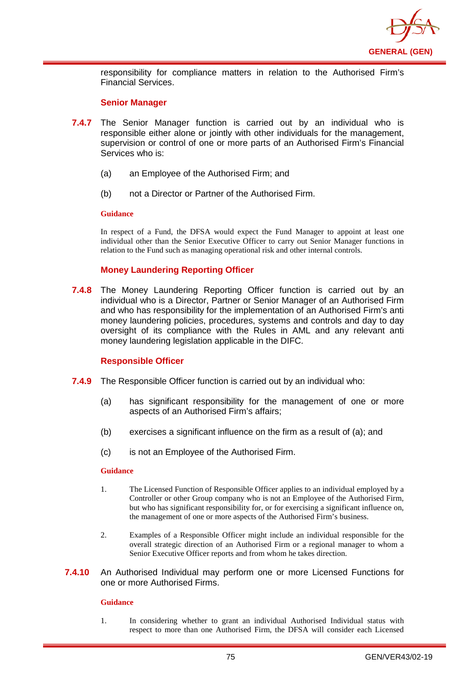

responsibility for compliance matters in relation to the Authorised Firm's Financial Services.

#### **Senior Manager**

- **7.4.7** The Senior Manager function is carried out by an individual who is responsible either alone or jointly with other individuals for the management, supervision or control of one or more parts of an Authorised Firm's Financial Services who is:
	- (a) an Employee of the Authorised Firm; and
	- (b) not a Director or Partner of the Authorised Firm.

#### **Guidance**

In respect of a Fund, the DFSA would expect the Fund Manager to appoint at least one individual other than the Senior Executive Officer to carry out Senior Manager functions in relation to the Fund such as managing operational risk and other internal controls.

### **Money Laundering Reporting Officer**

**7.4.8** The Money Laundering Reporting Officer function is carried out by an individual who is a Director, Partner or Senior Manager of an Authorised Firm and who has responsibility for the implementation of an Authorised Firm's anti money laundering policies, procedures, systems and controls and day to day oversight of its compliance with the Rules in AML and any relevant anti money laundering legislation applicable in the DIFC.

### **Responsible Officer**

- **7.4.9** The Responsible Officer function is carried out by an individual who:
	- (a) has significant responsibility for the management of one or more aspects of an Authorised Firm's affairs;
	- (b) exercises a significant influence on the firm as a result of (a); and
	- (c) is not an Employee of the Authorised Firm.

#### **Guidance**

- 1. The Licensed Function of Responsible Officer applies to an individual employed by a Controller or other Group company who is not an Employee of the Authorised Firm, but who has significant responsibility for, or for exercising a significant influence on, the management of one or more aspects of the Authorised Firm's business.
- 2. Examples of a Responsible Officer might include an individual responsible for the overall strategic direction of an Authorised Firm or a regional manager to whom a Senior Executive Officer reports and from whom he takes direction.
- **7.4.10** An Authorised Individual may perform one or more Licensed Functions for one or more Authorised Firms.

### **Guidance**

1. In considering whether to grant an individual Authorised Individual status with respect to more than one Authorised Firm, the DFSA will consider each Licensed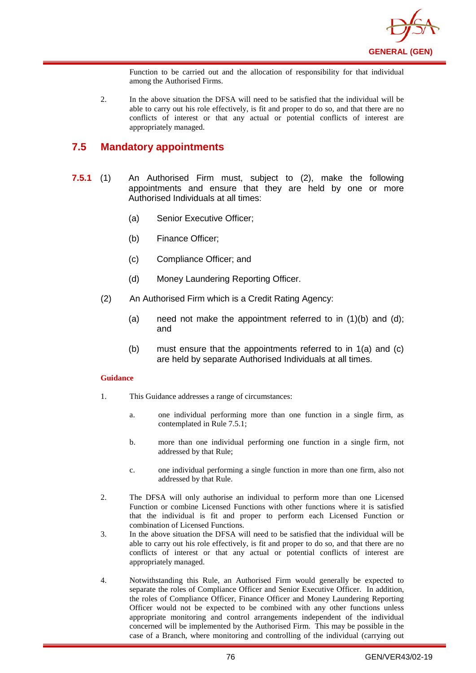

Function to be carried out and the allocation of responsibility for that individual among the Authorised Firms.

2. In the above situation the DFSA will need to be satisfied that the individual will be able to carry out his role effectively, is fit and proper to do so, and that there are no conflicts of interest or that any actual or potential conflicts of interest are appropriately managed.

## **7.5 Mandatory appointments**

- **7.5.1** (1) An Authorised Firm must, subject to (2), make the following appointments and ensure that they are held by one or more Authorised Individuals at all times:
	- (a) Senior Executive Officer;
	- (b) Finance Officer;
	- (c) Compliance Officer; and
	- (d) Money Laundering Reporting Officer.
	- (2) An Authorised Firm which is a Credit Rating Agency:
		- (a) need not make the appointment referred to in  $(1)(b)$  and  $(d)$ ; and
		- (b) must ensure that the appointments referred to in 1(a) and (c) are held by separate Authorised Individuals at all times.

#### **Guidance**

- 1. This Guidance addresses a range of circumstances:
	- a. one individual performing more than one function in a single firm, as contemplated in Rule 7.5.1;
	- b. more than one individual performing one function in a single firm, not addressed by that Rule;
	- c. one individual performing a single function in more than one firm, also not addressed by that Rule.
- 2. The DFSA will only authorise an individual to perform more than one Licensed Function or combine Licensed Functions with other functions where it is satisfied that the individual is fit and proper to perform each Licensed Function or combination of Licensed Functions.
- 3. In the above situation the DFSA will need to be satisfied that the individual will be able to carry out his role effectively, is fit and proper to do so, and that there are no conflicts of interest or that any actual or potential conflicts of interest are appropriately managed.
- 4. Notwithstanding this Rule, an Authorised Firm would generally be expected to separate the roles of Compliance Officer and Senior Executive Officer. In addition, the roles of Compliance Officer, Finance Officer and Money Laundering Reporting Officer would not be expected to be combined with any other functions unless appropriate monitoring and control arrangements independent of the individual concerned will be implemented by the Authorised Firm. This may be possible in the case of a Branch, where monitoring and controlling of the individual (carrying out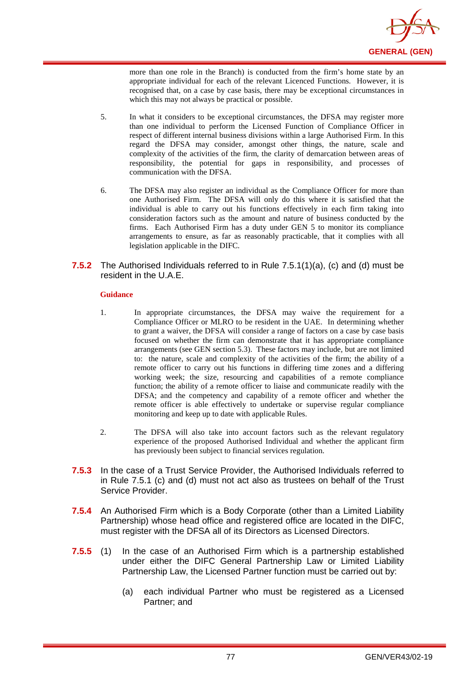

more than one role in the Branch) is conducted from the firm's home state by an appropriate individual for each of the relevant Licenced Functions. However, it is recognised that, on a case by case basis, there may be exceptional circumstances in which this may not always be practical or possible.

- 5. In what it considers to be exceptional circumstances, the DFSA may register more than one individual to perform the Licensed Function of Compliance Officer in respect of different internal business divisions within a large Authorised Firm. In this regard the DFSA may consider, amongst other things, the nature, scale and complexity of the activities of the firm, the clarity of demarcation between areas of responsibility, the potential for gaps in responsibility, and processes of communication with the DFSA.
- 6. The DFSA may also register an individual as the Compliance Officer for more than one Authorised Firm. The DFSA will only do this where it is satisfied that the individual is able to carry out his functions effectively in each firm taking into consideration factors such as the amount and nature of business conducted by the firms. Each Authorised Firm has a duty under GEN 5 to monitor its compliance arrangements to ensure, as far as reasonably practicable, that it complies with all legislation applicable in the DIFC.
- **7.5.2** The Authorised Individuals referred to in Rule 7.5.1(1)(a), (c) and (d) must be resident in the U.A.E.

#### **Guidance**

- 1. In appropriate circumstances, the DFSA may waive the requirement for a Compliance Officer or MLRO to be resident in the UAE. In determining whether to grant a waiver, the DFSA will consider a range of factors on a case by case basis focused on whether the firm can demonstrate that it has appropriate compliance arrangements (see GEN section 5.3). These factors may include, but are not limited to: the nature, scale and complexity of the activities of the firm; the ability of a remote officer to carry out his functions in differing time zones and a differing working week; the size, resourcing and capabilities of a remote compliance function; the ability of a remote officer to liaise and communicate readily with the DFSA; and the competency and capability of a remote officer and whether the remote officer is able effectively to undertake or supervise regular compliance monitoring and keep up to date with applicable Rules.
- 2. The DFSA will also take into account factors such as the relevant regulatory experience of the proposed Authorised Individual and whether the applicant firm has previously been subject to financial services regulation.
- **7.5.3** In the case of a Trust Service Provider, the Authorised Individuals referred to in Rule 7.5.1 (c) and (d) must not act also as trustees on behalf of the Trust Service Provider.
- **7.5.4** An Authorised Firm which is a Body Corporate (other than a Limited Liability Partnership) whose head office and registered office are located in the DIFC, must register with the DFSA all of its Directors as Licensed Directors.
- **7.5.5** (1) In the case of an Authorised Firm which is a partnership established under either the DIFC General Partnership Law or Limited Liability Partnership Law, the Licensed Partner function must be carried out by:
	- (a) each individual Partner who must be registered as a Licensed Partner; and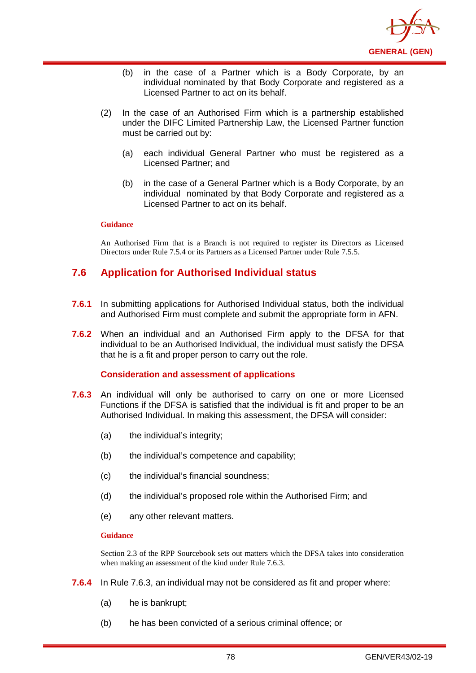

- (b) in the case of a Partner which is a Body Corporate, by an individual nominated by that Body Corporate and registered as a Licensed Partner to act on its behalf.
- (2) In the case of an Authorised Firm which is a partnership established under the DIFC Limited Partnership Law, the Licensed Partner function must be carried out by:
	- (a) each individual General Partner who must be registered as a Licensed Partner; and
	- (b) in the case of a General Partner which is a Body Corporate, by an individual nominated by that Body Corporate and registered as a Licensed Partner to act on its behalf.

An Authorised Firm that is a Branch is not required to register its Directors as Licensed Directors under Rule 7.5.4 or its Partners as a Licensed Partner under Rule 7.5.5.

# **7.6 Application for Authorised Individual status**

- **7.6.1** In submitting applications for Authorised Individual status, both the individual and Authorised Firm must complete and submit the appropriate form in AFN.
- **7.6.2** When an individual and an Authorised Firm apply to the DFSA for that individual to be an Authorised Individual, the individual must satisfy the DFSA that he is a fit and proper person to carry out the role.

### **Consideration and assessment of applications**

- **7.6.3** An individual will only be authorised to carry on one or more Licensed Functions if the DFSA is satisfied that the individual is fit and proper to be an Authorised Individual. In making this assessment, the DFSA will consider:
	- (a) the individual's integrity;
	- (b) the individual's competence and capability;
	- (c) the individual's financial soundness;
	- (d) the individual's proposed role within the Authorised Firm; and
	- (e) any other relevant matters.

#### **Guidance**

Section 2.3 of the RPP Sourcebook sets out matters which the DFSA takes into consideration when making an assessment of the kind under Rule 7.6.3.

- **7.6.4** In Rule 7.6.3, an individual may not be considered as fit and proper where:
	- (a) he is bankrupt;
	- (b) he has been convicted of a serious criminal offence; or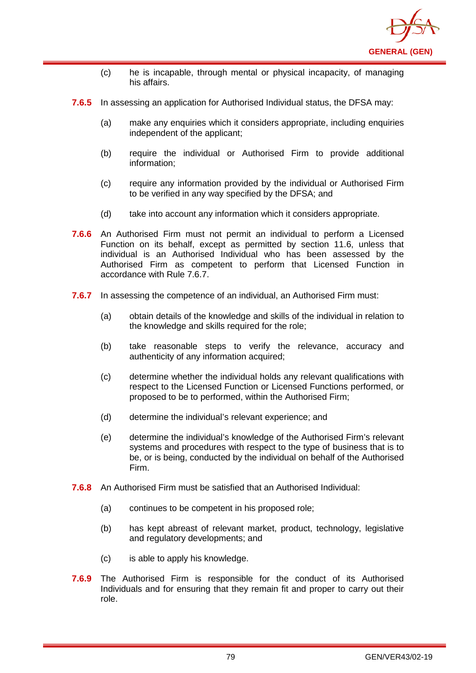

- (c) he is incapable, through mental or physical incapacity, of managing his affairs.
- **7.6.5** In assessing an application for Authorised Individual status, the DFSA may:
	- (a) make any enquiries which it considers appropriate, including enquiries independent of the applicant;
	- (b) require the individual or Authorised Firm to provide additional information;
	- (c) require any information provided by the individual or Authorised Firm to be verified in any way specified by the DFSA; and
	- (d) take into account any information which it considers appropriate.
- **7.6.6** An Authorised Firm must not permit an individual to perform a Licensed Function on its behalf, except as permitted by section 11.6, unless that individual is an Authorised Individual who has been assessed by the Authorised Firm as competent to perform that Licensed Function in accordance with Rule 7.6.7.
- **7.6.7** In assessing the competence of an individual, an Authorised Firm must:
	- (a) obtain details of the knowledge and skills of the individual in relation to the knowledge and skills required for the role;
	- (b) take reasonable steps to verify the relevance, accuracy and authenticity of any information acquired;
	- (c) determine whether the individual holds any relevant qualifications with respect to the Licensed Function or Licensed Functions performed, or proposed to be to performed, within the Authorised Firm;
	- (d) determine the individual's relevant experience; and
	- (e) determine the individual's knowledge of the Authorised Firm's relevant systems and procedures with respect to the type of business that is to be, or is being, conducted by the individual on behalf of the Authorised Firm.
- **7.6.8** An Authorised Firm must be satisfied that an Authorised Individual:
	- (a) continues to be competent in his proposed role;
	- (b) has kept abreast of relevant market, product, technology, legislative and regulatory developments; and
	- (c) is able to apply his knowledge.
- **7.6.9** The Authorised Firm is responsible for the conduct of its Authorised Individuals and for ensuring that they remain fit and proper to carry out their role.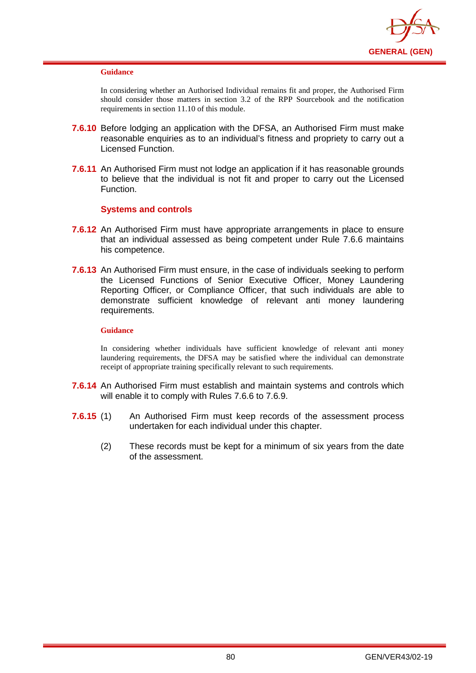

In considering whether an Authorised Individual remains fit and proper, the Authorised Firm should consider those matters in section 3.2 of the RPP Sourcebook and the notification requirements in section 11.10 of this module.

- **7.6.10** Before lodging an application with the DFSA, an Authorised Firm must make reasonable enquiries as to an individual's fitness and propriety to carry out a Licensed Function.
- **7.6.11** An Authorised Firm must not lodge an application if it has reasonable grounds to believe that the individual is not fit and proper to carry out the Licensed Function.

## **Systems and controls**

- **7.6.12** An Authorised Firm must have appropriate arrangements in place to ensure that an individual assessed as being competent under Rule 7.6.6 maintains his competence.
- **7.6.13** An Authorised Firm must ensure, in the case of individuals seeking to perform the Licensed Functions of Senior Executive Officer, Money Laundering Reporting Officer, or Compliance Officer, that such individuals are able to demonstrate sufficient knowledge of relevant anti money laundering requirements.

#### **Guidance**

In considering whether individuals have sufficient knowledge of relevant anti money laundering requirements, the DFSA may be satisfied where the individual can demonstrate receipt of appropriate training specifically relevant to such requirements.

- **7.6.14** An Authorised Firm must establish and maintain systems and controls which will enable it to comply with Rules 7.6.6 to 7.6.9.
- **7.6.15** (1) An Authorised Firm must keep records of the assessment process undertaken for each individual under this chapter.
	- (2) These records must be kept for a minimum of six years from the date of the assessment.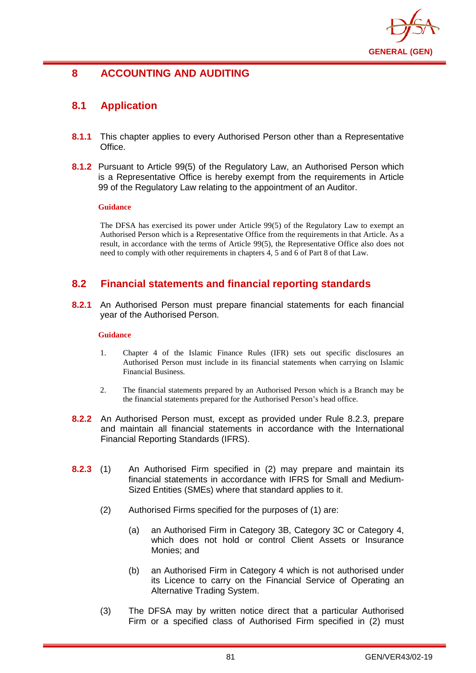

# **8 ACCOUNTING AND AUDITING**

# **8.1 Application**

- **8.1.1** This chapter applies to every Authorised Person other than a Representative Office.
- **8.1.2** Pursuant to Article 99(5) of the Regulatory Law, an Authorised Person which is a Representative Office is hereby exempt from the requirements in Article 99 of the Regulatory Law relating to the appointment of an Auditor.

### **Guidance**

The DFSA has exercised its power under Article 99(5) of the Regulatory Law to exempt an Authorised Person which is a Representative Office from the requirements in that Article. As a result, in accordance with the terms of Article 99(5), the Representative Office also does not need to comply with other requirements in chapters 4, 5 and 6 of Part 8 of that Law.

# **8.2 Financial statements and financial reporting standards**

**8.2.1** An Authorised Person must prepare financial statements for each financial year of the Authorised Person.

### **Guidance**

- 1. Chapter 4 of the Islamic Finance Rules (IFR) sets out specific disclosures an Authorised Person must include in its financial statements when carrying on Islamic Financial Business.
- 2. The financial statements prepared by an Authorised Person which is a Branch may be the financial statements prepared for the Authorised Person's head office.
- **8.2.2** An Authorised Person must, except as provided under Rule 8.2.3, prepare and maintain all financial statements in accordance with the International Financial Reporting Standards (IFRS).
- **8.2.3** (1) An Authorised Firm specified in (2) may prepare and maintain its financial statements in accordance with IFRS for Small and Medium-Sized Entities (SMEs) where that standard applies to it.
	- (2) Authorised Firms specified for the purposes of (1) are:
		- (a) an Authorised Firm in Category 3B, Category 3C or Category 4, which does not hold or control Client Assets or Insurance Monies; and
		- (b) an Authorised Firm in Category 4 which is not authorised under its Licence to carry on the Financial Service of Operating an Alternative Trading System.
	- (3) The DFSA may by written notice direct that a particular Authorised Firm or a specified class of Authorised Firm specified in (2) must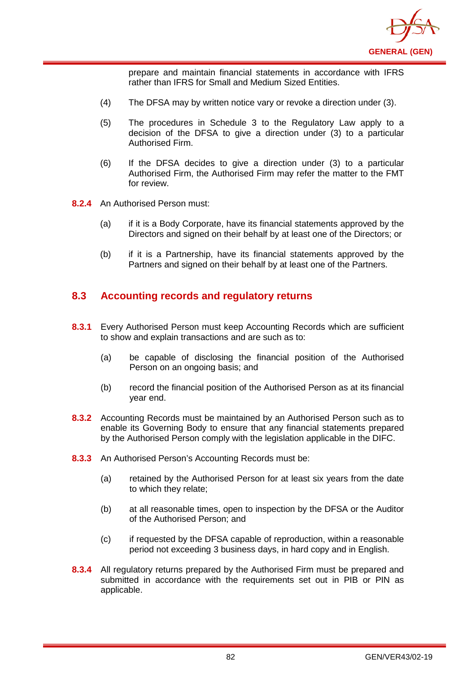

prepare and maintain financial statements in accordance with IFRS rather than IFRS for Small and Medium Sized Entities.

- (4) The DFSA may by written notice vary or revoke a direction under (3).
- (5) The procedures in Schedule 3 to the Regulatory Law apply to a decision of the DFSA to give a direction under (3) to a particular Authorised Firm.
- (6) If the DFSA decides to give a direction under (3) to a particular Authorised Firm, the Authorised Firm may refer the matter to the FMT for review.
- **8.2.4** An Authorised Person must:
	- (a) if it is a Body Corporate, have its financial statements approved by the Directors and signed on their behalf by at least one of the Directors; or
	- (b) if it is a Partnership, have its financial statements approved by the Partners and signed on their behalf by at least one of the Partners.

# **8.3 Accounting records and regulatory returns**

- **8.3.1** Every Authorised Person must keep Accounting Records which are sufficient to show and explain transactions and are such as to:
	- (a) be capable of disclosing the financial position of the Authorised Person on an ongoing basis; and
	- (b) record the financial position of the Authorised Person as at its financial year end.
- **8.3.2** Accounting Records must be maintained by an Authorised Person such as to enable its Governing Body to ensure that any financial statements prepared by the Authorised Person comply with the legislation applicable in the DIFC.
- **8.3.3** An Authorised Person's Accounting Records must be:
	- (a) retained by the Authorised Person for at least six years from the date to which they relate;
	- (b) at all reasonable times, open to inspection by the DFSA or the Auditor of the Authorised Person; and
	- (c) if requested by the DFSA capable of reproduction, within a reasonable period not exceeding 3 business days, in hard copy and in English.
- **8.3.4** All regulatory returns prepared by the Authorised Firm must be prepared and submitted in accordance with the requirements set out in PIB or PIN as applicable.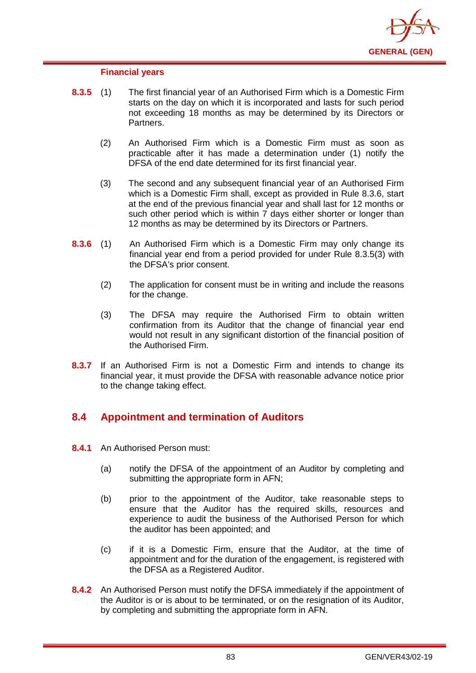

#### **Financial years**

- **8.3.5** (1) The first financial year of an Authorised Firm which is a Domestic Firm starts on the day on which it is incorporated and lasts for such period not exceeding 18 months as may be determined by its Directors or Partners.
	- (2) An Authorised Firm which is a Domestic Firm must as soon as practicable after it has made a determination under (1) notify the DFSA of the end date determined for its first financial year.
	- (3) The second and any subsequent financial year of an Authorised Firm which is a Domestic Firm shall, except as provided in Rule 8.3.6, start at the end of the previous financial year and shall last for 12 months or such other period which is within 7 days either shorter or longer than 12 months as may be determined by its Directors or Partners.
- **8.3.6** (1) An Authorised Firm which is a Domestic Firm may only change its financial year end from a period provided for under Rule 8.3.5(3) with the DFSA's prior consent.
	- (2) The application for consent must be in writing and include the reasons for the change.
	- (3) The DFSA may require the Authorised Firm to obtain written confirmation from its Auditor that the change of financial year end would not result in any significant distortion of the financial position of the Authorised Firm.
- **8.3.7** If an Authorised Firm is not a Domestic Firm and intends to change its financial year, it must provide the DFSA with reasonable advance notice prior to the change taking effect.

## **8.4 Appointment and termination of Auditors**

- **8.4.1** An Authorised Person must:
	- (a) notify the DFSA of the appointment of an Auditor by completing and submitting the appropriate form in AFN;
	- (b) prior to the appointment of the Auditor, take reasonable steps to ensure that the Auditor has the required skills, resources and experience to audit the business of the Authorised Person for which the auditor has been appointed; and
	- (c) if it is a Domestic Firm, ensure that the Auditor, at the time of appointment and for the duration of the engagement, is registered with the DFSA as a Registered Auditor.
- **8.4.2** An Authorised Person must notify the DFSA immediately if the appointment of the Auditor is or is about to be terminated, or on the resignation of its Auditor, by completing and submitting the appropriate form in AFN.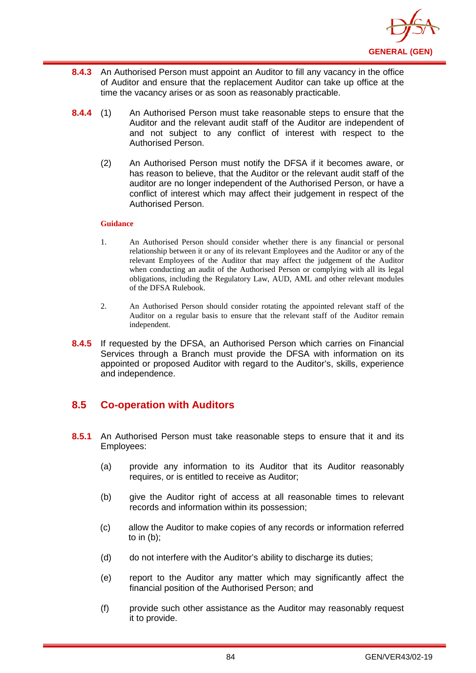

- **8.4.3** An Authorised Person must appoint an Auditor to fill any vacancy in the office of Auditor and ensure that the replacement Auditor can take up office at the time the vacancy arises or as soon as reasonably practicable.
- **8.4.4** (1) An Authorised Person must take reasonable steps to ensure that the Auditor and the relevant audit staff of the Auditor are independent of and not subject to any conflict of interest with respect to the Authorised Person.
	- (2) An Authorised Person must notify the DFSA if it becomes aware, or has reason to believe, that the Auditor or the relevant audit staff of the auditor are no longer independent of the Authorised Person, or have a conflict of interest which may affect their judgement in respect of the Authorised Person.

- 1. An Authorised Person should consider whether there is any financial or personal relationship between it or any of its relevant Employees and the Auditor or any of the relevant Employees of the Auditor that may affect the judgement of the Auditor when conducting an audit of the Authorised Person or complying with all its legal obligations, including the Regulatory Law, AUD, AML and other relevant modules of the DFSA Rulebook.
- 2. An Authorised Person should consider rotating the appointed relevant staff of the Auditor on a regular basis to ensure that the relevant staff of the Auditor remain independent.
- **8.4.5** If requested by the DFSA, an Authorised Person which carries on Financial Services through a Branch must provide the DFSA with information on its appointed or proposed Auditor with regard to the Auditor's, skills, experience and independence.

# **8.5 Co-operation with Auditors**

- **8.5.1** An Authorised Person must take reasonable steps to ensure that it and its Employees:
	- (a) provide any information to its Auditor that its Auditor reasonably requires, or is entitled to receive as Auditor;
	- (b) give the Auditor right of access at all reasonable times to relevant records and information within its possession;
	- (c) allow the Auditor to make copies of any records or information referred to in (b);
	- (d) do not interfere with the Auditor's ability to discharge its duties;
	- (e) report to the Auditor any matter which may significantly affect the financial position of the Authorised Person; and
	- (f) provide such other assistance as the Auditor may reasonably request it to provide.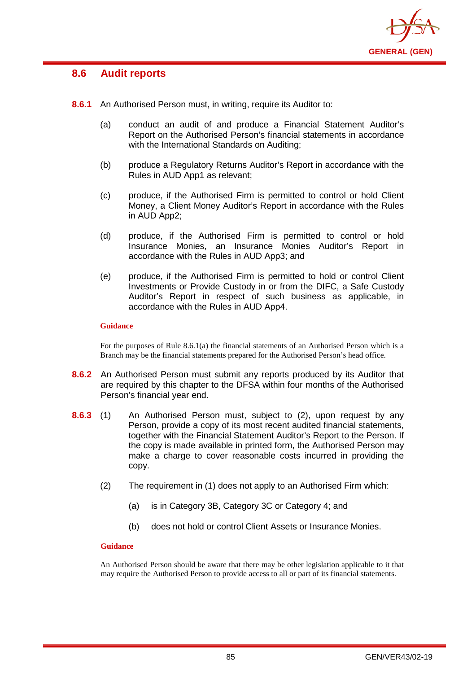

# **8.6 Audit reports**

- **8.6.1** An Authorised Person must, in writing, require its Auditor to:
	- (a) conduct an audit of and produce a Financial Statement Auditor's Report on the Authorised Person's financial statements in accordance with the International Standards on Auditing;
	- (b) produce a Regulatory Returns Auditor's Report in accordance with the Rules in AUD App1 as relevant;
	- (c) produce, if the Authorised Firm is permitted to control or hold Client Money, a Client Money Auditor's Report in accordance with the Rules in AUD App2;
	- (d) produce, if the Authorised Firm is permitted to control or hold Insurance Monies, an Insurance Monies Auditor's Report in accordance with the Rules in AUD App3; and
	- (e) produce, if the Authorised Firm is permitted to hold or control Client Investments or Provide Custody in or from the DIFC, a Safe Custody Auditor's Report in respect of such business as applicable, in accordance with the Rules in AUD App4.

### **Guidance**

For the purposes of Rule 8.6.1(a) the financial statements of an Authorised Person which is a Branch may be the financial statements prepared for the Authorised Person's head office.

- **8.6.2** An Authorised Person must submit any reports produced by its Auditor that are required by this chapter to the DFSA within four months of the Authorised Person's financial year end.
- **8.6.3** (1) An Authorised Person must, subject to (2), upon request by any Person, provide a copy of its most recent audited financial statements, together with the Financial Statement Auditor's Report to the Person. If the copy is made available in printed form, the Authorised Person may make a charge to cover reasonable costs incurred in providing the copy.
	- (2) The requirement in (1) does not apply to an Authorised Firm which:
		- (a) is in Category 3B, Category 3C or Category 4; and
		- (b) does not hold or control Client Assets or Insurance Monies.

### **Guidance**

An Authorised Person should be aware that there may be other legislation applicable to it that may require the Authorised Person to provide access to all or part of its financial statements.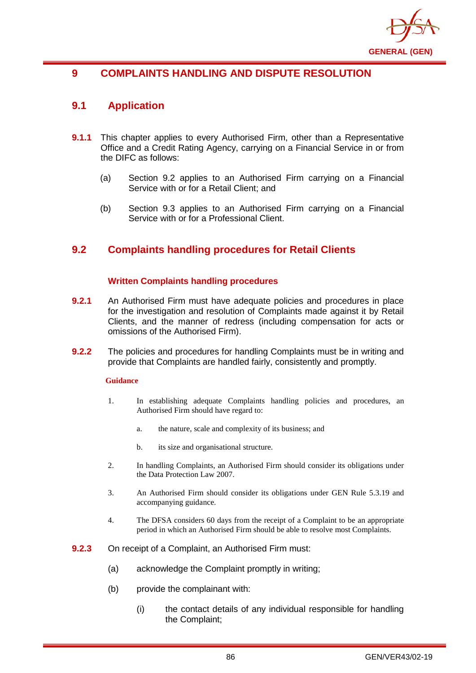

# **9 COMPLAINTS HANDLING AND DISPUTE RESOLUTION**

# **9.1 Application**

- **9.1.1** This chapter applies to every Authorised Firm, other than a Representative Office and a Credit Rating Agency, carrying on a Financial Service in or from the DIFC as follows:
	- (a) Section 9.2 applies to an Authorised Firm carrying on a Financial Service with or for a Retail Client; and
	- (b) Section 9.3 applies to an Authorised Firm carrying on a Financial Service with or for a Professional Client.

# **9.2 Complaints handling procedures for Retail Clients**

## **Written Complaints handling procedures**

- **9.2.1** An Authorised Firm must have adequate policies and procedures in place for the investigation and resolution of Complaints made against it by Retail Clients, and the manner of redress (including compensation for acts or omissions of the Authorised Firm).
- **9.2.2** The policies and procedures for handling Complaints must be in writing and provide that Complaints are handled fairly, consistently and promptly.

### **Guidance**

- 1. In establishing adequate Complaints handling policies and procedures, an Authorised Firm should have regard to:
	- a. the nature, scale and complexity of its business; and
	- b. its size and organisational structure.
- 2. In handling Complaints, an Authorised Firm should consider its obligations under the Data Protection Law 2007.
- 3. An Authorised Firm should consider its obligations under GEN Rule 5.3.19 and accompanying guidance.
- 4. The DFSA considers 60 days from the receipt of a Complaint to be an appropriate period in which an Authorised Firm should be able to resolve most Complaints.
- **9.2.3** On receipt of a Complaint, an Authorised Firm must:
	- (a) acknowledge the Complaint promptly in writing;
	- (b) provide the complainant with:
		- (i) the contact details of any individual responsible for handling the Complaint;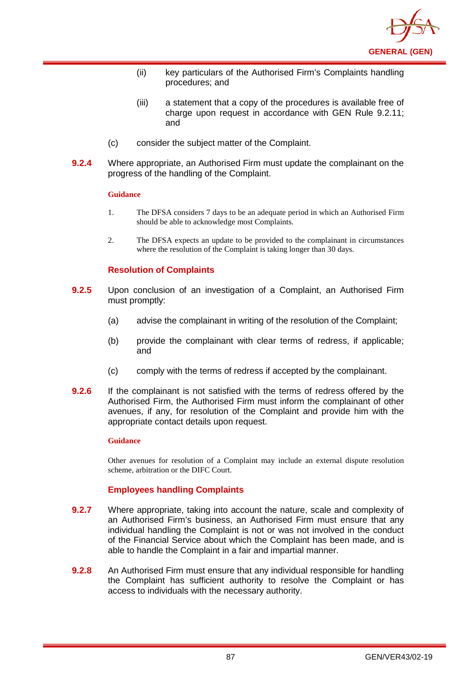

- (ii) key particulars of the Authorised Firm's Complaints handling procedures; and
- (iii) a statement that a copy of the procedures is available free of charge upon request in accordance with GEN Rule 9.2.11; and
- (c) consider the subject matter of the Complaint.
- **9.2.4** Where appropriate, an Authorised Firm must update the complainant on the progress of the handling of the Complaint.

- 1. The DFSA considers 7 days to be an adequate period in which an Authorised Firm should be able to acknowledge most Complaints.
- 2. The DFSA expects an update to be provided to the complainant in circumstances where the resolution of the Complaint is taking longer than 30 days.

### **Resolution of Complaints**

- **9.2.5** Upon conclusion of an investigation of a Complaint, an Authorised Firm must promptly:
	- (a) advise the complainant in writing of the resolution of the Complaint;
	- (b) provide the complainant with clear terms of redress, if applicable; and
	- (c) comply with the terms of redress if accepted by the complainant.
- **9.2.6** If the complainant is not satisfied with the terms of redress offered by the Authorised Firm, the Authorised Firm must inform the complainant of other avenues, if any, for resolution of the Complaint and provide him with the appropriate contact details upon request.

#### **Guidance**

Other avenues for resolution of a Complaint may include an external dispute resolution scheme, arbitration or the DIFC Court.

### **Employees handling Complaints**

- **9.2.7** Where appropriate, taking into account the nature, scale and complexity of an Authorised Firm's business, an Authorised Firm must ensure that any individual handling the Complaint is not or was not involved in the conduct of the Financial Service about which the Complaint has been made, and is able to handle the Complaint in a fair and impartial manner.
- **9.2.8** An Authorised Firm must ensure that any individual responsible for handling the Complaint has sufficient authority to resolve the Complaint or has access to individuals with the necessary authority.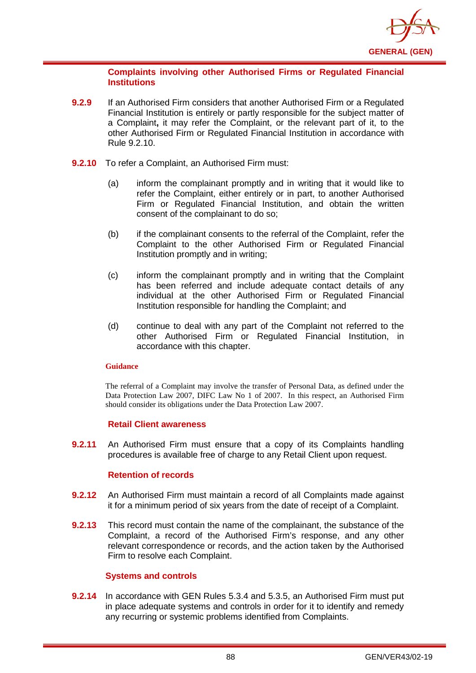

### **Complaints involving other Authorised Firms or Regulated Financial Institutions**

- **9.2.9** If an Authorised Firm considers that another Authorised Firm or a Regulated Financial Institution is entirely or partly responsible for the subject matter of a Complaint**,** it may refer the Complaint, or the relevant part of it, to the other Authorised Firm or Regulated Financial Institution in accordance with Rule 9.2.10.
- **9.2.10** To refer a Complaint, an Authorised Firm must:
	- (a) inform the complainant promptly and in writing that it would like to refer the Complaint, either entirely or in part, to another Authorised Firm or Regulated Financial Institution, and obtain the written consent of the complainant to do so;
	- (b) if the complainant consents to the referral of the Complaint, refer the Complaint to the other Authorised Firm or Regulated Financial Institution promptly and in writing;
	- (c) inform the complainant promptly and in writing that the Complaint has been referred and include adequate contact details of any individual at the other Authorised Firm or Regulated Financial Institution responsible for handling the Complaint; and
	- (d) continue to deal with any part of the Complaint not referred to the other Authorised Firm or Regulated Financial Institution, in accordance with this chapter.

### **Guidance**

The referral of a Complaint may involve the transfer of Personal Data, as defined under the Data Protection Law 2007, DIFC Law No 1 of 2007. In this respect, an Authorised Firm should consider its obligations under the Data Protection Law 2007.

### **Retail Client awareness**

**9.2.11** An Authorised Firm must ensure that a copy of its Complaints handling procedures is available free of charge to any Retail Client upon request.

## **Retention of records**

- **9.2.12** An Authorised Firm must maintain a record of all Complaints made against it for a minimum period of six years from the date of receipt of a Complaint.
- **9.2.13** This record must contain the name of the complainant, the substance of the Complaint, a record of the Authorised Firm's response, and any other relevant correspondence or records, and the action taken by the Authorised Firm to resolve each Complaint.

### **Systems and controls**

**9.2.14** In accordance with GEN Rules 5.3.4 and 5.3.5, an Authorised Firm must put in place adequate systems and controls in order for it to identify and remedy any recurring or systemic problems identified from Complaints.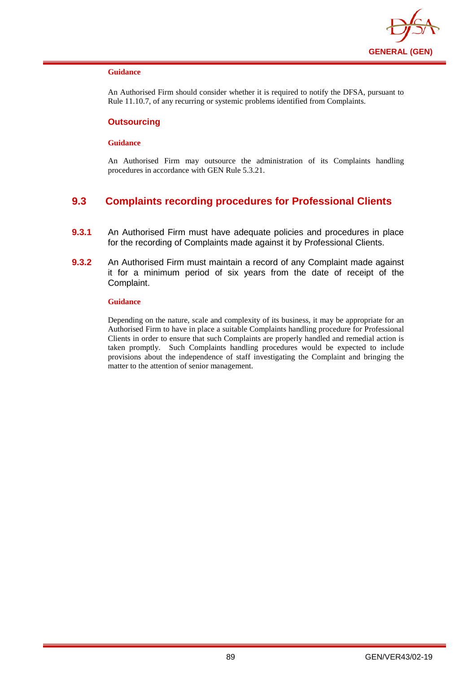

An Authorised Firm should consider whether it is required to notify the DFSA, pursuant to Rule 11.10.7, of any recurring or systemic problems identified from Complaints.

### **Outsourcing**

#### **Guidance**

An Authorised Firm may outsource the administration of its Complaints handling procedures in accordance with GEN Rule 5.3.21.

# **9.3 Complaints recording procedures for Professional Clients**

- **9.3.1** An Authorised Firm must have adequate policies and procedures in place for the recording of Complaints made against it by Professional Clients.
- **9.3.2** An Authorised Firm must maintain a record of any Complaint made against it for a minimum period of six years from the date of receipt of the Complaint.

#### **Guidance**

Depending on the nature, scale and complexity of its business, it may be appropriate for an Authorised Firm to have in place a suitable Complaints handling procedure for Professional Clients in order to ensure that such Complaints are properly handled and remedial action is taken promptly. Such Complaints handling procedures would be expected to include provisions about the independence of staff investigating the Complaint and bringing the matter to the attention of senior management.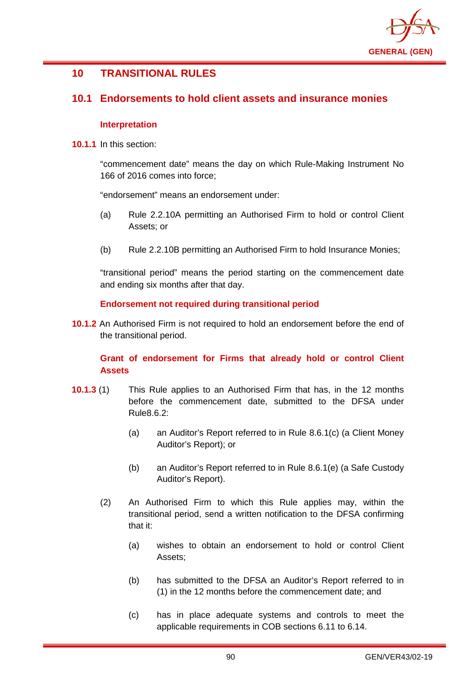

# **10 TRANSITIONAL RULES**

## **10.1 Endorsements to hold client assets and insurance monies**

## **Interpretation**

**10.1.1** In this section:

"commencement date" means the day on which Rule-Making Instrument No 166 of 2016 comes into force;

"endorsement" means an endorsement under:

- (a) Rule 2.2.10A permitting an Authorised Firm to hold or control Client Assets; or
- (b) Rule 2.2.10B permitting an Authorised Firm to hold Insurance Monies;

"transitional period" means the period starting on the commencement date and ending six months after that day.

## **Endorsement not required during transitional period**

**10.1.2** An Authorised Firm is not required to hold an endorsement before the end of the transitional period.

## **Grant of endorsement for Firms that already hold or control Client Assets**

- **10.1.3** (1) This Rule applies to an Authorised Firm that has, in the 12 months before the commencement date, submitted to the DFSA under Rule8.6.2:
	- (a) an Auditor's Report referred to in Rule 8.6.1(c) (a Client Money Auditor's Report); or
	- (b) an Auditor's Report referred to in Rule 8.6.1(e) (a Safe Custody Auditor's Report).
	- (2) An Authorised Firm to which this Rule applies may, within the transitional period, send a written notification to the DFSA confirming that it:
		- (a) wishes to obtain an endorsement to hold or control Client Assets;
		- (b) has submitted to the DFSA an Auditor's Report referred to in (1) in the 12 months before the commencement date; and
		- (c) has in place adequate systems and controls to meet the applicable requirements in COB sections 6.11 to 6.14.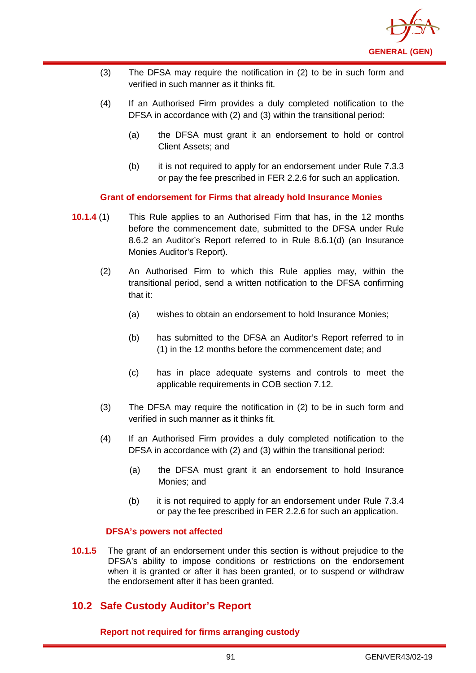

- (3) The DFSA may require the notification in (2) to be in such form and verified in such manner as it thinks fit.
- (4) If an Authorised Firm provides a duly completed notification to the DFSA in accordance with (2) and (3) within the transitional period:
	- (a) the DFSA must grant it an endorsement to hold or control Client Assets; and
	- (b) it is not required to apply for an endorsement under Rule 7.3.3 or pay the fee prescribed in FER 2.2.6 for such an application.

**Grant of endorsement for Firms that already hold Insurance Monies**

- **10.1.4** (1) This Rule applies to an Authorised Firm that has, in the 12 months before the commencement date, submitted to the DFSA under Rule 8.6.2 an Auditor's Report referred to in Rule 8.6.1(d) (an Insurance Monies Auditor's Report).
	- (2) An Authorised Firm to which this Rule applies may, within the transitional period, send a written notification to the DFSA confirming that it:
		- (a) wishes to obtain an endorsement to hold Insurance Monies;
		- (b) has submitted to the DFSA an Auditor's Report referred to in (1) in the 12 months before the commencement date; and
		- (c) has in place adequate systems and controls to meet the applicable requirements in COB section 7.12.
	- (3) The DFSA may require the notification in (2) to be in such form and verified in such manner as it thinks fit.
	- (4) If an Authorised Firm provides a duly completed notification to the DFSA in accordance with (2) and (3) within the transitional period:
		- (a) the DFSA must grant it an endorsement to hold Insurance Monies; and
		- (b) it is not required to apply for an endorsement under Rule 7.3.4 or pay the fee prescribed in FER 2.2.6 for such an application.

### **DFSA's powers not affected**

**10.1.5** The grant of an endorsement under this section is without prejudice to the DFSA's ability to impose conditions or restrictions on the endorsement when it is granted or after it has been granted, or to suspend or withdraw the endorsement after it has been granted.

# **10.2 Safe Custody Auditor's Report**

**Report not required for firms arranging custody**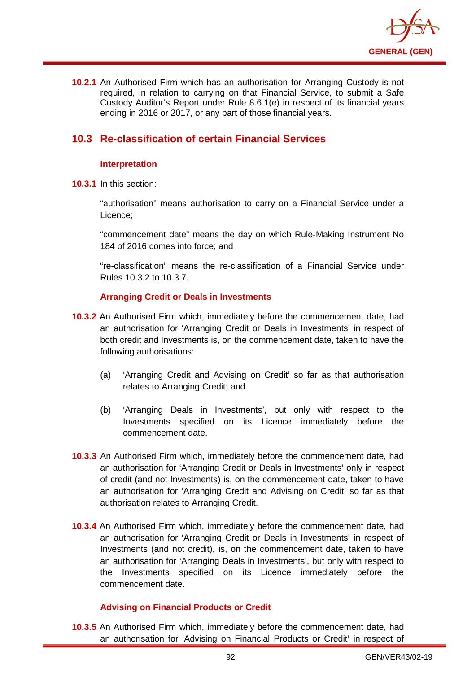

**10.2.1** An Authorised Firm which has an authorisation for Arranging Custody is not required, in relation to carrying on that Financial Service, to submit a Safe Custody Auditor's Report under Rule 8.6.1(e) in respect of its financial years ending in 2016 or 2017, or any part of those financial years.

# **10.3 Re-classification of certain Financial Services**

## **Interpretation**

**10.3.1** In this section:

"authorisation" means authorisation to carry on a Financial Service under a Licence;

"commencement date" means the day on which Rule-Making Instrument No 184 of 2016 comes into force; and

"re-classification" means the re-classification of a Financial Service under Rules 10.3.2 to 10.3.7.

## **Arranging Credit or Deals in Investments**

- **10.3.2** An Authorised Firm which, immediately before the commencement date, had an authorisation for 'Arranging Credit or Deals in Investments' in respect of both credit and Investments is, on the commencement date, taken to have the following authorisations:
	- (a) 'Arranging Credit and Advising on Credit' so far as that authorisation relates to Arranging Credit; and
	- (b) 'Arranging Deals in Investments', but only with respect to the Investments specified on its Licence immediately before the commencement date.
- **10.3.3** An Authorised Firm which, immediately before the commencement date, had an authorisation for 'Arranging Credit or Deals in Investments' only in respect of credit (and not Investments) is, on the commencement date, taken to have an authorisation for 'Arranging Credit and Advising on Credit' so far as that authorisation relates to Arranging Credit.
- **10.3.4** An Authorised Firm which, immediately before the commencement date, had an authorisation for 'Arranging Credit or Deals in Investments' in respect of Investments (and not credit), is, on the commencement date, taken to have an authorisation for 'Arranging Deals in Investments', but only with respect to the Investments specified on its Licence immediately before the commencement date.

## **Advising on Financial Products or Credit**

**10.3.5** An Authorised Firm which, immediately before the commencement date, had an authorisation for 'Advising on Financial Products or Credit' in respect of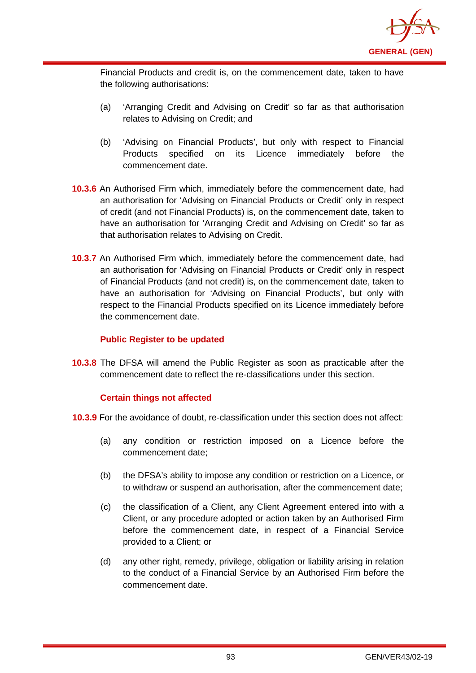

Financial Products and credit is, on the commencement date, taken to have the following authorisations:

- (a) 'Arranging Credit and Advising on Credit' so far as that authorisation relates to Advising on Credit; and
- (b) 'Advising on Financial Products', but only with respect to Financial Products specified on its Licence immediately before the commencement date.
- **10.3.6** An Authorised Firm which, immediately before the commencement date, had an authorisation for 'Advising on Financial Products or Credit' only in respect of credit (and not Financial Products) is, on the commencement date, taken to have an authorisation for 'Arranging Credit and Advising on Credit' so far as that authorisation relates to Advising on Credit.
- **10.3.7** An Authorised Firm which, immediately before the commencement date, had an authorisation for 'Advising on Financial Products or Credit' only in respect of Financial Products (and not credit) is, on the commencement date, taken to have an authorisation for 'Advising on Financial Products', but only with respect to the Financial Products specified on its Licence immediately before the commencement date.

## **Public Register to be updated**

**10.3.8** The DFSA will amend the Public Register as soon as practicable after the commencement date to reflect the re-classifications under this section.

## **Certain things not affected**

- **10.3.9** For the avoidance of doubt, re-classification under this section does not affect:
	- (a) any condition or restriction imposed on a Licence before the commencement date;
	- (b) the DFSA's ability to impose any condition or restriction on a Licence, or to withdraw or suspend an authorisation, after the commencement date;
	- (c) the classification of a Client, any Client Agreement entered into with a Client, or any procedure adopted or action taken by an Authorised Firm before the commencement date, in respect of a Financial Service provided to a Client; or
	- (d) any other right, remedy, privilege, obligation or liability arising in relation to the conduct of a Financial Service by an Authorised Firm before the commencement date.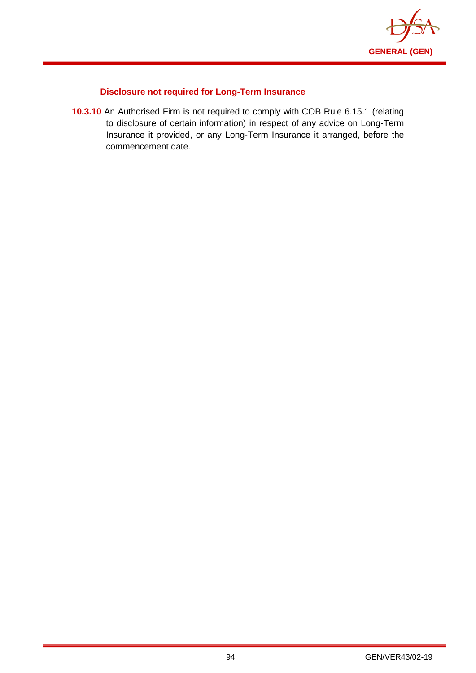

## **Disclosure not required for Long-Term Insurance**

**10.3.10** An Authorised Firm is not required to comply with COB Rule 6.15.1 (relating to disclosure of certain information) in respect of any advice on Long-Term Insurance it provided, or any Long-Term Insurance it arranged, before the commencement date.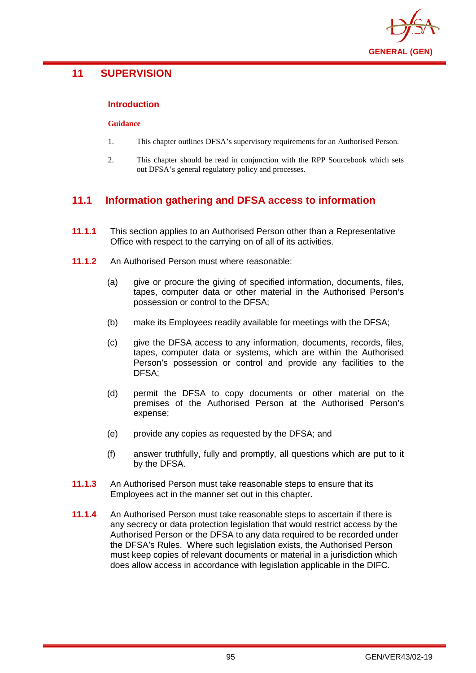

# **11 SUPERVISION**

## **Introduction**

#### **Guidance**

- 1. This chapter outlines DFSA's supervisory requirements for an Authorised Person.
- 2. This chapter should be read in conjunction with the RPP Sourcebook which sets out DFSA's general regulatory policy and processes.

# **11.1 Information gathering and DFSA access to information**

- **11.1.1** This section applies to an Authorised Person other than a Representative Office with respect to the carrying on of all of its activities.
- **11.1.2** An Authorised Person must where reasonable:
	- (a) give or procure the giving of specified information, documents, files, tapes, computer data or other material in the Authorised Person's possession or control to the DFSA;
	- (b) make its Employees readily available for meetings with the DFSA;
	- (c) give the DFSA access to any information, documents, records, files, tapes, computer data or systems, which are within the Authorised Person's possession or control and provide any facilities to the DFSA;
	- (d) permit the DFSA to copy documents or other material on the premises of the Authorised Person at the Authorised Person's expense;
	- (e) provide any copies as requested by the DFSA; and
	- (f) answer truthfully, fully and promptly, all questions which are put to it by the DFSA.
- **11.1.3** An Authorised Person must take reasonable steps to ensure that its Employees act in the manner set out in this chapter.
- **11.1.4** An Authorised Person must take reasonable steps to ascertain if there is any secrecy or data protection legislation that would restrict access by the Authorised Person or the DFSA to any data required to be recorded under the DFSA's Rules. Where such legislation exists, the Authorised Person must keep copies of relevant documents or material in a jurisdiction which does allow access in accordance with legislation applicable in the DIFC.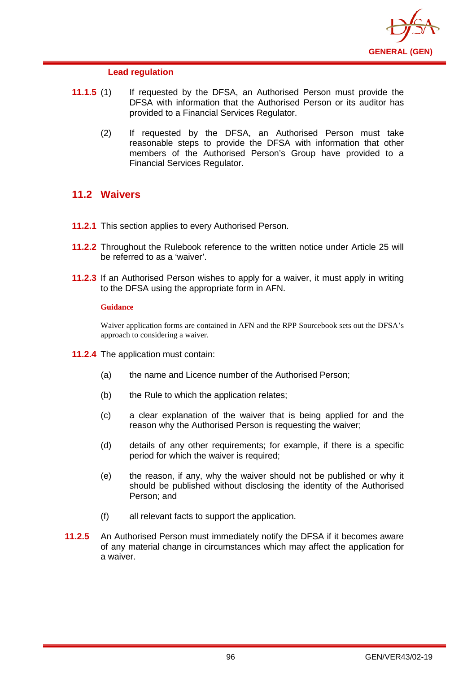

### **Lead regulation**

- **11.1.5** (1) If requested by the DFSA, an Authorised Person must provide the DFSA with information that the Authorised Person or its auditor has provided to a Financial Services Regulator.
	- (2) If requested by the DFSA, an Authorised Person must take reasonable steps to provide the DFSA with information that other members of the Authorised Person's Group have provided to a Financial Services Regulator.

# **11.2 Waivers**

- **11.2.1** This section applies to every Authorised Person.
- **11.2.2** Throughout the Rulebook reference to the written notice under Article 25 will be referred to as a 'waiver'.
- **11.2.3** If an Authorised Person wishes to apply for a waiver, it must apply in writing to the DFSA using the appropriate form in AFN.

### **Guidance**

Waiver application forms are contained in AFN and the RPP Sourcebook sets out the DFSA's approach to considering a waiver.

- **11.2.4** The application must contain:
	- (a) the name and Licence number of the Authorised Person;
	- (b) the Rule to which the application relates;
	- (c) a clear explanation of the waiver that is being applied for and the reason why the Authorised Person is requesting the waiver;
	- (d) details of any other requirements; for example, if there is a specific period for which the waiver is required;
	- (e) the reason, if any, why the waiver should not be published or why it should be published without disclosing the identity of the Authorised Person; and
	- (f) all relevant facts to support the application.
- **11.2.5** An Authorised Person must immediately notify the DFSA if it becomes aware of any material change in circumstances which may affect the application for a waiver.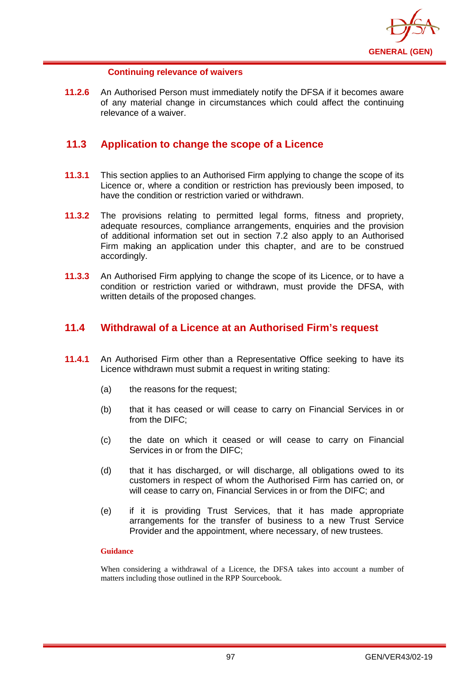

### **Continuing relevance of waivers**

**11.2.6** An Authorised Person must immediately notify the DFSA if it becomes aware of any material change in circumstances which could affect the continuing relevance of a waiver.

# **11.3 Application to change the scope of a Licence**

- **11.3.1** This section applies to an Authorised Firm applying to change the scope of its Licence or, where a condition or restriction has previously been imposed, to have the condition or restriction varied or withdrawn.
- **11.3.2** The provisions relating to permitted legal forms, fitness and propriety, adequate resources, compliance arrangements, enquiries and the provision of additional information set out in section 7.2 also apply to an Authorised Firm making an application under this chapter, and are to be construed accordingly.
- **11.3.3** An Authorised Firm applying to change the scope of its Licence, or to have a condition or restriction varied or withdrawn, must provide the DFSA, with written details of the proposed changes.

## **11.4 Withdrawal of a Licence at an Authorised Firm's request**

- **11.4.1** An Authorised Firm other than a Representative Office seeking to have its Licence withdrawn must submit a request in writing stating:
	- (a) the reasons for the request;
	- (b) that it has ceased or will cease to carry on Financial Services in or from the DIFC;
	- (c) the date on which it ceased or will cease to carry on Financial Services in or from the DIFC;
	- (d) that it has discharged, or will discharge, all obligations owed to its customers in respect of whom the Authorised Firm has carried on, or will cease to carry on, Financial Services in or from the DIFC; and
	- (e) if it is providing Trust Services, that it has made appropriate arrangements for the transfer of business to a new Trust Service Provider and the appointment, where necessary, of new trustees.

### **Guidance**

When considering a withdrawal of a Licence, the DFSA takes into account a number of matters including those outlined in the RPP Sourcebook.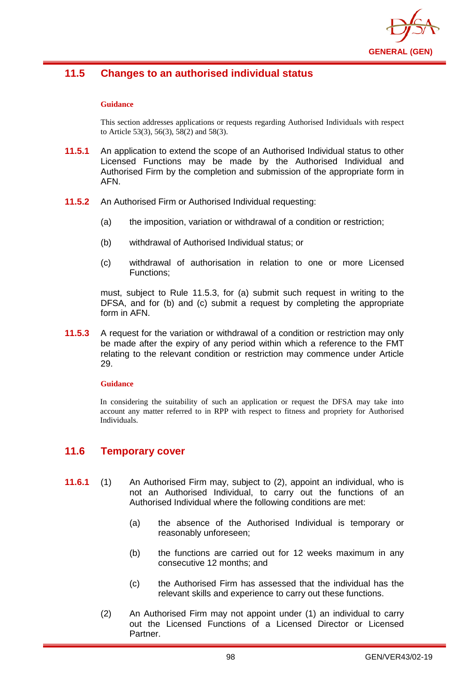

# **11.5 Changes to an authorised individual status**

#### **Guidance**

This section addresses applications or requests regarding Authorised Individuals with respect to Article 53(3), 56(3), 58(2) and 58(3).

- **11.5.1** An application to extend the scope of an Authorised Individual status to other Licensed Functions may be made by the Authorised Individual and Authorised Firm by the completion and submission of the appropriate form in AFN.
- **11.5.2** An Authorised Firm or Authorised Individual requesting:
	- (a) the imposition, variation or withdrawal of a condition or restriction;
	- (b) withdrawal of Authorised Individual status; or
	- (c) withdrawal of authorisation in relation to one or more Licensed Functions;

must, subject to Rule 11.5.3, for (a) submit such request in writing to the DFSA, and for (b) and (c) submit a request by completing the appropriate form in AFN.

**11.5.3** A request for the variation or withdrawal of a condition or restriction may only be made after the expiry of any period within which a reference to the FMT relating to the relevant condition or restriction may commence under Article 29.

#### **Guidance**

In considering the suitability of such an application or request the DFSA may take into account any matter referred to in RPP with respect to fitness and propriety for Authorised Individuals.

## **11.6 Temporary cover**

- **11.6.1** (1) An Authorised Firm may, subject to (2), appoint an individual, who is not an Authorised Individual, to carry out the functions of an Authorised Individual where the following conditions are met:
	- (a) the absence of the Authorised Individual is temporary or reasonably unforeseen;
	- (b) the functions are carried out for 12 weeks maximum in any consecutive 12 months; and
	- (c) the Authorised Firm has assessed that the individual has the relevant skills and experience to carry out these functions.
	- (2) An Authorised Firm may not appoint under (1) an individual to carry out the Licensed Functions of a Licensed Director or Licensed Partner.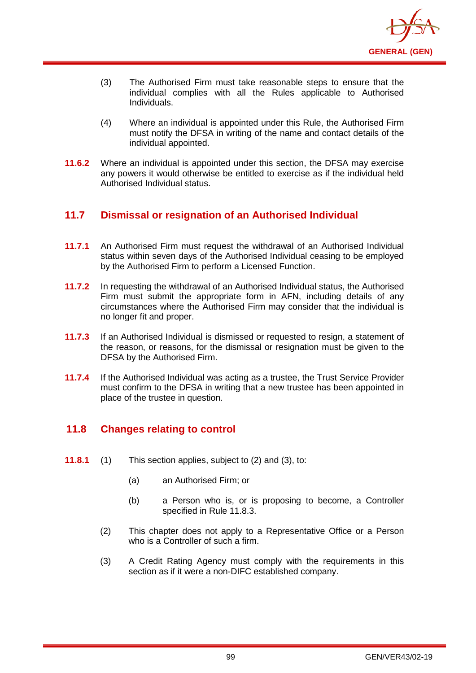

- (3) The Authorised Firm must take reasonable steps to ensure that the individual complies with all the Rules applicable to Authorised Individuals.
- (4) Where an individual is appointed under this Rule, the Authorised Firm must notify the DFSA in writing of the name and contact details of the individual appointed.
- **11.6.2** Where an individual is appointed under this section, the DFSA may exercise any powers it would otherwise be entitled to exercise as if the individual held Authorised Individual status.

# **11.7 Dismissal or resignation of an Authorised Individual**

- **11.7.1** An Authorised Firm must request the withdrawal of an Authorised Individual status within seven days of the Authorised Individual ceasing to be employed by the Authorised Firm to perform a Licensed Function.
- **11.7.2** In requesting the withdrawal of an Authorised Individual status, the Authorised Firm must submit the appropriate form in AFN, including details of any circumstances where the Authorised Firm may consider that the individual is no longer fit and proper.
- **11.7.3** If an Authorised Individual is dismissed or requested to resign, a statement of the reason, or reasons, for the dismissal or resignation must be given to the DFSA by the Authorised Firm.
- **11.7.4** If the Authorised Individual was acting as a trustee, the Trust Service Provider must confirm to the DFSA in writing that a new trustee has been appointed in place of the trustee in question.

# **11.8 Changes relating to control**

- **11.8.1** (1) This section applies, subject to (2) and (3), to:
	- (a) an Authorised Firm; or
	- (b) a Person who is, or is proposing to become, a Controller specified in Rule 11.8.3.
	- (2) This chapter does not apply to a Representative Office or a Person who is a Controller of such a firm.
	- (3) A Credit Rating Agency must comply with the requirements in this section as if it were a non-DIFC established company.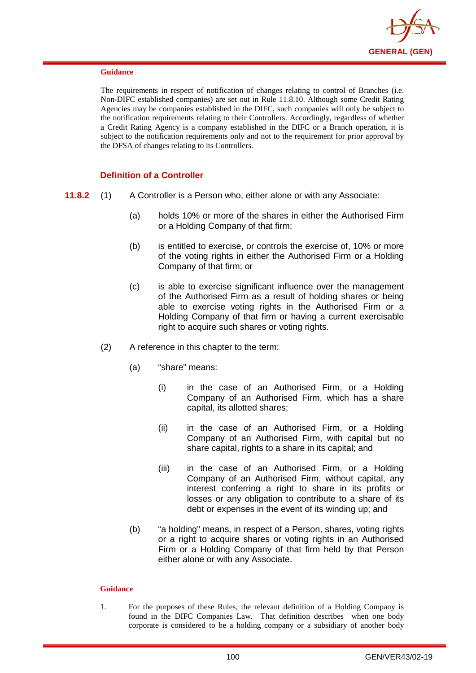

The requirements in respect of notification of changes relating to control of Branches (i.e. Non-DIFC established companies) are set out in Rule 11.8.10. Although some Credit Rating Agencies may be companies established in the DIFC, such companies will only be subject to the notification requirements relating to their Controllers. Accordingly, regardless of whether a Credit Rating Agency is a company established in the DIFC or a Branch operation, it is subject to the notification requirements only and not to the requirement for prior approval by the DFSA of changes relating to its Controllers.

### **Definition of a Controller**

- **11.8.2** (1) A Controller is a Person who, either alone or with any Associate:
	- (a) holds 10% or more of the shares in either the Authorised Firm or a Holding Company of that firm;
	- (b) is entitled to exercise, or controls the exercise of, 10% or more of the voting rights in either the Authorised Firm or a Holding Company of that firm; or
	- (c) is able to exercise significant influence over the management of the Authorised Firm as a result of holding shares or being able to exercise voting rights in the Authorised Firm or a Holding Company of that firm or having a current exercisable right to acquire such shares or voting rights.
	- (2) A reference in this chapter to the term:
		- (a) "share" means:
			- (i) in the case of an Authorised Firm, or a Holding Company of an Authorised Firm, which has a share capital, its allotted shares;
			- (ii) in the case of an Authorised Firm, or a Holding Company of an Authorised Firm, with capital but no share capital, rights to a share in its capital; and
			- (iii) in the case of an Authorised Firm, or a Holding Company of an Authorised Firm, without capital, any interest conferring a right to share in its profits or losses or any obligation to contribute to a share of its debt or expenses in the event of its winding up; and
		- (b) "a holding" means, in respect of a Person, shares, voting rights or a right to acquire shares or voting rights in an Authorised Firm or a Holding Company of that firm held by that Person either alone or with any Associate.

### **Guidance**

1. For the purposes of these Rules, the relevant definition of a Holding Company is found in the DIFC Companies Law. That definition describes when one body corporate is considered to be a holding company or a subsidiary of another body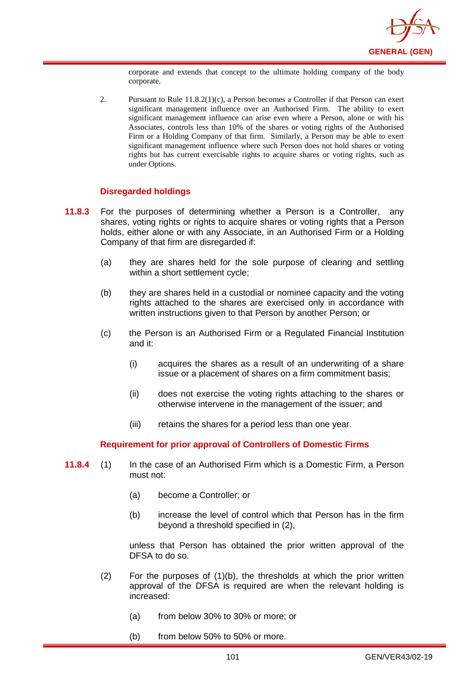

corporate and extends that concept to the ultimate holding company of the body corporate.

2. Pursuant to Rule 11.8.2(1)(c), a Person becomes a Controller if that Person can exert significant management influence over an Authorised Firm. The ability to exert significant management influence can arise even where a Person, alone or with his Associates, controls less than 10% of the shares or voting rights of the Authorised Firm or a Holding Company of that firm. Similarly, a Person may be able to exert significant management influence where such Person does not hold shares or voting rights but has current exercisable rights to acquire shares or voting rights, such as under Options.

### **Disregarded holdings**

- **11.8.3** For the purposes of determining whether a Person is a Controller, any shares, voting rights or rights to acquire shares or voting rights that a Person holds, either alone or with any Associate, in an Authorised Firm or a Holding Company of that firm are disregarded if:
	- (a) they are shares held for the sole purpose of clearing and settling within a short settlement cycle;
	- (b) they are shares held in a custodial or nominee capacity and the voting rights attached to the shares are exercised only in accordance with written instructions given to that Person by another Person; or
	- (c) the Person is an Authorised Firm or a Regulated Financial Institution and it:
		- (i) acquires the shares as a result of an underwriting of a share issue or a placement of shares on a firm commitment basis;
		- (ii) does not exercise the voting rights attaching to the shares or otherwise intervene in the management of the issuer; and
		- (iii) retains the shares for a period less than one year.

### **Requirement for prior approval of Controllers of Domestic Firms**

- **11.8.4** (1) In the case of an Authorised Firm which is a Domestic Firm, a Person must not:
	- (a) become a Controller; or
	- (b) increase the level of control which that Person has in the firm beyond a threshold specified in (2),

unless that Person has obtained the prior written approval of the DFSA to do so.

- $(2)$  For the purposes of  $(1)(b)$ , the thresholds at which the prior written approval of the DFSA is required are when the relevant holding is increased:
	- (a) from below 30% to 30% or more; or
	- (b) from below 50% to 50% or more.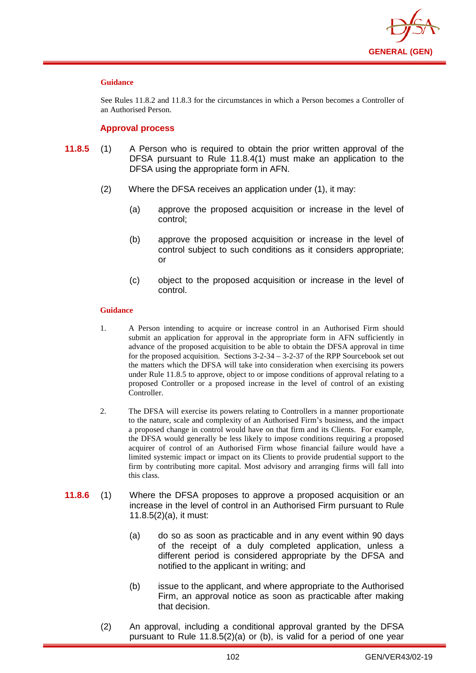

See Rules 11.8.2 and 11.8.3 for the circumstances in which a Person becomes a Controller of an Authorised Person.

### **Approval process**

- **11.8.5** (1) A Person who is required to obtain the prior written approval of the DFSA pursuant to Rule 11.8.4(1) must make an application to the DFSA using the appropriate form in AFN.
	- (2) Where the DFSA receives an application under (1), it may:
		- (a) approve the proposed acquisition or increase in the level of control;
		- (b) approve the proposed acquisition or increase in the level of control subject to such conditions as it considers appropriate; or
		- (c) object to the proposed acquisition or increase in the level of control.

### **Guidance**

- 1. A Person intending to acquire or increase control in an Authorised Firm should submit an application for approval in the appropriate form in AFN sufficiently in advance of the proposed acquisition to be able to obtain the DFSA approval in time for the proposed acquisition. Sections 3-2-34 – 3-2-37 of the RPP Sourcebook set out the matters which the DFSA will take into consideration when exercising its powers under Rule 11.8.5 to approve, object to or impose conditions of approval relating to a proposed Controller or a proposed increase in the level of control of an existing Controller.
- 2. The DFSA will exercise its powers relating to Controllers in a manner proportionate to the nature, scale and complexity of an Authorised Firm's business, and the impact a proposed change in control would have on that firm and its Clients. For example, the DFSA would generally be less likely to impose conditions requiring a proposed acquirer of control of an Authorised Firm whose financial failure would have a limited systemic impact or impact on its Clients to provide prudential support to the firm by contributing more capital. Most advisory and arranging firms will fall into this class.
- **11.8.6** (1) Where the DFSA proposes to approve a proposed acquisition or an increase in the level of control in an Authorised Firm pursuant to Rule 11.8.5(2)(a), it must:
	- (a) do so as soon as practicable and in any event within 90 days of the receipt of a duly completed application, unless a different period is considered appropriate by the DFSA and notified to the applicant in writing; and
	- (b) issue to the applicant, and where appropriate to the Authorised Firm, an approval notice as soon as practicable after making that decision.
	- (2) An approval, including a conditional approval granted by the DFSA pursuant to Rule 11.8.5(2)(a) or (b), is valid for a period of one year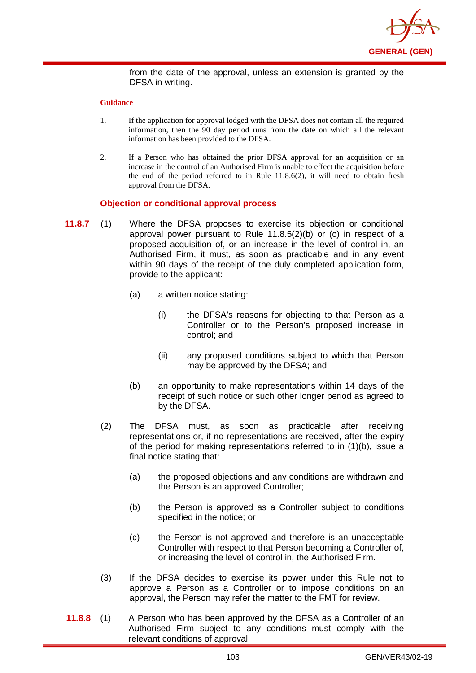

from the date of the approval, unless an extension is granted by the DFSA in writing.

#### **Guidance**

- 1. If the application for approval lodged with the DFSA does not contain all the required information, then the 90 day period runs from the date on which all the relevant information has been provided to the DFSA.
- 2. If a Person who has obtained the prior DFSA approval for an acquisition or an increase in the control of an Authorised Firm is unable to effect the acquisition before the end of the period referred to in Rule 11.8.6(2), it will need to obtain fresh approval from the DFSA.

### **Objection or conditional approval process**

- **11.8.7** (1) Where the DFSA proposes to exercise its objection or conditional approval power pursuant to Rule 11.8.5(2)(b) or (c) in respect of a proposed acquisition of, or an increase in the level of control in, an Authorised Firm, it must, as soon as practicable and in any event within 90 days of the receipt of the duly completed application form, provide to the applicant:
	- (a) a written notice stating:
		- (i) the DFSA's reasons for objecting to that Person as a Controller or to the Person's proposed increase in control; and
		- (ii) any proposed conditions subject to which that Person may be approved by the DFSA; and
	- (b) an opportunity to make representations within 14 days of the receipt of such notice or such other longer period as agreed to by the DFSA.
	- (2) The DFSA must, as soon as practicable after receiving representations or, if no representations are received, after the expiry of the period for making representations referred to in (1)(b), issue a final notice stating that:
		- (a) the proposed objections and any conditions are withdrawn and the Person is an approved Controller;
		- (b) the Person is approved as a Controller subject to conditions specified in the notice; or
		- (c) the Person is not approved and therefore is an unacceptable Controller with respect to that Person becoming a Controller of, or increasing the level of control in, the Authorised Firm.
	- (3) If the DFSA decides to exercise its power under this Rule not to approve a Person as a Controller or to impose conditions on an approval, the Person may refer the matter to the FMT for review.
- **11.8.8** (1) A Person who has been approved by the DFSA as a Controller of an Authorised Firm subject to any conditions must comply with the relevant conditions of approval.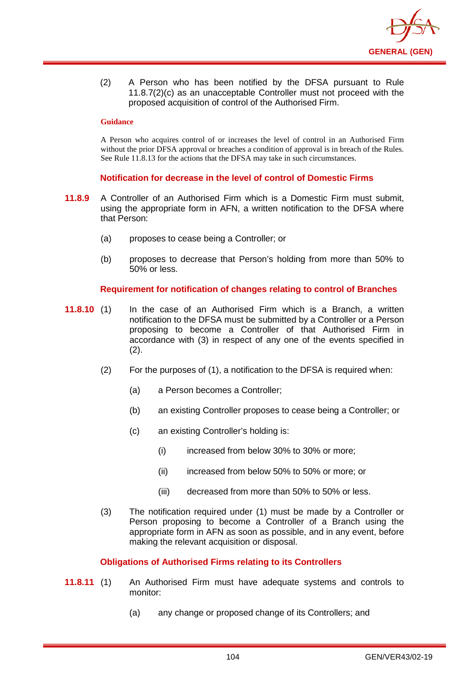

(2) A Person who has been notified by the DFSA pursuant to Rule 11.8.7(2)(c) as an unacceptable Controller must not proceed with the proposed acquisition of control of the Authorised Firm.

#### **Guidance**

A Person who acquires control of or increases the level of control in an Authorised Firm without the prior DFSA approval or breaches a condition of approval is in breach of the Rules. See Rule 11.8.13 for the actions that the DFSA may take in such circumstances.

### **Notification for decrease in the level of control of Domestic Firms**

- **11.8.9** A Controller of an Authorised Firm which is a Domestic Firm must submit, using the appropriate form in AFN, a written notification to the DFSA where that Person:
	- (a) proposes to cease being a Controller; or
	- (b) proposes to decrease that Person's holding from more than 50% to 50% or less.

### **Requirement for notification of changes relating to control of Branches**

- **11.8.10** (1) In the case of an Authorised Firm which is a Branch, a written notification to the DFSA must be submitted by a Controller or a Person proposing to become a Controller of that Authorised Firm in accordance with (3) in respect of any one of the events specified in (2).
	- (2) For the purposes of (1), a notification to the DFSA is required when:
		- (a) a Person becomes a Controller;
		- (b) an existing Controller proposes to cease being a Controller; or
		- (c) an existing Controller's holding is:
			- (i) increased from below 30% to 30% or more;
			- (ii) increased from below 50% to 50% or more; or
			- (iii) decreased from more than 50% to 50% or less.
	- (3) The notification required under (1) must be made by a Controller or Person proposing to become a Controller of a Branch using the appropriate form in AFN as soon as possible, and in any event, before making the relevant acquisition or disposal.

### **Obligations of Authorised Firms relating to its Controllers**

- **11.8.11** (1) An Authorised Firm must have adequate systems and controls to monitor:
	- (a) any change or proposed change of its Controllers; and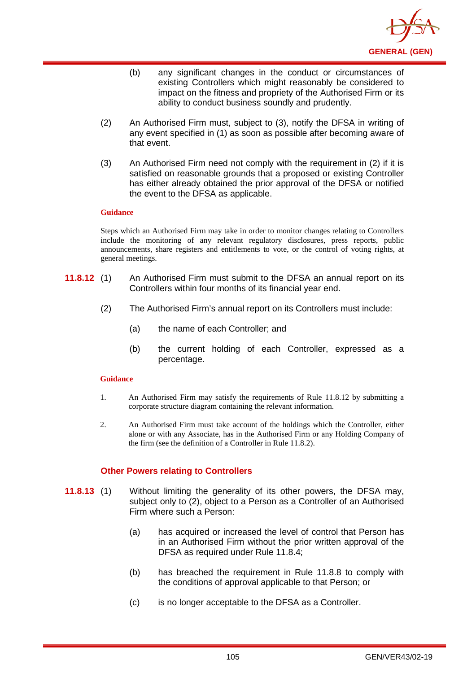

- (b) any significant changes in the conduct or circumstances of existing Controllers which might reasonably be considered to impact on the fitness and propriety of the Authorised Firm or its ability to conduct business soundly and prudently.
- (2) An Authorised Firm must, subject to (3), notify the DFSA in writing of any event specified in (1) as soon as possible after becoming aware of that event.
- (3) An Authorised Firm need not comply with the requirement in (2) if it is satisfied on reasonable grounds that a proposed or existing Controller has either already obtained the prior approval of the DFSA or notified the event to the DFSA as applicable.

Steps which an Authorised Firm may take in order to monitor changes relating to Controllers include the monitoring of any relevant regulatory disclosures, press reports, public announcements, share registers and entitlements to vote, or the control of voting rights, at general meetings.

- **11.8.12** (1) An Authorised Firm must submit to the DFSA an annual report on its Controllers within four months of its financial year end.
	- (2) The Authorised Firm's annual report on its Controllers must include:
		- (a) the name of each Controller; and
		- (b) the current holding of each Controller, expressed as a percentage.

## **Guidance**

- 1. An Authorised Firm may satisfy the requirements of Rule 11.8.12 by submitting a corporate structure diagram containing the relevant information.
- 2. An Authorised Firm must take account of the holdings which the Controller, either alone or with any Associate, has in the Authorised Firm or any Holding Company of the firm (see the definition of a Controller in Rule 11.8.2).

# **Other Powers relating to Controllers**

- **11.8.13** (1) Without limiting the generality of its other powers, the DFSA may, subject only to (2), object to a Person as a Controller of an Authorised Firm where such a Person:
	- (a) has acquired or increased the level of control that Person has in an Authorised Firm without the prior written approval of the DFSA as required under Rule 11.8.4;
	- (b) has breached the requirement in Rule 11.8.8 to comply with the conditions of approval applicable to that Person; or
	- (c) is no longer acceptable to the DFSA as a Controller.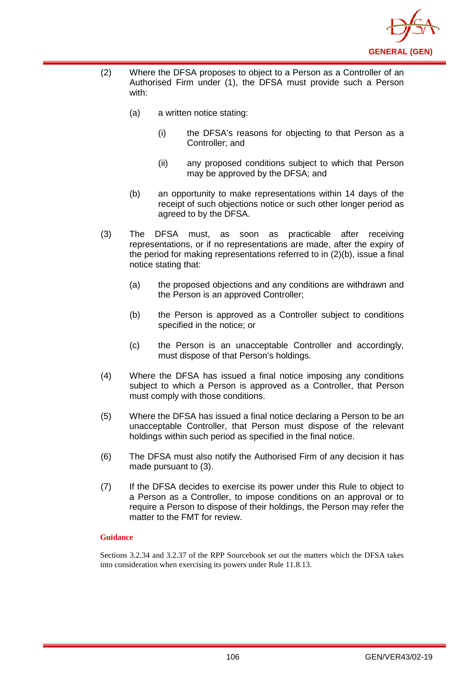

- (2) Where the DFSA proposes to object to a Person as a Controller of an Authorised Firm under (1), the DFSA must provide such a Person with:
	- (a) a written notice stating:
		- (i) the DFSA's reasons for objecting to that Person as a Controller; and
		- (ii) any proposed conditions subject to which that Person may be approved by the DFSA; and
	- (b) an opportunity to make representations within 14 days of the receipt of such objections notice or such other longer period as agreed to by the DFSA.
- (3) The DFSA must, as soon as practicable after receiving representations, or if no representations are made, after the expiry of the period for making representations referred to in (2)(b), issue a final notice stating that:
	- (a) the proposed objections and any conditions are withdrawn and the Person is an approved Controller;
	- (b) the Person is approved as a Controller subject to conditions specified in the notice; or
	- (c) the Person is an unacceptable Controller and accordingly, must dispose of that Person's holdings.
- (4) Where the DFSA has issued a final notice imposing any conditions subject to which a Person is approved as a Controller, that Person must comply with those conditions.
- (5) Where the DFSA has issued a final notice declaring a Person to be an unacceptable Controller, that Person must dispose of the relevant holdings within such period as specified in the final notice.
- (6) The DFSA must also notify the Authorised Firm of any decision it has made pursuant to (3).
- (7) If the DFSA decides to exercise its power under this Rule to object to a Person as a Controller, to impose conditions on an approval or to require a Person to dispose of their holdings, the Person may refer the matter to the FMT for review.

Sections 3.2.34 and 3.2.37 of the RPP Sourcebook set out the matters which the DFSA takes into consideration when exercising its powers under Rule 11.8.13.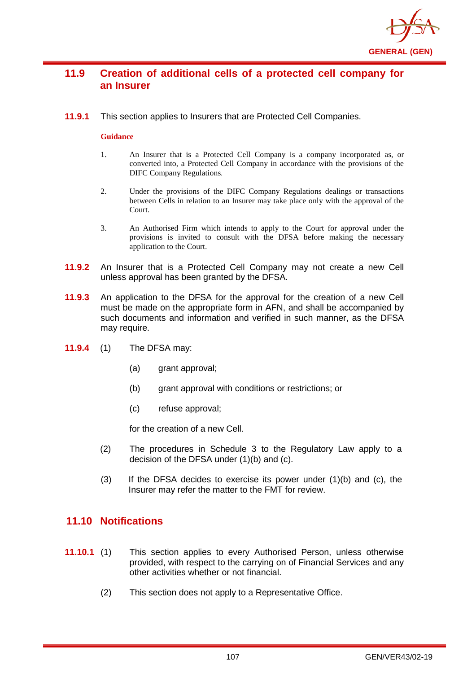

# **11.9 Creation of additional cells of a protected cell company for an Insurer**

**11.9.1** This section applies to Insurers that are Protected Cell Companies.

# **Guidance**

- 1. An Insurer that is a Protected Cell Company is a company incorporated as, or converted into, a Protected Cell Company in accordance with the provisions of the DIFC Company Regulations.
- 2. Under the provisions of the DIFC Company Regulations dealings or transactions between Cells in relation to an Insurer may take place only with the approval of the Court.
- 3. An Authorised Firm which intends to apply to the Court for approval under the provisions is invited to consult with the DFSA before making the necessary application to the Court.
- **11.9.2** An Insurer that is a Protected Cell Company may not create a new Cell unless approval has been granted by the DFSA.
- **11.9.3** An application to the DFSA for the approval for the creation of a new Cell must be made on the appropriate form in AFN, and shall be accompanied by such documents and information and verified in such manner, as the DFSA may require.
- **11.9.4** (1) The DFSA may:
	- (a) grant approval;
	- (b) grant approval with conditions or restrictions; or
	- (c) refuse approval;

for the creation of a new Cell.

- (2) The procedures in Schedule 3 to the Regulatory Law apply to a decision of the DFSA under (1)(b) and (c).
- $(3)$  If the DFSA decides to exercise its power under  $(1)(b)$  and  $(c)$ , the Insurer may refer the matter to the FMT for review.

# **11.10 Notifications**

- **11.10.1** (1) This section applies to every Authorised Person, unless otherwise provided, with respect to the carrying on of Financial Services and any other activities whether or not financial.
	- (2) This section does not apply to a Representative Office.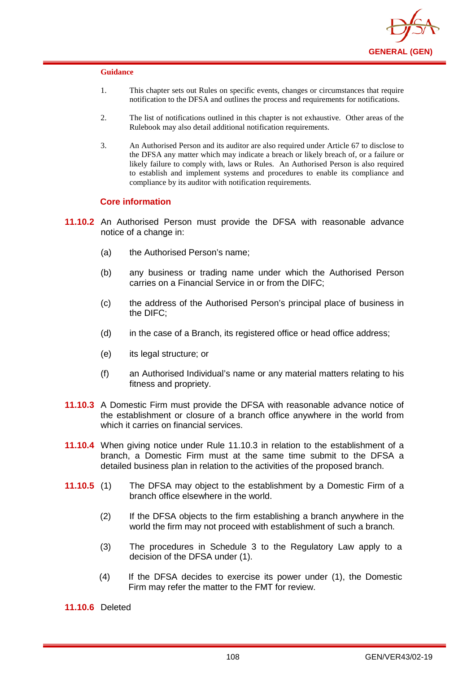

- 1. This chapter sets out Rules on specific events, changes or circumstances that require notification to the DFSA and outlines the process and requirements for notifications.
- 2. The list of notifications outlined in this chapter is not exhaustive. Other areas of the Rulebook may also detail additional notification requirements.
- 3. An Authorised Person and its auditor are also required under Article 67 to disclose to the DFSA any matter which may indicate a breach or likely breach of, or a failure or likely failure to comply with, laws or Rules. An Authorised Person is also required to establish and implement systems and procedures to enable its compliance and compliance by its auditor with notification requirements.

### **Core information**

- **11.10.2** An Authorised Person must provide the DFSA with reasonable advance notice of a change in:
	- (a) the Authorised Person's name;
	- (b) any business or trading name under which the Authorised Person carries on a Financial Service in or from the DIFC;
	- (c) the address of the Authorised Person's principal place of business in the DIFC;
	- (d) in the case of a Branch, its registered office or head office address;
	- (e) its legal structure; or
	- (f) an Authorised Individual's name or any material matters relating to his fitness and propriety.
- **11.10.3** A Domestic Firm must provide the DFSA with reasonable advance notice of the establishment or closure of a branch office anywhere in the world from which it carries on financial services.
- **11.10.4** When giving notice under Rule 11.10.3 in relation to the establishment of a branch, a Domestic Firm must at the same time submit to the DFSA a detailed business plan in relation to the activities of the proposed branch.
- **11.10.5** (1) The DFSA may object to the establishment by a Domestic Firm of a branch office elsewhere in the world.
	- (2) If the DFSA objects to the firm establishing a branch anywhere in the world the firm may not proceed with establishment of such a branch.
	- (3) The procedures in Schedule 3 to the Regulatory Law apply to a decision of the DFSA under (1).
	- (4) If the DFSA decides to exercise its power under (1), the Domestic Firm may refer the matter to the FMT for review.

**11.10.6** Deleted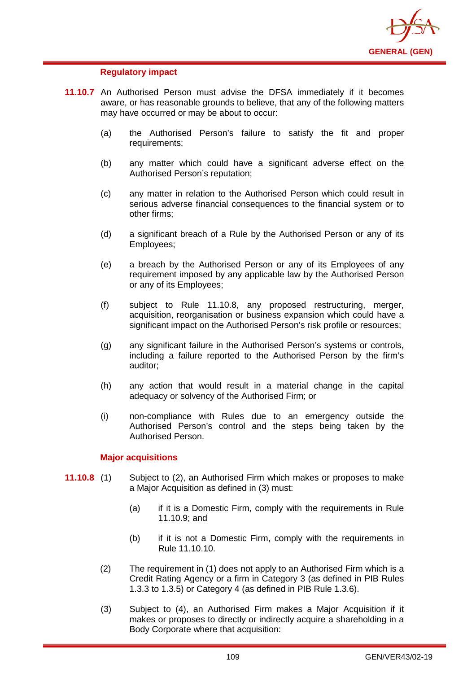

# **Regulatory impact**

- **11.10.7** An Authorised Person must advise the DFSA immediately if it becomes aware, or has reasonable grounds to believe, that any of the following matters may have occurred or may be about to occur:
	- (a) the Authorised Person's failure to satisfy the fit and proper requirements;
	- (b) any matter which could have a significant adverse effect on the Authorised Person's reputation;
	- (c) any matter in relation to the Authorised Person which could result in serious adverse financial consequences to the financial system or to other firms;
	- (d) a significant breach of a Rule by the Authorised Person or any of its Employees;
	- (e) a breach by the Authorised Person or any of its Employees of any requirement imposed by any applicable law by the Authorised Person or any of its Employees;
	- (f) subject to Rule 11.10.8, any proposed restructuring, merger, acquisition, reorganisation or business expansion which could have a significant impact on the Authorised Person's risk profile or resources;
	- (g) any significant failure in the Authorised Person's systems or controls, including a failure reported to the Authorised Person by the firm's auditor;
	- (h) any action that would result in a material change in the capital adequacy or solvency of the Authorised Firm; or
	- (i) non-compliance with Rules due to an emergency outside the Authorised Person's control and the steps being taken by the Authorised Person.

## **Major acquisitions**

- **11.10.8** (1) Subject to (2), an Authorised Firm which makes or proposes to make a Major Acquisition as defined in (3) must:
	- (a) if it is a Domestic Firm, comply with the requirements in Rule 11.10.9; and
	- (b) if it is not a Domestic Firm, comply with the requirements in Rule 11.10.10.
	- (2) The requirement in (1) does not apply to an Authorised Firm which is a Credit Rating Agency or a firm in Category 3 (as defined in PIB Rules 1.3.3 to 1.3.5) or Category 4 (as defined in PIB Rule 1.3.6).
	- (3) Subject to (4), an Authorised Firm makes a Major Acquisition if it makes or proposes to directly or indirectly acquire a shareholding in a Body Corporate where that acquisition: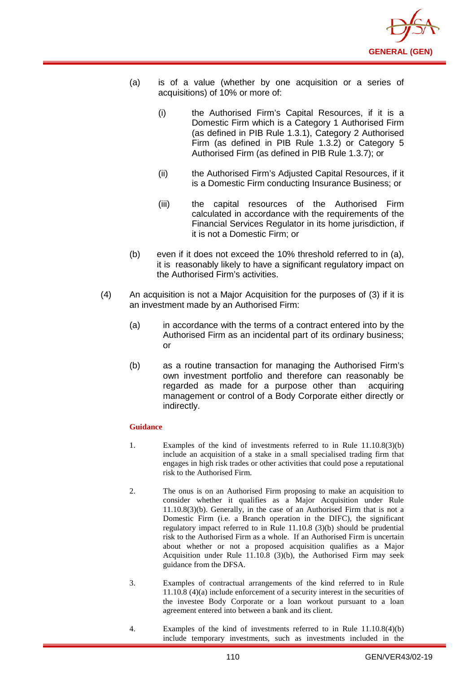

- (a) is of a value (whether by one acquisition or a series of acquisitions) of 10% or more of:
	- (i) the Authorised Firm's Capital Resources, if it is a Domestic Firm which is a Category 1 Authorised Firm (as defined in PIB Rule 1.3.1), Category 2 Authorised Firm (as defined in PIB Rule 1.3.2) or Category 5 Authorised Firm (as defined in PIB Rule 1.3.7); or
	- (ii) the Authorised Firm's Adjusted Capital Resources, if it is a Domestic Firm conducting Insurance Business; or
	- (iii) the capital resources of the Authorised Firm calculated in accordance with the requirements of the Financial Services Regulator in its home jurisdiction, if it is not a Domestic Firm; or
- (b) even if it does not exceed the 10% threshold referred to in (a), it is reasonably likely to have a significant regulatory impact on the Authorised Firm's activities.
- (4) An acquisition is not a Major Acquisition for the purposes of (3) if it is an investment made by an Authorised Firm:
	- (a) in accordance with the terms of a contract entered into by the Authorised Firm as an incidental part of its ordinary business; or
	- (b) as a routine transaction for managing the Authorised Firm's own investment portfolio and therefore can reasonably be regarded as made for a purpose other than acquiring management or control of a Body Corporate either directly or indirectly.

- 1. Examples of the kind of investments referred to in Rule 11.10.8(3)(b) include an acquisition of a stake in a small specialised trading firm that engages in high risk trades or other activities that could pose a reputational risk to the Authorised Firm.
- 2. The onus is on an Authorised Firm proposing to make an acquisition to consider whether it qualifies as a Major Acquisition under Rule 11.10.8(3)(b). Generally, in the case of an Authorised Firm that is not a Domestic Firm (i.e. a Branch operation in the DIFC), the significant regulatory impact referred to in Rule 11.10.8 (3)(b) should be prudential risk to the Authorised Firm as a whole. If an Authorised Firm is uncertain about whether or not a proposed acquisition qualifies as a Major Acquisition under Rule 11.10.8 (3)(b), the Authorised Firm may seek guidance from the DFSA.
- 3. Examples of contractual arrangements of the kind referred to in Rule 11.10.8 (4)(a) include enforcement of a security interest in the securities of the investee Body Corporate or a loan workout pursuant to a loan agreement entered into between a bank and its client.
- 4. Examples of the kind of investments referred to in Rule 11.10.8(4)(b) include temporary investments, such as investments included in the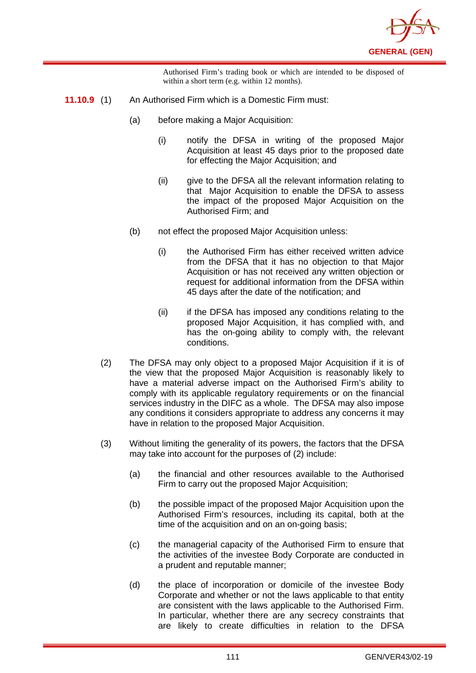

Authorised Firm's trading book or which are intended to be disposed of within a short term (e.g. within 12 months).

- **11.10.9** (1) An Authorised Firm which is a Domestic Firm must:
	- (a) before making a Major Acquisition:
		- (i) notify the DFSA in writing of the proposed Major Acquisition at least 45 days prior to the proposed date for effecting the Major Acquisition; and
		- (ii) give to the DFSA all the relevant information relating to that Major Acquisition to enable the DFSA to assess the impact of the proposed Major Acquisition on the Authorised Firm; and
	- (b) not effect the proposed Major Acquisition unless:
		- (i) the Authorised Firm has either received written advice from the DFSA that it has no objection to that Major Acquisition or has not received any written objection or request for additional information from the DFSA within 45 days after the date of the notification; and
		- (ii) if the DFSA has imposed any conditions relating to the proposed Major Acquisition, it has complied with, and has the on-going ability to comply with, the relevant conditions.
	- (2) The DFSA may only object to a proposed Major Acquisition if it is of the view that the proposed Major Acquisition is reasonably likely to have a material adverse impact on the Authorised Firm's ability to comply with its applicable regulatory requirements or on the financial services industry in the DIFC as a whole. The DFSA may also impose any conditions it considers appropriate to address any concerns it may have in relation to the proposed Major Acquisition.
	- (3) Without limiting the generality of its powers, the factors that the DFSA may take into account for the purposes of (2) include:
		- (a) the financial and other resources available to the Authorised Firm to carry out the proposed Major Acquisition;
		- (b) the possible impact of the proposed Major Acquisition upon the Authorised Firm's resources, including its capital, both at the time of the acquisition and on an on-going basis;
		- (c) the managerial capacity of the Authorised Firm to ensure that the activities of the investee Body Corporate are conducted in a prudent and reputable manner;
		- (d) the place of incorporation or domicile of the investee Body Corporate and whether or not the laws applicable to that entity are consistent with the laws applicable to the Authorised Firm. In particular, whether there are any secrecy constraints that are likely to create difficulties in relation to the DFSA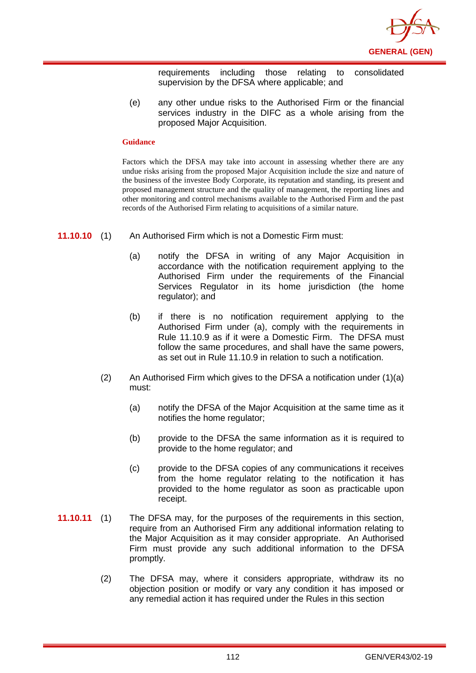

requirements including those relating to consolidated supervision by the DFSA where applicable; and

(e) any other undue risks to the Authorised Firm or the financial services industry in the DIFC as a whole arising from the proposed Major Acquisition.

### **Guidance**

Factors which the DFSA may take into account in assessing whether there are any undue risks arising from the proposed Major Acquisition include the size and nature of the business of the investee Body Corporate, its reputation and standing, its present and proposed management structure and the quality of management, the reporting lines and other monitoring and control mechanisms available to the Authorised Firm and the past records of the Authorised Firm relating to acquisitions of a similar nature.

- **11.10.10** (1) An Authorised Firm which is not a Domestic Firm must:
	- (a) notify the DFSA in writing of any Major Acquisition in accordance with the notification requirement applying to the Authorised Firm under the requirements of the Financial Services Regulator in its home jurisdiction (the home regulator); and
	- (b) if there is no notification requirement applying to the Authorised Firm under (a), comply with the requirements in Rule 11.10.9 as if it were a Domestic Firm. The DFSA must follow the same procedures, and shall have the same powers, as set out in Rule 11.10.9 in relation to such a notification.
	- (2) An Authorised Firm which gives to the DFSA a notification under (1)(a) must:
		- (a) notify the DFSA of the Major Acquisition at the same time as it notifies the home regulator;
		- (b) provide to the DFSA the same information as it is required to provide to the home regulator; and
		- (c) provide to the DFSA copies of any communications it receives from the home regulator relating to the notification it has provided to the home regulator as soon as practicable upon receipt.
- **11.10.11** (1) The DFSA may, for the purposes of the requirements in this section, require from an Authorised Firm any additional information relating to the Major Acquisition as it may consider appropriate. An Authorised Firm must provide any such additional information to the DFSA promptly.
	- (2) The DFSA may, where it considers appropriate, withdraw its no objection position or modify or vary any condition it has imposed or any remedial action it has required under the Rules in this section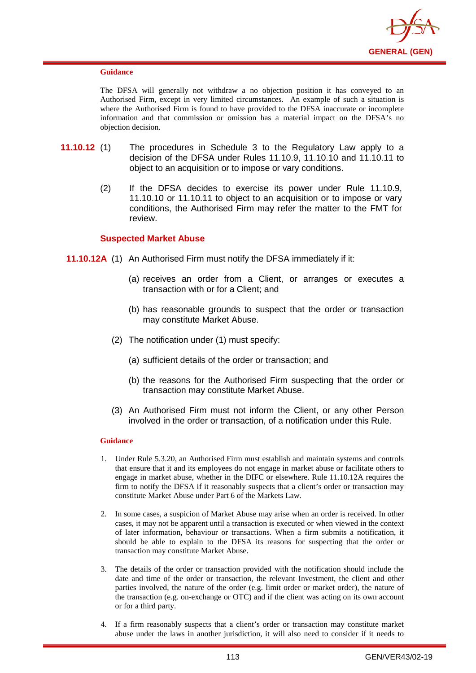

The DFSA will generally not withdraw a no objection position it has conveyed to an Authorised Firm, except in very limited circumstances. An example of such a situation is where the Authorised Firm is found to have provided to the DFSA inaccurate or incomplete information and that commission or omission has a material impact on the DFSA's no objection decision.

- **11.10.12** (1) The procedures in Schedule 3 to the Regulatory Law apply to a decision of the DFSA under Rules 11.10.9, 11.10.10 and 11.10.11 to object to an acquisition or to impose or vary conditions.
	- (2) If the DFSA decides to exercise its power under Rule 11.10.9, 11.10.10 or 11.10.11 to object to an acquisition or to impose or vary conditions, the Authorised Firm may refer the matter to the FMT for review.

# **Suspected Market Abuse**

- **11.10.12A** (1) An Authorised Firm must notify the DFSA immediately if it:
	- (a) receives an order from a Client, or arranges or executes a transaction with or for a Client; and
	- (b) has reasonable grounds to suspect that the order or transaction may constitute Market Abuse.
	- (2) The notification under (1) must specify:
		- (a) sufficient details of the order or transaction; and
		- (b) the reasons for the Authorised Firm suspecting that the order or transaction may constitute Market Abuse.
	- (3) An Authorised Firm must not inform the Client, or any other Person involved in the order or transaction, of a notification under this Rule.

- 1. Under Rule 5.3.20, an Authorised Firm must establish and maintain systems and controls that ensure that it and its employees do not engage in market abuse or facilitate others to engage in market abuse, whether in the DIFC or elsewhere. Rule 11.10.12A requires the firm to notify the DFSA if it reasonably suspects that a client's order or transaction may constitute Market Abuse under Part 6 of the Markets Law.
- 2. In some cases, a suspicion of Market Abuse may arise when an order is received. In other cases, it may not be apparent until a transaction is executed or when viewed in the context of later information, behaviour or transactions. When a firm submits a notification, it should be able to explain to the DFSA its reasons for suspecting that the order or transaction may constitute Market Abuse.
- 3. The details of the order or transaction provided with the notification should include the date and time of the order or transaction, the relevant Investment, the client and other parties involved, the nature of the order (e.g. limit order or market order), the nature of the transaction (e.g. on-exchange or OTC) and if the client was acting on its own account or for a third party.
- 4. If a firm reasonably suspects that a client's order or transaction may constitute market abuse under the laws in another jurisdiction, it will also need to consider if it needs to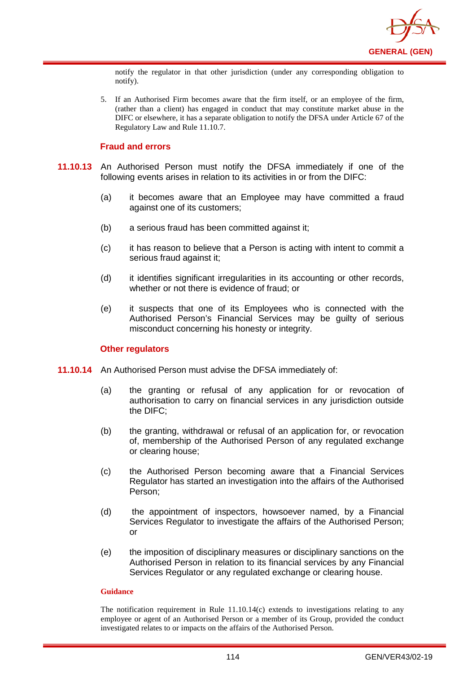

notify the regulator in that other jurisdiction (under any corresponding obligation to notify).

5. If an Authorised Firm becomes aware that the firm itself, or an employee of the firm, (rather than a client) has engaged in conduct that may constitute market abuse in the DIFC or elsewhere, it has a separate obligation to notify the DFSA under Article 67 of the Regulatory Law and Rule 11.10.7.

# **Fraud and errors**

- **11.10.13** An Authorised Person must notify the DFSA immediately if one of the following events arises in relation to its activities in or from the DIFC:
	- (a) it becomes aware that an Employee may have committed a fraud against one of its customers;
	- (b) a serious fraud has been committed against it;
	- (c) it has reason to believe that a Person is acting with intent to commit a serious fraud against it;
	- (d) it identifies significant irregularities in its accounting or other records, whether or not there is evidence of fraud; or
	- (e) it suspects that one of its Employees who is connected with the Authorised Person's Financial Services may be guilty of serious misconduct concerning his honesty or integrity.

# **Other regulators**

- **11.10.14** An Authorised Person must advise the DFSA immediately of:
	- (a) the granting or refusal of any application for or revocation of authorisation to carry on financial services in any jurisdiction outside the DIFC;
	- (b) the granting, withdrawal or refusal of an application for, or revocation of, membership of the Authorised Person of any regulated exchange or clearing house;
	- (c) the Authorised Person becoming aware that a Financial Services Regulator has started an investigation into the affairs of the Authorised Person;
	- (d) the appointment of inspectors, howsoever named, by a Financial Services Regulator to investigate the affairs of the Authorised Person; or
	- (e) the imposition of disciplinary measures or disciplinary sanctions on the Authorised Person in relation to its financial services by any Financial Services Regulator or any regulated exchange or clearing house.

### **Guidance**

The notification requirement in Rule  $11.10.14(c)$  extends to investigations relating to any employee or agent of an Authorised Person or a member of its Group, provided the conduct investigated relates to or impacts on the affairs of the Authorised Person.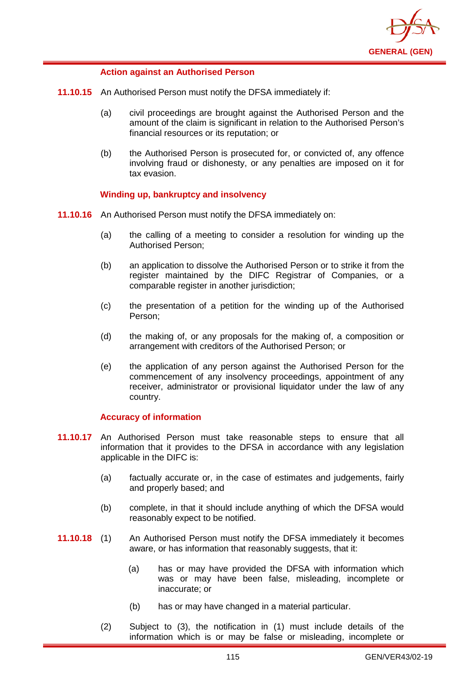

# **Action against an Authorised Person**

- **11.10.15** An Authorised Person must notify the DFSA immediately if:
	- (a) civil proceedings are brought against the Authorised Person and the amount of the claim is significant in relation to the Authorised Person's financial resources or its reputation; or
	- (b) the Authorised Person is prosecuted for, or convicted of, any offence involving fraud or dishonesty, or any penalties are imposed on it for tax evasion.

# **Winding up, bankruptcy and insolvency**

- **11.10.16** An Authorised Person must notify the DFSA immediately on:
	- (a) the calling of a meeting to consider a resolution for winding up the Authorised Person;
	- (b) an application to dissolve the Authorised Person or to strike it from the register maintained by the DIFC Registrar of Companies, or a comparable register in another jurisdiction;
	- (c) the presentation of a petition for the winding up of the Authorised Person;
	- (d) the making of, or any proposals for the making of, a composition or arrangement with creditors of the Authorised Person; or
	- (e) the application of any person against the Authorised Person for the commencement of any insolvency proceedings, appointment of any receiver, administrator or provisional liquidator under the law of any country.

## **Accuracy of information**

- **11.10.17** An Authorised Person must take reasonable steps to ensure that all information that it provides to the DFSA in accordance with any legislation applicable in the DIFC is:
	- (a) factually accurate or, in the case of estimates and judgements, fairly and properly based; and
	- (b) complete, in that it should include anything of which the DFSA would reasonably expect to be notified.
- **11.10.18** (1) An Authorised Person must notify the DFSA immediately it becomes aware, or has information that reasonably suggests, that it:
	- (a) has or may have provided the DFSA with information which was or may have been false, misleading, incomplete or inaccurate; or
	- (b) has or may have changed in a material particular.
	- (2) Subject to (3), the notification in (1) must include details of the information which is or may be false or misleading, incomplete or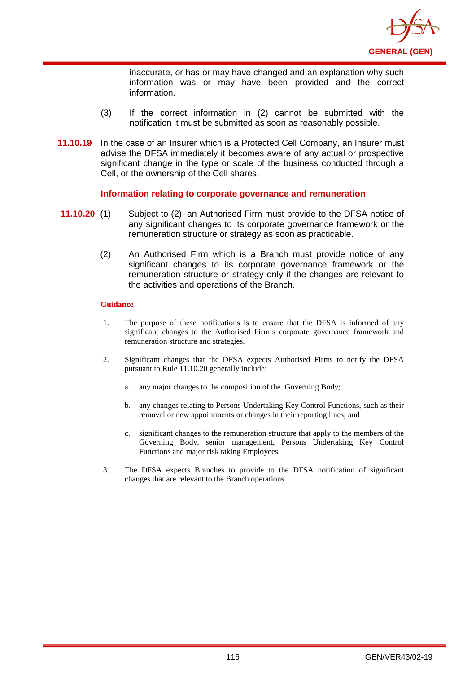

inaccurate, or has or may have changed and an explanation why such information was or may have been provided and the correct information.

- (3) If the correct information in (2) cannot be submitted with the notification it must be submitted as soon as reasonably possible.
- **11.10.19** In the case of an Insurer which is a Protected Cell Company, an Insurer must advise the DFSA immediately it becomes aware of any actual or prospective significant change in the type or scale of the business conducted through a Cell, or the ownership of the Cell shares.

### **Information relating to corporate governance and remuneration**

- **11.10.20** (1) Subject to (2), an Authorised Firm must provide to the DFSA notice of any significant changes to its corporate governance framework or the remuneration structure or strategy as soon as practicable.
	- (2) An Authorised Firm which is a Branch must provide notice of any significant changes to its corporate governance framework or the remuneration structure or strategy only if the changes are relevant to the activities and operations of the Branch.

- 1. The purpose of these notifications is to ensure that the DFSA is informed of any significant changes to the Authorised Firm's corporate governance framework and remuneration structure and strategies.
- 2. Significant changes that the DFSA expects Authorised Firms to notify the DFSA pursuant to Rule 11.10.20 generally include:
	- a. any major changes to the composition of the Governing Body;
	- b. any changes relating to Persons Undertaking Key Control Functions, such as their removal or new appointments or changes in their reporting lines; and
	- c. significant changes to the remuneration structure that apply to the members of the Governing Body, senior management, Persons Undertaking Key Control Functions and major risk taking Employees.
- 3. The DFSA expects Branches to provide to the DFSA notification of significant changes that are relevant to the Branch operations.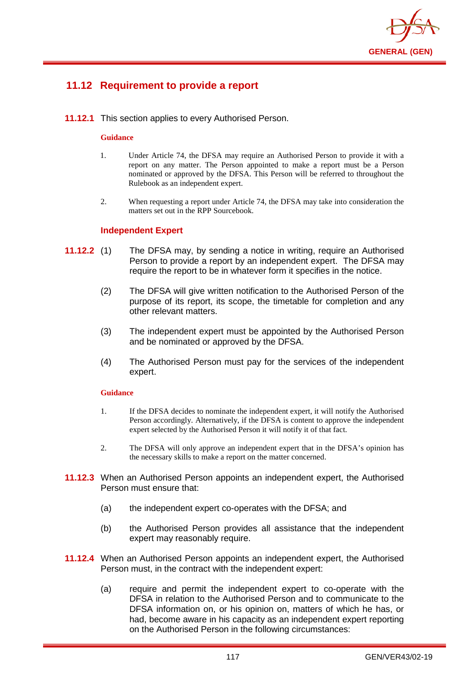

# **11.12 Requirement to provide a report**

**11.12.1** This section applies to every Authorised Person.

### **Guidance**

- 1. Under Article 74, the DFSA may require an Authorised Person to provide it with a report on any matter. The Person appointed to make a report must be a Person nominated or approved by the DFSA. This Person will be referred to throughout the Rulebook as an independent expert.
- 2. When requesting a report under Article 74, the DFSA may take into consideration the matters set out in the RPP Sourcebook.

### **Independent Expert**

- **11.12.2** (1) The DFSA may, by sending a notice in writing, require an Authorised Person to provide a report by an independent expert. The DFSA may require the report to be in whatever form it specifies in the notice.
	- (2) The DFSA will give written notification to the Authorised Person of the purpose of its report, its scope, the timetable for completion and any other relevant matters.
	- (3) The independent expert must be appointed by the Authorised Person and be nominated or approved by the DFSA.
	- (4) The Authorised Person must pay for the services of the independent expert.

- 1. If the DFSA decides to nominate the independent expert, it will notify the Authorised Person accordingly. Alternatively, if the DFSA is content to approve the independent expert selected by the Authorised Person it will notify it of that fact.
- 2. The DFSA will only approve an independent expert that in the DFSA's opinion has the necessary skills to make a report on the matter concerned.
- **11.12.3** When an Authorised Person appoints an independent expert, the Authorised Person must ensure that:
	- (a) the independent expert co-operates with the DFSA; and
	- (b) the Authorised Person provides all assistance that the independent expert may reasonably require.
- **11.12.4** When an Authorised Person appoints an independent expert, the Authorised Person must, in the contract with the independent expert:
	- (a) require and permit the independent expert to co-operate with the DFSA in relation to the Authorised Person and to communicate to the DFSA information on, or his opinion on, matters of which he has, or had, become aware in his capacity as an independent expert reporting on the Authorised Person in the following circumstances: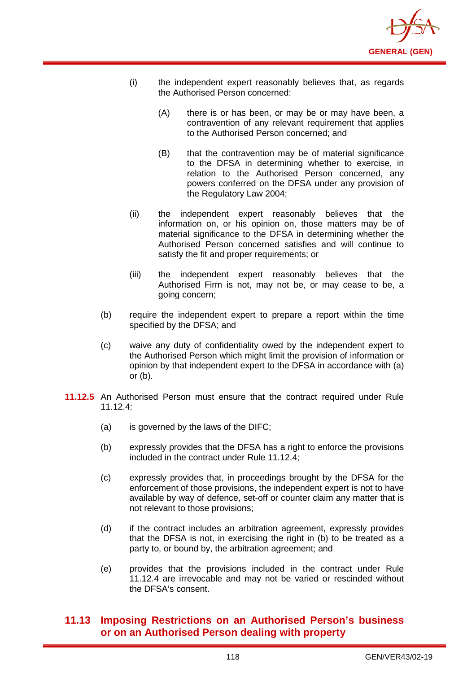

- (i) the independent expert reasonably believes that, as regards the Authorised Person concerned:
	- (A) there is or has been, or may be or may have been, a contravention of any relevant requirement that applies to the Authorised Person concerned; and
	- (B) that the contravention may be of material significance to the DFSA in determining whether to exercise, in relation to the Authorised Person concerned, any powers conferred on the DFSA under any provision of the Regulatory Law 2004;
- (ii) the independent expert reasonably believes that the information on, or his opinion on, those matters may be of material significance to the DFSA in determining whether the Authorised Person concerned satisfies and will continue to satisfy the fit and proper requirements; or
- (iii) the independent expert reasonably believes that the Authorised Firm is not, may not be, or may cease to be, a going concern;
- (b) require the independent expert to prepare a report within the time specified by the DFSA; and
- (c) waive any duty of confidentiality owed by the independent expert to the Authorised Person which might limit the provision of information or opinion by that independent expert to the DFSA in accordance with (a) or (b).
- **11.12.5** An Authorised Person must ensure that the contract required under Rule 11.12.4:
	- (a) is governed by the laws of the DIFC;
	- (b) expressly provides that the DFSA has a right to enforce the provisions included in the contract under Rule 11.12.4;
	- (c) expressly provides that, in proceedings brought by the DFSA for the enforcement of those provisions, the independent expert is not to have available by way of defence, set-off or counter claim any matter that is not relevant to those provisions;
	- (d) if the contract includes an arbitration agreement, expressly provides that the DFSA is not, in exercising the right in (b) to be treated as a party to, or bound by, the arbitration agreement; and
	- (e) provides that the provisions included in the contract under Rule 11.12.4 are irrevocable and may not be varied or rescinded without the DFSA's consent.

# **11.13 Imposing Restrictions on an Authorised Person's business or on an Authorised Person dealing with property**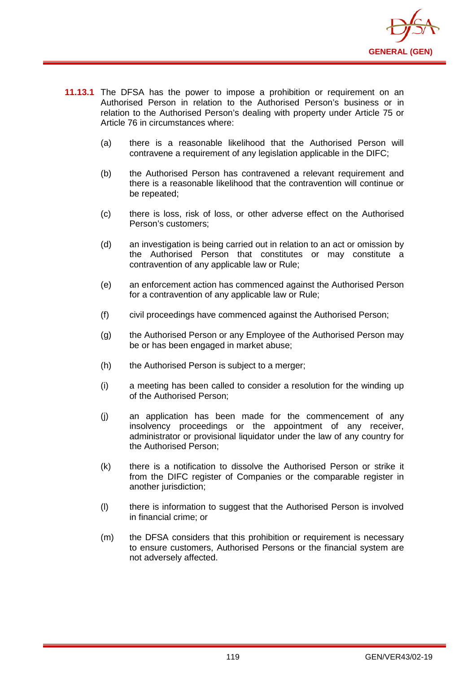

- **11.13.1** The DFSA has the power to impose a prohibition or requirement on an Authorised Person in relation to the Authorised Person's business or in relation to the Authorised Person's dealing with property under Article 75 or Article 76 in circumstances where:
	- (a) there is a reasonable likelihood that the Authorised Person will contravene a requirement of any legislation applicable in the DIFC;
	- (b) the Authorised Person has contravened a relevant requirement and there is a reasonable likelihood that the contravention will continue or be repeated;
	- (c) there is loss, risk of loss, or other adverse effect on the Authorised Person's customers;
	- (d) an investigation is being carried out in relation to an act or omission by the Authorised Person that constitutes or may constitute a contravention of any applicable law or Rule;
	- (e) an enforcement action has commenced against the Authorised Person for a contravention of any applicable law or Rule;
	- (f) civil proceedings have commenced against the Authorised Person;
	- (g) the Authorised Person or any Employee of the Authorised Person may be or has been engaged in market abuse;
	- (h) the Authorised Person is subject to a merger;
	- (i) a meeting has been called to consider a resolution for the winding up of the Authorised Person;
	- (j) an application has been made for the commencement of any insolvency proceedings or the appointment of any receiver, administrator or provisional liquidator under the law of any country for the Authorised Person;
	- (k) there is a notification to dissolve the Authorised Person or strike it from the DIFC register of Companies or the comparable register in another jurisdiction:
	- (l) there is information to suggest that the Authorised Person is involved in financial crime; or
	- (m) the DFSA considers that this prohibition or requirement is necessary to ensure customers, Authorised Persons or the financial system are not adversely affected.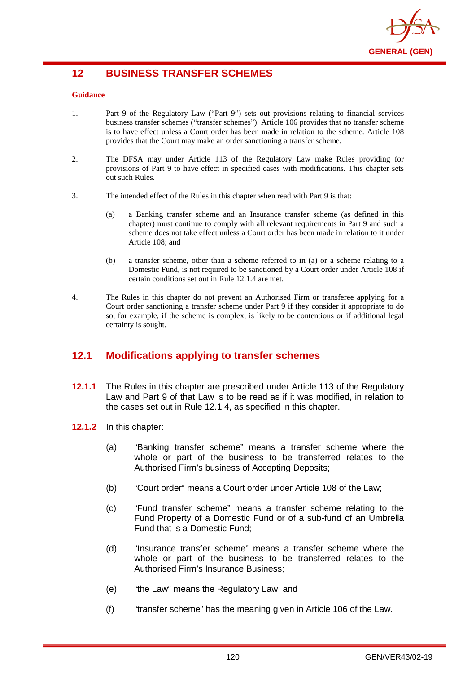

# **12 BUSINESS TRANSFER SCHEMES**

### **Guidance**

- 1. Part 9 of the Regulatory Law ("Part 9") sets out provisions relating to financial services business transfer schemes ("transfer schemes"). Article 106 provides that no transfer scheme is to have effect unless a Court order has been made in relation to the scheme. Article 108 provides that the Court may make an order sanctioning a transfer scheme.
- 2. The DFSA may under Article 113 of the Regulatory Law make Rules providing for provisions of Part 9 to have effect in specified cases with modifications. This chapter sets out such Rules.
- 3. The intended effect of the Rules in this chapter when read with Part 9 is that:
	- (a) a Banking transfer scheme and an Insurance transfer scheme (as defined in this chapter) must continue to comply with all relevant requirements in Part 9 and such a scheme does not take effect unless a Court order has been made in relation to it under Article 108; and
	- (b) a transfer scheme, other than a scheme referred to in (a) or a scheme relating to a Domestic Fund, is not required to be sanctioned by a Court order under Article 108 if certain conditions set out in Rule 12.1.4 are met.
- 4. The Rules in this chapter do not prevent an Authorised Firm or transferee applying for a Court order sanctioning a transfer scheme under Part 9 if they consider it appropriate to do so, for example, if the scheme is complex, is likely to be contentious or if additional legal certainty is sought.

# **12.1 Modifications applying to transfer schemes**

- **12.1.1** The Rules in this chapter are prescribed under Article 113 of the Regulatory Law and Part 9 of that Law is to be read as if it was modified, in relation to the cases set out in Rule 12.1.4, as specified in this chapter.
- **12.1.2** In this chapter:
	- (a) "Banking transfer scheme" means a transfer scheme where the whole or part of the business to be transferred relates to the Authorised Firm's business of Accepting Deposits;
	- (b) "Court order" means a Court order under Article 108 of the Law;
	- (c) "Fund transfer scheme" means a transfer scheme relating to the Fund Property of a Domestic Fund or of a sub-fund of an Umbrella Fund that is a Domestic Fund;
	- (d) "Insurance transfer scheme" means a transfer scheme where the whole or part of the business to be transferred relates to the Authorised Firm's Insurance Business;
	- (e) "the Law" means the Regulatory Law; and
	- (f) "transfer scheme" has the meaning given in Article 106 of the Law.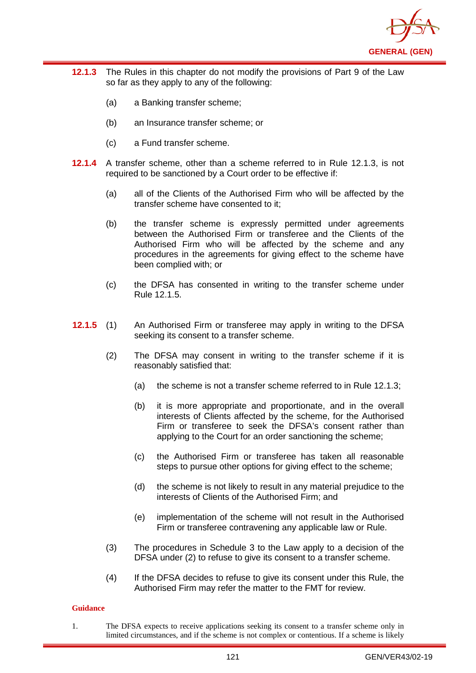

- **12.1.3** The Rules in this chapter do not modify the provisions of Part 9 of the Law so far as they apply to any of the following:
	- (a) a Banking transfer scheme;
	- (b) an Insurance transfer scheme; or
	- (c) a Fund transfer scheme.
- **12.1.4** A transfer scheme, other than a scheme referred to in Rule 12.1.3, is not required to be sanctioned by a Court order to be effective if:
	- (a) all of the Clients of the Authorised Firm who will be affected by the transfer scheme have consented to it;
	- (b) the transfer scheme is expressly permitted under agreements between the Authorised Firm or transferee and the Clients of the Authorised Firm who will be affected by the scheme and any procedures in the agreements for giving effect to the scheme have been complied with; or
	- (c) the DFSA has consented in writing to the transfer scheme under Rule 12.1.5.
- **12.1.5** (1) An Authorised Firm or transferee may apply in writing to the DFSA seeking its consent to a transfer scheme.
	- (2) The DFSA may consent in writing to the transfer scheme if it is reasonably satisfied that:
		- (a) the scheme is not a transfer scheme referred to in Rule 12.1.3;
		- (b) it is more appropriate and proportionate, and in the overall interests of Clients affected by the scheme, for the Authorised Firm or transferee to seek the DFSA's consent rather than applying to the Court for an order sanctioning the scheme;
		- (c) the Authorised Firm or transferee has taken all reasonable steps to pursue other options for giving effect to the scheme;
		- (d) the scheme is not likely to result in any material prejudice to the interests of Clients of the Authorised Firm; and
		- (e) implementation of the scheme will not result in the Authorised Firm or transferee contravening any applicable law or Rule.
	- (3) The procedures in Schedule 3 to the Law apply to a decision of the DFSA under (2) to refuse to give its consent to a transfer scheme.
	- (4) If the DFSA decides to refuse to give its consent under this Rule, the Authorised Firm may refer the matter to the FMT for review.

1. The DFSA expects to receive applications seeking its consent to a transfer scheme only in limited circumstances, and if the scheme is not complex or contentious. If a scheme is likely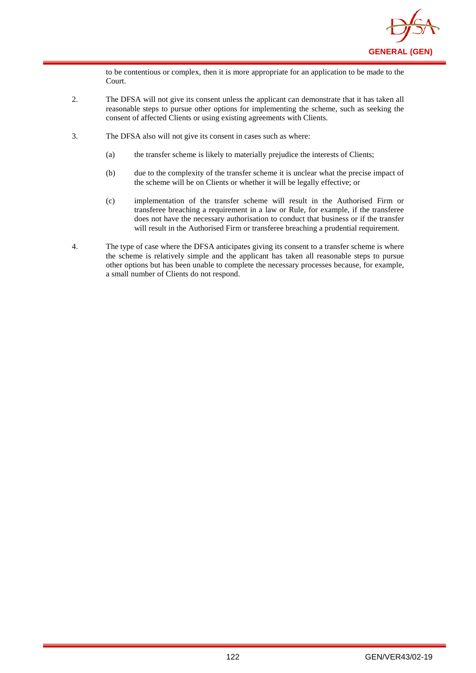

to be contentious or complex, then it is more appropriate for an application to be made to the Court.

- 2. The DFSA will not give its consent unless the applicant can demonstrate that it has taken all reasonable steps to pursue other options for implementing the scheme, such as seeking the consent of affected Clients or using existing agreements with Clients.
- 3. The DFSA also will not give its consent in cases such as where:
	- (a) the transfer scheme is likely to materially prejudice the interests of Clients;
	- (b) due to the complexity of the transfer scheme it is unclear what the precise impact of the scheme will be on Clients or whether it will be legally effective; or
	- (c) implementation of the transfer scheme will result in the Authorised Firm or transferee breaching a requirement in a law or Rule, for example, if the transferee does not have the necessary authorisation to conduct that business or if the transfer will result in the Authorised Firm or transferee breaching a prudential requirement.
- 4. The type of case where the DFSA anticipates giving its consent to a transfer scheme is where the scheme is relatively simple and the applicant has taken all reasonable steps to pursue other options but has been unable to complete the necessary processes because, for example, a small number of Clients do not respond.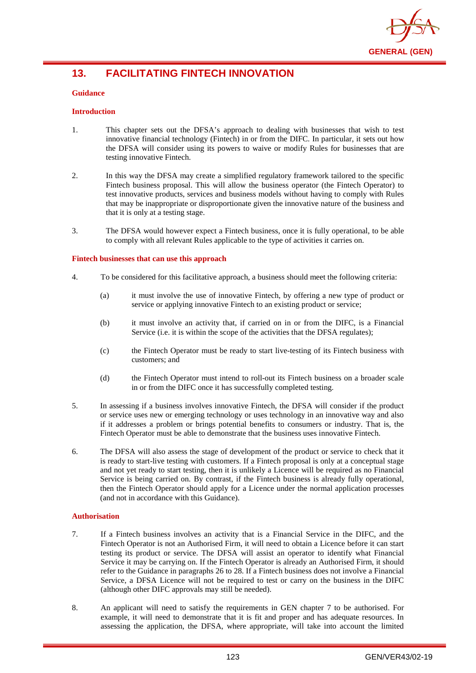

# **13. FACILITATING FINTECH INNOVATION**

### **Guidance**

### **Introduction**

- 1. This chapter sets out the DFSA's approach to dealing with businesses that wish to test innovative financial technology (Fintech) in or from the DIFC. In particular, it sets out how the DFSA will consider using its powers to waive or modify Rules for businesses that are testing innovative Fintech.
- 2. In this way the DFSA may create a simplified regulatory framework tailored to the specific Fintech business proposal. This will allow the business operator (the Fintech Operator) to test innovative products, services and business models without having to comply with Rules that may be inappropriate or disproportionate given the innovative nature of the business and that it is only at a testing stage.
- 3. The DFSA would however expect a Fintech business, once it is fully operational, to be able to comply with all relevant Rules applicable to the type of activities it carries on.

#### **Fintech businesses that can use this approach**

- 4. To be considered for this facilitative approach, a business should meet the following criteria:
	- (a) it must involve the use of innovative Fintech, by offering a new type of product or service or applying innovative Fintech to an existing product or service;
	- (b) it must involve an activity that, if carried on in or from the DIFC, is a Financial Service (i.e. it is within the scope of the activities that the DFSA regulates);
	- (c) the Fintech Operator must be ready to start live-testing of its Fintech business with customers; and
	- (d) the Fintech Operator must intend to roll-out its Fintech business on a broader scale in or from the DIFC once it has successfully completed testing.
- 5. In assessing if a business involves innovative Fintech, the DFSA will consider if the product or service uses new or emerging technology or uses technology in an innovative way and also if it addresses a problem or brings potential benefits to consumers or industry. That is, the Fintech Operator must be able to demonstrate that the business uses innovative Fintech.
- 6. The DFSA will also assess the stage of development of the product or service to check that it is ready to start-live testing with customers. If a Fintech proposal is only at a conceptual stage and not yet ready to start testing, then it is unlikely a Licence will be required as no Financial Service is being carried on. By contrast, if the Fintech business is already fully operational, then the Fintech Operator should apply for a Licence under the normal application processes (and not in accordance with this Guidance).

### **Authorisation**

- 7. If a Fintech business involves an activity that is a Financial Service in the DIFC, and the Fintech Operator is not an Authorised Firm, it will need to obtain a Licence before it can start testing its product or service. The DFSA will assist an operator to identify what Financial Service it may be carrying on. If the Fintech Operator is already an Authorised Firm, it should refer to the Guidance in paragraphs 26 to 28. If a Fintech business does not involve a Financial Service, a DFSA Licence will not be required to test or carry on the business in the DIFC (although other DIFC approvals may still be needed).
- 8. An applicant will need to satisfy the requirements in GEN chapter 7 to be authorised. For example, it will need to demonstrate that it is fit and proper and has adequate resources. In assessing the application, the DFSA, where appropriate, will take into account the limited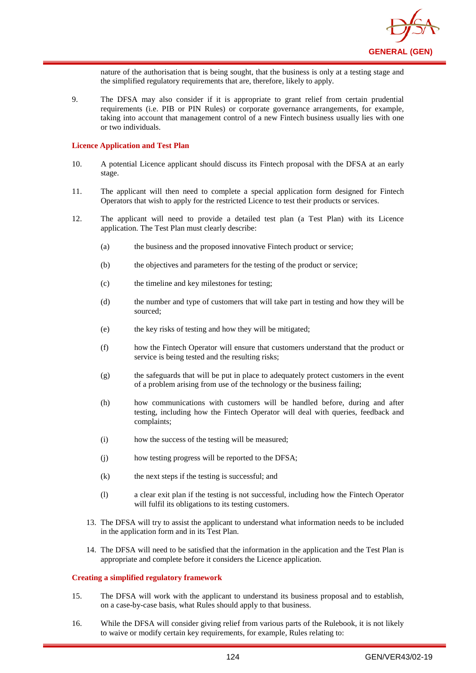

nature of the authorisation that is being sought, that the business is only at a testing stage and the simplified regulatory requirements that are, therefore, likely to apply.

9. The DFSA may also consider if it is appropriate to grant relief from certain prudential requirements (i.e. PIB or PIN Rules) or corporate governance arrangements, for example, taking into account that management control of a new Fintech business usually lies with one or two individuals.

#### **Licence Application and Test Plan**

- 10. A potential Licence applicant should discuss its Fintech proposal with the DFSA at an early stage.
- 11. The applicant will then need to complete a special application form designed for Fintech Operators that wish to apply for the restricted Licence to test their products or services.
- 12. The applicant will need to provide a detailed test plan (a Test Plan) with its Licence application. The Test Plan must clearly describe:
	- (a) the business and the proposed innovative Fintech product or service;
	- (b) the objectives and parameters for the testing of the product or service;
	- (c) the timeline and key milestones for testing;
	- (d) the number and type of customers that will take part in testing and how they will be sourced;
	- (e) the key risks of testing and how they will be mitigated;
	- (f) how the Fintech Operator will ensure that customers understand that the product or service is being tested and the resulting risks;
	- (g) the safeguards that will be put in place to adequately protect customers in the event of a problem arising from use of the technology or the business failing;
	- (h) how communications with customers will be handled before, during and after testing, including how the Fintech Operator will deal with queries, feedback and complaints;
	- (i) how the success of the testing will be measured;
	- (j) how testing progress will be reported to the DFSA;
	- (k) the next steps if the testing is successful; and
	- (l) a clear exit plan if the testing is not successful, including how the Fintech Operator will fulfil its obligations to its testing customers.
	- 13. The DFSA will try to assist the applicant to understand what information needs to be included in the application form and in its Test Plan.
	- 14. The DFSA will need to be satisfied that the information in the application and the Test Plan is appropriate and complete before it considers the Licence application.

#### **Creating a simplified regulatory framework**

- 15. The DFSA will work with the applicant to understand its business proposal and to establish, on a case-by-case basis, what Rules should apply to that business.
- 16. While the DFSA will consider giving relief from various parts of the Rulebook, it is not likely to waive or modify certain key requirements, for example, Rules relating to: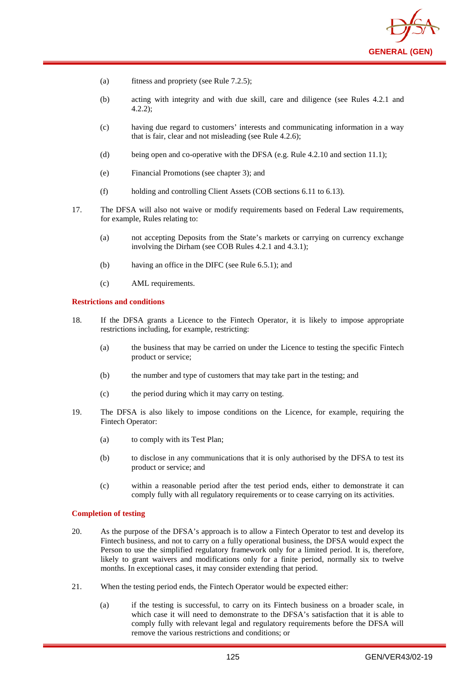

- (a) fitness and propriety (see Rule 7.2.5);
- (b) acting with integrity and with due skill, care and diligence (see Rules 4.2.1 and 4.2.2);
- (c) having due regard to customers' interests and communicating information in a way that is fair, clear and not misleading (see Rule 4.2.6);
- (d) being open and co-operative with the DFSA (e.g. Rule 4.2.10 and section 11.1);
- (e) Financial Promotions (see chapter 3); and
- (f) holding and controlling Client Assets (COB sections 6.11 to 6.13).
- 17. The DFSA will also not waive or modify requirements based on Federal Law requirements, for example, Rules relating to:
	- (a) not accepting Deposits from the State's markets or carrying on currency exchange involving the Dirham (see COB Rules 4.2.1 and 4.3.1);
	- (b) having an office in the DIFC (see Rule 6.5.1); and
	- (c) AML requirements.

#### **Restrictions and conditions**

- 18. If the DFSA grants a Licence to the Fintech Operator, it is likely to impose appropriate restrictions including, for example, restricting:
	- (a) the business that may be carried on under the Licence to testing the specific Fintech product or service;
	- (b) the number and type of customers that may take part in the testing; and
	- (c) the period during which it may carry on testing.
- 19. The DFSA is also likely to impose conditions on the Licence, for example, requiring the Fintech Operator:
	- (a) to comply with its Test Plan;
	- (b) to disclose in any communications that it is only authorised by the DFSA to test its product or service; and
	- (c) within a reasonable period after the test period ends, either to demonstrate it can comply fully with all regulatory requirements or to cease carrying on its activities.

#### **Completion of testing**

- 20. As the purpose of the DFSA's approach is to allow a Fintech Operator to test and develop its Fintech business, and not to carry on a fully operational business, the DFSA would expect the Person to use the simplified regulatory framework only for a limited period. It is, therefore, likely to grant waivers and modifications only for a finite period, normally six to twelve months. In exceptional cases, it may consider extending that period.
- 21. When the testing period ends, the Fintech Operator would be expected either:
	- (a) if the testing is successful, to carry on its Fintech business on a broader scale, in which case it will need to demonstrate to the DFSA's satisfaction that it is able to comply fully with relevant legal and regulatory requirements before the DFSA will remove the various restrictions and conditions; or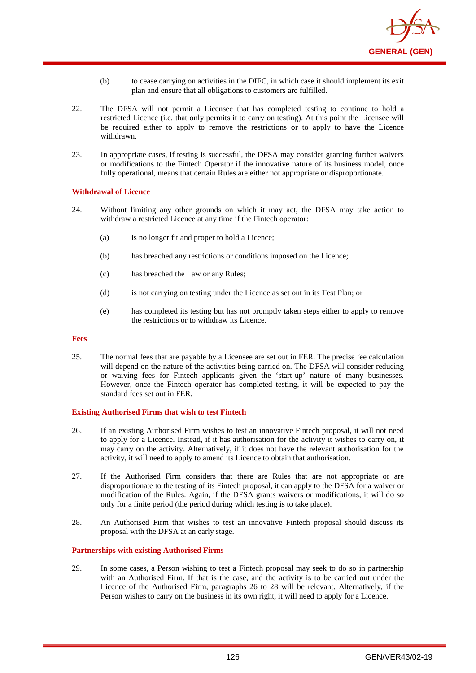

- (b) to cease carrying on activities in the DIFC, in which case it should implement its exit plan and ensure that all obligations to customers are fulfilled.
- 22. The DFSA will not permit a Licensee that has completed testing to continue to hold a restricted Licence (i.e. that only permits it to carry on testing). At this point the Licensee will be required either to apply to remove the restrictions or to apply to have the Licence withdrawn.
- 23. In appropriate cases, if testing is successful, the DFSA may consider granting further waivers or modifications to the Fintech Operator if the innovative nature of its business model, once fully operational, means that certain Rules are either not appropriate or disproportionate.

### **Withdrawal of Licence**

- 24. Without limiting any other grounds on which it may act, the DFSA may take action to withdraw a restricted Licence at any time if the Fintech operator:
	- (a) is no longer fit and proper to hold a Licence;
	- (b) has breached any restrictions or conditions imposed on the Licence;
	- (c) has breached the Law or any Rules;
	- (d) is not carrying on testing under the Licence as set out in its Test Plan; or
	- (e) has completed its testing but has not promptly taken steps either to apply to remove the restrictions or to withdraw its Licence.

#### **Fees**

25. The normal fees that are payable by a Licensee are set out in FER. The precise fee calculation will depend on the nature of the activities being carried on. The DFSA will consider reducing or waiving fees for Fintech applicants given the 'start-up' nature of many businesses. However, once the Fintech operator has completed testing, it will be expected to pay the standard fees set out in FER.

#### **Existing Authorised Firms that wish to test Fintech**

- 26. If an existing Authorised Firm wishes to test an innovative Fintech proposal, it will not need to apply for a Licence. Instead, if it has authorisation for the activity it wishes to carry on, it may carry on the activity. Alternatively, if it does not have the relevant authorisation for the activity, it will need to apply to amend its Licence to obtain that authorisation.
- 27. If the Authorised Firm considers that there are Rules that are not appropriate or are disproportionate to the testing of its Fintech proposal, it can apply to the DFSA for a waiver or modification of the Rules. Again, if the DFSA grants waivers or modifications, it will do so only for a finite period (the period during which testing is to take place).
- 28. An Authorised Firm that wishes to test an innovative Fintech proposal should discuss its proposal with the DFSA at an early stage.

### **Partnerships with existing Authorised Firms**

29. In some cases, a Person wishing to test a Fintech proposal may seek to do so in partnership with an Authorised Firm. If that is the case, and the activity is to be carried out under the Licence of the Authorised Firm, paragraphs 26 to 28 will be relevant. Alternatively, if the Person wishes to carry on the business in its own right, it will need to apply for a Licence.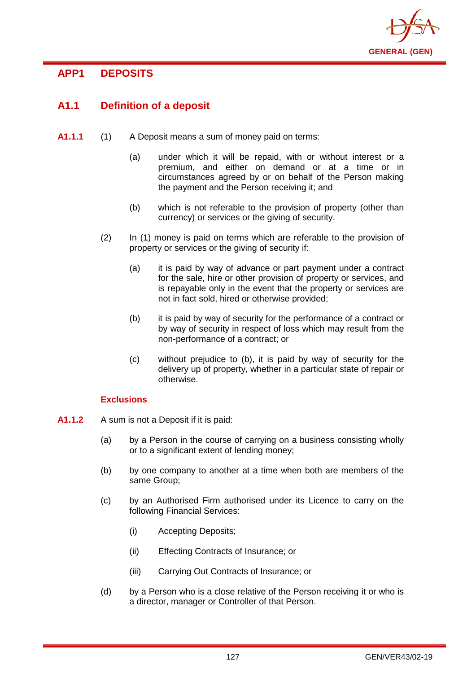

# **APP1 DEPOSITS**

# **A1.1 Definition of a deposit**

- **A1.1.1** (1) A Deposit means a sum of money paid on terms:
	- (a) under which it will be repaid, with or without interest or a premium, and either on demand or at a time or in circumstances agreed by or on behalf of the Person making the payment and the Person receiving it; and
	- (b) which is not referable to the provision of property (other than currency) or services or the giving of security.
	- (2) In (1) money is paid on terms which are referable to the provision of property or services or the giving of security if:
		- (a) it is paid by way of advance or part payment under a contract for the sale, hire or other provision of property or services, and is repayable only in the event that the property or services are not in fact sold, hired or otherwise provided;
		- (b) it is paid by way of security for the performance of a contract or by way of security in respect of loss which may result from the non-performance of a contract; or
		- (c) without prejudice to (b), it is paid by way of security for the delivery up of property, whether in a particular state of repair or otherwise.

# **Exclusions**

- **A1.1.2** A sum is not a Deposit if it is paid:
	- (a) by a Person in the course of carrying on a business consisting wholly or to a significant extent of lending money;
	- (b) by one company to another at a time when both are members of the same Group;
	- (c) by an Authorised Firm authorised under its Licence to carry on the following Financial Services:
		- (i) Accepting Deposits;
		- (ii) Effecting Contracts of Insurance; or
		- (iii) Carrying Out Contracts of Insurance; or
	- (d) by a Person who is a close relative of the Person receiving it or who is a director, manager or Controller of that Person.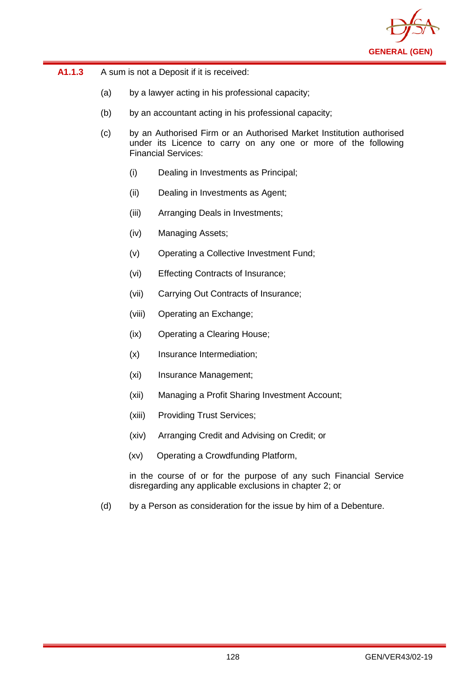

| A1.1.3 | A sum is not a Deposit if it is received: |
|--------|-------------------------------------------|
|--------|-------------------------------------------|

- (a) by a lawyer acting in his professional capacity;
- (b) by an accountant acting in his professional capacity;
- (c) by an Authorised Firm or an Authorised Market Institution authorised under its Licence to carry on any one or more of the following Financial Services:
	- (i) Dealing in Investments as Principal;
	- (ii) Dealing in Investments as Agent;
	- (iii) Arranging Deals in Investments;
	- (iv) Managing Assets;
	- (v) Operating a Collective Investment Fund;
	- (vi) Effecting Contracts of Insurance;
	- (vii) Carrying Out Contracts of Insurance;
	- (viii) Operating an Exchange;
	- (ix) Operating a Clearing House;
	- (x) Insurance Intermediation;
	- (xi) Insurance Management;
	- (xii) Managing a Profit Sharing Investment Account;
	- (xiii) Providing Trust Services;
	- (xiv) Arranging Credit and Advising on Credit; or
	- (xv) Operating a Crowdfunding Platform,

in the course of or for the purpose of any such Financial Service disregarding any applicable exclusions in chapter 2; or

(d) by a Person as consideration for the issue by him of a Debenture.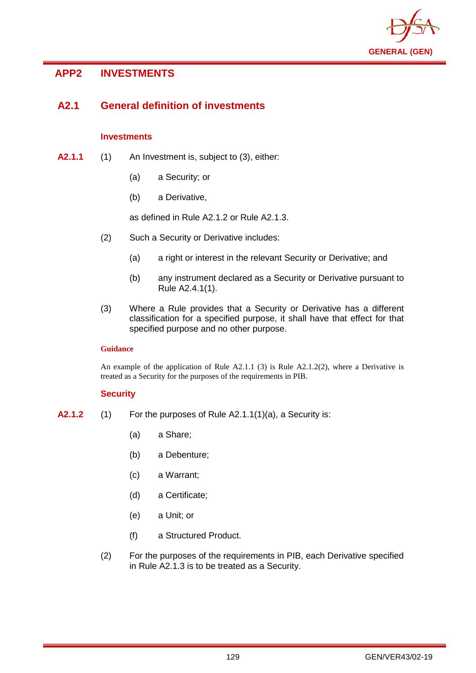

# **APP2 INVESTMENTS**

# **A2.1 General definition of investments**

# **Investments**

- **A2.1.1** (1) An Investment is, subject to (3), either:
	- (a) a Security; or
	- (b) a Derivative,

as defined in Rule A2.1.2 or Rule A2.1.3.

- (2) Such a Security or Derivative includes:
	- (a) a right or interest in the relevant Security or Derivative; and
	- (b) any instrument declared as a Security or Derivative pursuant to Rule A2.4.1(1).
- (3) Where a Rule provides that a Security or Derivative has a different classification for a specified purpose, it shall have that effect for that specified purpose and no other purpose.

# **Guidance**

An example of the application of Rule  $A2.1.1$  (3) is Rule  $A2.1.2(2)$ , where a Derivative is treated as a Security for the purposes of the requirements in PIB.

# **Security**

- **A2.1.2** (1) For the purposes of Rule A2.1.1(1)(a), a Security is:
	- (a) a Share;
	- (b) a Debenture;
	- (c) a Warrant;
	- (d) a Certificate;
	- (e) a Unit; or
	- (f) a Structured Product.
	- (2) For the purposes of the requirements in PIB, each Derivative specified in Rule A2.1.3 is to be treated as a Security.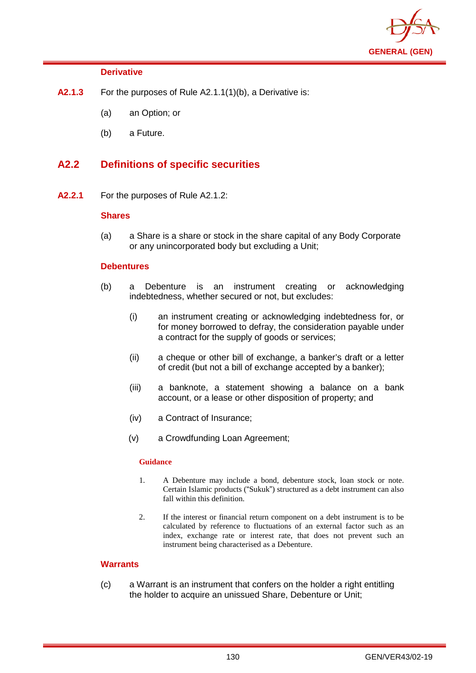

# **Derivative**

- **A2.1.3** For the purposes of Rule A2.1.1(1)(b), a Derivative is:
	- (a) an Option; or
	- (b) a Future.

# **A2.2 Definitions of specific securities**

**A2.2.1** For the purposes of Rule A2.1.2:

# **Shares**

(a) a Share is a share or stock in the share capital of any Body Corporate or any unincorporated body but excluding a Unit;

## **Debentures**

- (b) a Debenture is an instrument creating or acknowledging indebtedness, whether secured or not, but excludes:
	- (i) an instrument creating or acknowledging indebtedness for, or for money borrowed to defray, the consideration payable under a contract for the supply of goods or services;
	- (ii) a cheque or other bill of exchange, a banker's draft or a letter of credit (but not a bill of exchange accepted by a banker);
	- (iii) a banknote, a statement showing a balance on a bank account, or a lease or other disposition of property; and
	- (iv) a Contract of Insurance;
	- (v) a Crowdfunding Loan Agreement;

## **Guidance**

- 1. A Debenture may include a bond, debenture stock, loan stock or note. Certain Islamic products ("Sukuk") structured as a debt instrument can also fall within this definition.
- 2. If the interest or financial return component on a debt instrument is to be calculated by reference to fluctuations of an external factor such as an index, exchange rate or interest rate, that does not prevent such an instrument being characterised as a Debenture.

# **Warrants**

(c) a Warrant is an instrument that confers on the holder a right entitling the holder to acquire an unissued Share, Debenture or Unit;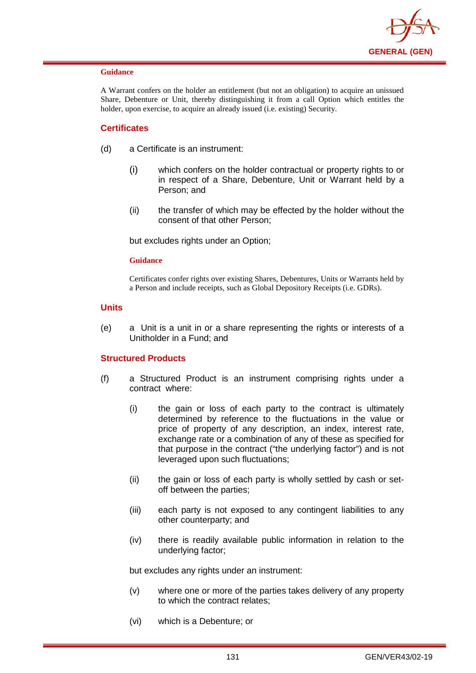

A Warrant confers on the holder an entitlement (but not an obligation) to acquire an unissued Share, Debenture or Unit, thereby distinguishing it from a call Option which entitles the holder, upon exercise, to acquire an already issued (i.e. existing) Security.

# **Certificates**

- (d) a Certificate is an instrument:
	- (i) which confers on the holder contractual or property rights to or in respect of a Share, Debenture, Unit or Warrant held by a Person; and
	- (ii) the transfer of which may be effected by the holder without the consent of that other Person;

but excludes rights under an Option;

### **Guidance**

Certificates confer rights over existing Shares, Debentures, Units or Warrants held by a Person and include receipts, such as Global Depository Receipts (i.e. GDRs).

### **Units**

(e) a Unit is a unit in or a share representing the rights or interests of a Unitholder in a Fund; and

## **Structured Products**

- (f) a Structured Product is an instrument comprising rights under a contract where:
	- (i) the gain or loss of each party to the contract is ultimately determined by reference to the fluctuations in the value or price of property of any description, an index, interest rate, exchange rate or a combination of any of these as specified for that purpose in the contract ("the underlying factor") and is not leveraged upon such fluctuations;
	- (ii) the gain or loss of each party is wholly settled by cash or setoff between the parties;
	- (iii) each party is not exposed to any contingent liabilities to any other counterparty; and
	- (iv) there is readily available public information in relation to the underlying factor;

but excludes any rights under an instrument:

- (v) where one or more of the parties takes delivery of any property to which the contract relates;
- (vi) which is a Debenture; or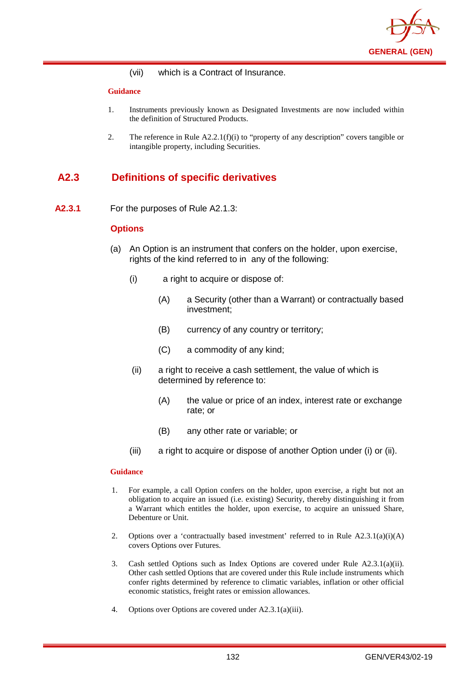

(vii) which is a Contract of Insurance.

### **Guidance**

- 1. Instruments previously known as Designated Investments are now included within the definition of Structured Products.
- 2. The reference in Rule  $A2.2.1(f)(i)$  to "property of any description" covers tangible or intangible property, including Securities.

# **A2.3 Definitions of specific derivatives**

**A2.3.1** For the purposes of Rule A2.1.3:

## **Options**

- (a) An Option is an instrument that confers on the holder, upon exercise, rights of the kind referred to in any of the following:
	- (i) a right to acquire or dispose of:
		- (A) a Security (other than a Warrant) or contractually based investment;
		- (B) currency of any country or territory;
		- (C) a commodity of any kind;
	- (ii) a right to receive a cash settlement, the value of which is determined by reference to:
		- (A) the value or price of an index, interest rate or exchange rate; or
		- (B) any other rate or variable; or
	- (iii) a right to acquire or dispose of another Option under (i) or (ii).

- 1. For example, a call Option confers on the holder, upon exercise, a right but not an obligation to acquire an issued (i.e. existing) Security, thereby distinguishing it from a Warrant which entitles the holder, upon exercise, to acquire an unissued Share, Debenture or Unit.
- 2. Options over a 'contractually based investment' referred to in Rule  $A2.3.1(a)(i)(A)$ covers Options over Futures.
- 3. Cash settled Options such as Index Options are covered under Rule A2.3.1(a)(ii). Other cash settled Options that are covered under this Rule include instruments which confer rights determined by reference to climatic variables, inflation or other official economic statistics, freight rates or emission allowances.
- 4. Options over Options are covered under A2.3.1(a)(iii).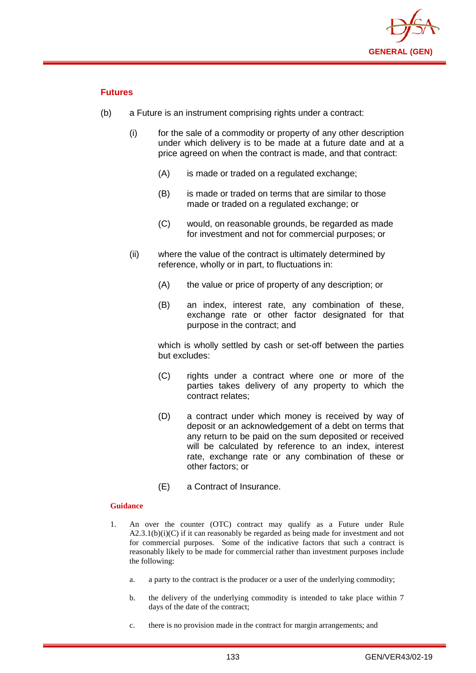

# **Futures**

- (b) a Future is an instrument comprising rights under a contract:
	- (i) for the sale of a commodity or property of any other description under which delivery is to be made at a future date and at a price agreed on when the contract is made, and that contract:
		- (A) is made or traded on a regulated exchange:
		- (B) is made or traded on terms that are similar to those made or traded on a regulated exchange; or
		- (C) would, on reasonable grounds, be regarded as made for investment and not for commercial purposes; or
	- (ii) where the value of the contract is ultimately determined by reference, wholly or in part, to fluctuations in:
		- (A) the value or price of property of any description; or
		- (B) an index, interest rate, any combination of these, exchange rate or other factor designated for that purpose in the contract; and

which is wholly settled by cash or set-off between the parties but excludes:

- (C) rights under a contract where one or more of the parties takes delivery of any property to which the contract relates;
- (D) a contract under which money is received by way of deposit or an acknowledgement of a debt on terms that any return to be paid on the sum deposited or received will be calculated by reference to an index, interest rate, exchange rate or any combination of these or other factors; or
- (E) a Contract of Insurance.

- 1. An over the counter (OTC) contract may qualify as a Future under Rule  $A2.3.1(b)(i)(C)$  if it can reasonably be regarded as being made for investment and not for commercial purposes. Some of the indicative factors that such a contract is reasonably likely to be made for commercial rather than investment purposes include the following:
	- a. a party to the contract is the producer or a user of the underlying commodity;
	- b. the delivery of the underlying commodity is intended to take place within 7 days of the date of the contract;
	- c. there is no provision made in the contract for margin arrangements; and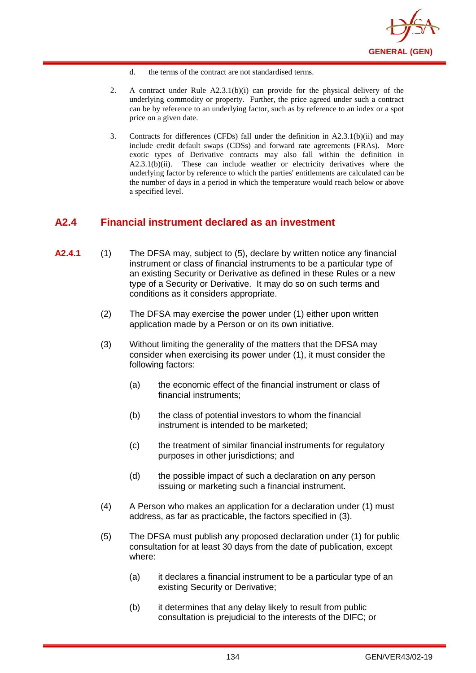

- d. the terms of the contract are not standardised terms.
- 2. A contract under Rule A2.3.1(b)(i) can provide for the physical delivery of the underlying commodity or property. Further, the price agreed under such a contract can be by reference to an underlying factor, such as by reference to an index or a spot price on a given date.
- 3. Contracts for differences (CFDs) fall under the definition in A2.3.1(b)(ii) and may include credit default swaps (CDSs) and forward rate agreements (FRAs). More exotic types of Derivative contracts may also fall within the definition in A2.3.1(b)(ii). These can include weather or electricity derivatives where the underlying factor by reference to which the parties' entitlements are calculated can be the number of days in a period in which the temperature would reach below or above a specified level.

# **A2.4 Financial instrument declared as an investment**

- **A2.4.1** (1) The DFSA may, subject to (5), declare by written notice any financial instrument or class of financial instruments to be a particular type of an existing Security or Derivative as defined in these Rules or a new type of a Security or Derivative. It may do so on such terms and conditions as it considers appropriate.
	- (2) The DFSA may exercise the power under (1) either upon written application made by a Person or on its own initiative.
	- (3) Without limiting the generality of the matters that the DFSA may consider when exercising its power under (1), it must consider the following factors:
		- (a) the economic effect of the financial instrument or class of financial instruments;
		- (b) the class of potential investors to whom the financial instrument is intended to be marketed;
		- (c) the treatment of similar financial instruments for regulatory purposes in other jurisdictions; and
		- (d) the possible impact of such a declaration on any person issuing or marketing such a financial instrument.
	- (4) A Person who makes an application for a declaration under (1) must address, as far as practicable, the factors specified in (3).
	- (5) The DFSA must publish any proposed declaration under (1) for public consultation for at least 30 days from the date of publication, except where:
		- (a) it declares a financial instrument to be a particular type of an existing Security or Derivative;
		- (b) it determines that any delay likely to result from public consultation is prejudicial to the interests of the DIFC; or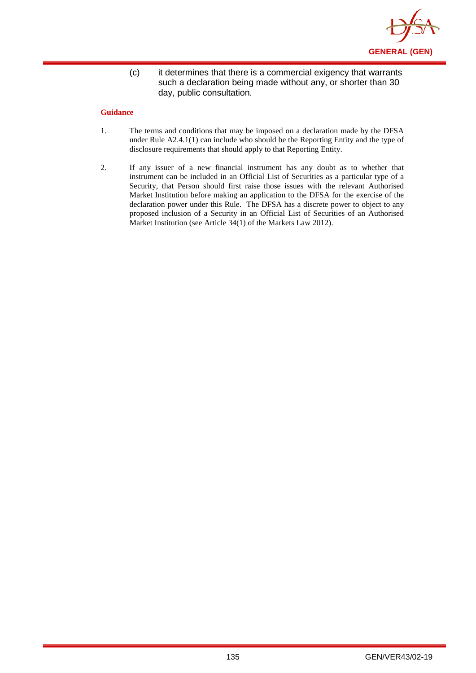

(c) it determines that there is a commercial exigency that warrants such a declaration being made without any, or shorter than 30 day, public consultation.

- 1. The terms and conditions that may be imposed on a declaration made by the DFSA under Rule A2.4.1(1) can include who should be the Reporting Entity and the type of disclosure requirements that should apply to that Reporting Entity.
- 2. If any issuer of a new financial instrument has any doubt as to whether that instrument can be included in an Official List of Securities as a particular type of a Security, that Person should first raise those issues with the relevant Authorised Market Institution before making an application to the DFSA for the exercise of the declaration power under this Rule. The DFSA has a discrete power to object to any proposed inclusion of a Security in an Official List of Securities of an Authorised Market Institution (see Article 34(1) of the Markets Law 2012).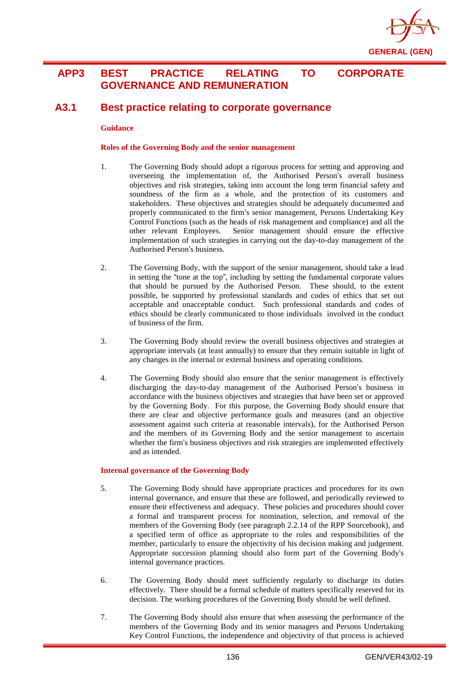

# **APP3 BEST PRACTICE RELATING TO CORPORATE GOVERNANCE AND REMUNERATION**

# **A3.1 Best practice relating to corporate governance**

### **Guidance**

### **Roles of the Governing Body and the senior management**

- 1. The Governing Body should adopt a rigorous process for setting and approving and overseeing the implementation of, the Authorised Person's overall business objectives and risk strategies, taking into account the long term financial safety and soundness of the firm as a whole, and the protection of its customers and stakeholders. These objectives and strategies should be adequately documented and properly communicated to the firm's senior management, Persons Undertaking Key Control Functions (such as the heads of risk management and compliance) and all the other relevant Employees. Senior management should ensure the effective implementation of such strategies in carrying out the day-to-day management of the Authorised Person's business.
- 2. The Governing Body, with the support of the senior management, should take a lead in setting the "tone at the top", including by setting the fundamental corporate values that should be pursued by the Authorised Person. These should, to the extent possible, be supported by professional standards and codes of ethics that set out acceptable and unacceptable conduct. Such professional standards and codes of ethics should be clearly communicated to those individuals involved in the conduct of business of the firm.
- 3. The Governing Body should review the overall business objectives and strategies at appropriate intervals (at least annually) to ensure that they remain suitable in light of any changes in the internal or external business and operating conditions.
- 4. The Governing Body should also ensure that the senior management is effectively discharging the day-to-day management of the Authorised Person's business in accordance with the business objectives and strategies that have been set or approved by the Governing Body. For this purpose, the Governing Body should ensure that there are clear and objective performance goals and measures (and an objective assessment against such criteria at reasonable intervals), for the Authorised Person and the members of its Governing Body and the senior management to ascertain whether the firm's business objectives and risk strategies are implemented effectively and as intended.

### **Internal governance of the Governing Body**

- 5. The Governing Body should have appropriate practices and procedures for its own internal governance, and ensure that these are followed, and periodically reviewed to ensure their effectiveness and adequacy. These policies and procedures should cover a formal and transparent process for nomination, selection, and removal of the members of the Governing Body (see paragraph 2.2.14 of the RPP Sourcebook), and a specified term of office as appropriate to the roles and responsibilities of the member, particularly to ensure the objectivity of his decision making and judgement. Appropriate succession planning should also form part of the Governing Body's internal governance practices.
- 6. The Governing Body should meet sufficiently regularly to discharge its duties effectively. There should be a formal schedule of matters specifically reserved for its decision. The working procedures of the Governing Body should be well defined.
- 7. The Governing Body should also ensure that when assessing the performance of the members of the Governing Body and its senior managers and Persons Undertaking Key Control Functions, the independence and objectivity of that process is achieved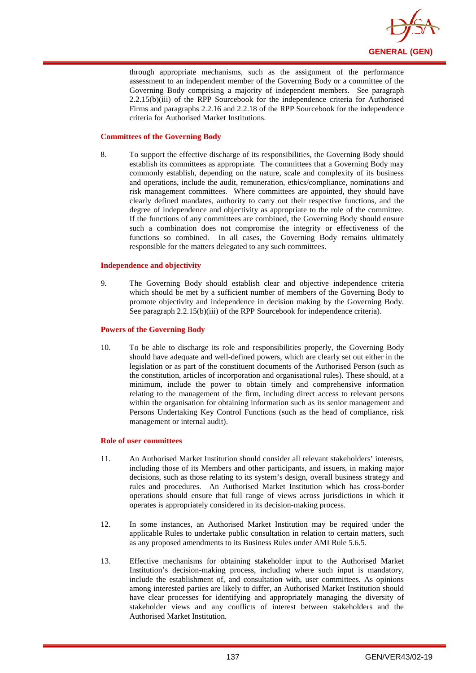

through appropriate mechanisms, such as the assignment of the performance assessment to an independent member of the Governing Body or a committee of the Governing Body comprising a majority of independent members. See paragraph 2.2.15(b)(iii) of the RPP Sourcebook for the independence criteria for Authorised Firms and paragraphs 2.2.16 and 2.2.18 of the RPP Sourcebook for the independence criteria for Authorised Market Institutions.

### **Committees of the Governing Body**

8. To support the effective discharge of its responsibilities, the Governing Body should establish its committees as appropriate. The committees that a Governing Body may commonly establish, depending on the nature, scale and complexity of its business and operations, include the audit, remuneration, ethics/compliance, nominations and risk management committees. Where committees are appointed, they should have clearly defined mandates, authority to carry out their respective functions, and the degree of independence and objectivity as appropriate to the role of the committee. If the functions of any committees are combined, the Governing Body should ensure such a combination does not compromise the integrity or effectiveness of the functions so combined. In all cases, the Governing Body remains ultimately responsible for the matters delegated to any such committees.

### **Independence and objectivity**

9. The Governing Body should establish clear and objective independence criteria which should be met by a sufficient number of members of the Governing Body to promote objectivity and independence in decision making by the Governing Body. See paragraph 2.2.15(b)(iii) of the RPP Sourcebook for independence criteria).

#### **Powers of the Governing Body**

10. To be able to discharge its role and responsibilities properly, the Governing Body should have adequate and well-defined powers, which are clearly set out either in the legislation or as part of the constituent documents of the Authorised Person (such as the constitution, articles of incorporation and organisational rules). These should, at a minimum, include the power to obtain timely and comprehensive information relating to the management of the firm, including direct access to relevant persons within the organisation for obtaining information such as its senior management and Persons Undertaking Key Control Functions (such as the head of compliance, risk management or internal audit).

#### **Role of user committees**

- 11. An Authorised Market Institution should consider all relevant stakeholders' interests, including those of its Members and other participants, and issuers, in making major decisions, such as those relating to its system's design, overall business strategy and rules and procedures. An Authorised Market Institution which has cross-border operations should ensure that full range of views across jurisdictions in which it operates is appropriately considered in its decision-making process.
- 12. In some instances, an Authorised Market Institution may be required under the applicable Rules to undertake public consultation in relation to certain matters, such as any proposed amendments to its Business Rules under AMI Rule 5.6.5.
- 13. Effective mechanisms for obtaining stakeholder input to the Authorised Market Institution's decision-making process, including where such input is mandatory, include the establishment of, and consultation with, user committees. As opinions among interested parties are likely to differ, an Authorised Market Institution should have clear processes for identifying and appropriately managing the diversity of stakeholder views and any conflicts of interest between stakeholders and the Authorised Market Institution.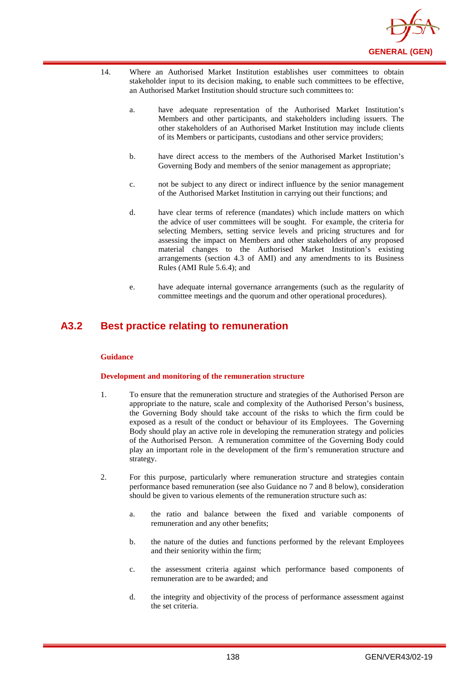

- 14. Where an Authorised Market Institution establishes user committees to obtain stakeholder input to its decision making, to enable such committees to be effective, an Authorised Market Institution should structure such committees to:
	- a. have adequate representation of the Authorised Market Institution's Members and other participants, and stakeholders including issuers. The other stakeholders of an Authorised Market Institution may include clients of its Members or participants, custodians and other service providers;
	- b. have direct access to the members of the Authorised Market Institution's Governing Body and members of the senior management as appropriate;
	- c. not be subject to any direct or indirect influence by the senior management of the Authorised Market Institution in carrying out their functions; and
	- d. have clear terms of reference (mandates) which include matters on which the advice of user committees will be sought. For example, the criteria for selecting Members, setting service levels and pricing structures and for assessing the impact on Members and other stakeholders of any proposed material changes to the Authorised Market Institution's existing arrangements (section 4.3 of AMI) and any amendments to its Business Rules (AMI Rule 5.6.4); and
	- e. have adequate internal governance arrangements (such as the regularity of committee meetings and the quorum and other operational procedures).

# **A3.2 Best practice relating to remuneration**

### **Guidance**

### **Development and monitoring of the remuneration structure**

- 1. To ensure that the remuneration structure and strategies of the Authorised Person are appropriate to the nature, scale and complexity of the Authorised Person's business, the Governing Body should take account of the risks to which the firm could be exposed as a result of the conduct or behaviour of its Employees. The Governing Body should play an active role in developing the remuneration strategy and policies of the Authorised Person. A remuneration committee of the Governing Body could play an important role in the development of the firm's remuneration structure and strategy.
- 2. For this purpose, particularly where remuneration structure and strategies contain performance based remuneration (see also Guidance no 7 and 8 below), consideration should be given to various elements of the remuneration structure such as:
	- a. the ratio and balance between the fixed and variable components of remuneration and any other benefits;
	- b. the nature of the duties and functions performed by the relevant Employees and their seniority within the firm;
	- c. the assessment criteria against which performance based components of remuneration are to be awarded; and
	- d. the integrity and objectivity of the process of performance assessment against the set criteria.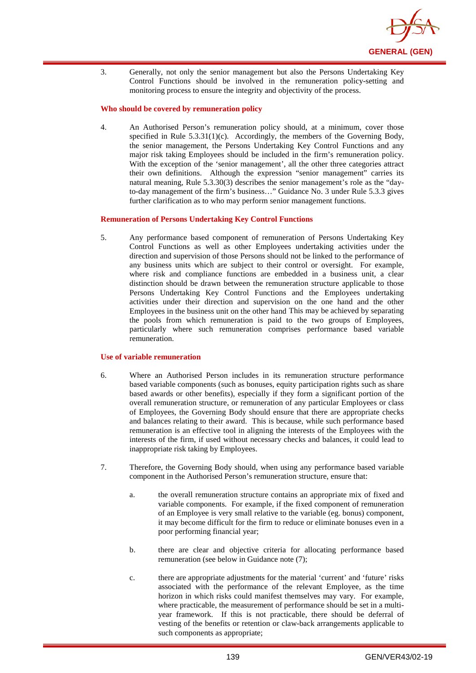

3. Generally, not only the senior management but also the Persons Undertaking Key Control Functions should be involved in the remuneration policy-setting and monitoring process to ensure the integrity and objectivity of the process.

### **Who should be covered by remuneration policy**

4. An Authorised Person's remuneration policy should, at a minimum, cover those specified in Rule  $5.3.31(1)(c)$ . Accordingly, the members of the Governing Body, the senior management, the Persons Undertaking Key Control Functions and any major risk taking Employees should be included in the firm's remuneration policy. With the exception of the 'senior management', all the other three categories attract their own definitions. Although the expression "senior management" carries its natural meaning, Rule 5.3.30(3) describes the senior management's role as the "dayto-day management of the firm's business…" Guidance No. 3 under Rule 5.3.3 gives further clarification as to who may perform senior management functions.

#### **Remuneration of Persons Undertaking Key Control Functions**

5. Any performance based component of remuneration of Persons Undertaking Key Control Functions as well as other Employees undertaking activities under the direction and supervision of those Persons should not be linked to the performance of any business units which are subject to their control or oversight. For example, where risk and compliance functions are embedded in a business unit, a clear distinction should be drawn between the remuneration structure applicable to those Persons Undertaking Key Control Functions and the Employees undertaking activities under their direction and supervision on the one hand and the other Employees in the business unit on the other hand This may be achieved by separating the pools from which remuneration is paid to the two groups of Employees, particularly where such remuneration comprises performance based variable remuneration.

#### **Use of variable remuneration**

- 6. Where an Authorised Person includes in its remuneration structure performance based variable components (such as bonuses, equity participation rights such as share based awards or other benefits), especially if they form a significant portion of the overall remuneration structure, or remuneration of any particular Employees or class of Employees, the Governing Body should ensure that there are appropriate checks and balances relating to their award. This is because, while such performance based remuneration is an effective tool in aligning the interests of the Employees with the interests of the firm, if used without necessary checks and balances, it could lead to inappropriate risk taking by Employees.
- 7. Therefore, the Governing Body should, when using any performance based variable component in the Authorised Person's remuneration structure, ensure that:
	- a. the overall remuneration structure contains an appropriate mix of fixed and variable components. For example, if the fixed component of remuneration of an Employee is very small relative to the variable (eg. bonus) component, it may become difficult for the firm to reduce or eliminate bonuses even in a poor performing financial year;
	- b. there are clear and objective criteria for allocating performance based remuneration (see below in Guidance note (7);
	- c. there are appropriate adjustments for the material 'current' and 'future' risks associated with the performance of the relevant Employee, as the time horizon in which risks could manifest themselves may vary. For example, where practicable, the measurement of performance should be set in a multiyear framework. If this is not practicable, there should be deferral of vesting of the benefits or retention or claw-back arrangements applicable to such components as appropriate;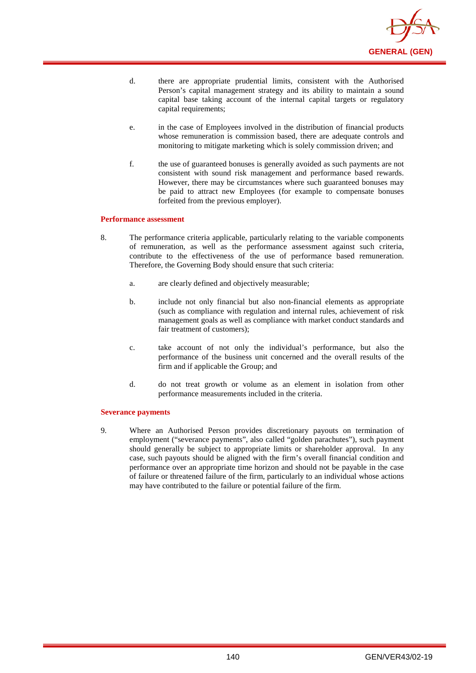

- d. there are appropriate prudential limits, consistent with the Authorised Person's capital management strategy and its ability to maintain a sound capital base taking account of the internal capital targets or regulatory capital requirements;
- e. in the case of Employees involved in the distribution of financial products whose remuneration is commission based, there are adequate controls and monitoring to mitigate marketing which is solely commission driven; and
- f. the use of guaranteed bonuses is generally avoided as such payments are not consistent with sound risk management and performance based rewards. However, there may be circumstances where such guaranteed bonuses may be paid to attract new Employees (for example to compensate bonuses forfeited from the previous employer).

#### **Performance assessment**

- 8. The performance criteria applicable, particularly relating to the variable components of remuneration, as well as the performance assessment against such criteria, contribute to the effectiveness of the use of performance based remuneration. Therefore, the Governing Body should ensure that such criteria:
	- a. are clearly defined and objectively measurable;
	- b. include not only financial but also non-financial elements as appropriate (such as compliance with regulation and internal rules, achievement of risk management goals as well as compliance with market conduct standards and fair treatment of customers):
	- c. take account of not only the individual's performance, but also the performance of the business unit concerned and the overall results of the firm and if applicable the Group; and
	- d. do not treat growth or volume as an element in isolation from other performance measurements included in the criteria.

### **Severance payments**

9. Where an Authorised Person provides discretionary payouts on termination of employment ("severance payments", also called "golden parachutes"), such payment should generally be subject to appropriate limits or shareholder approval. In any case, such payouts should be aligned with the firm's overall financial condition and performance over an appropriate time horizon and should not be payable in the case of failure or threatened failure of the firm, particularly to an individual whose actions may have contributed to the failure or potential failure of the firm.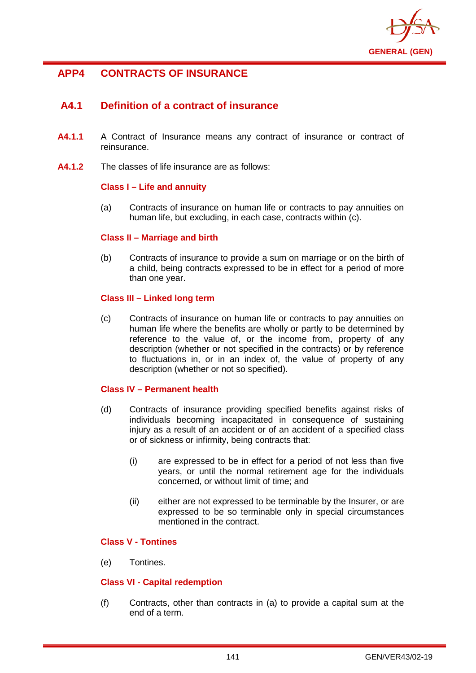

# **APP4 CONTRACTS OF INSURANCE**

# **A4.1 Definition of a contract of insurance**

- **A4.1.1** A Contract of Insurance means any contract of insurance or contract of reinsurance.
- **A4.1.2** The classes of life insurance are as follows:

## **Class I – Life and annuity**

(a) Contracts of insurance on human life or contracts to pay annuities on human life, but excluding, in each case, contracts within (c).

#### **Class II – Marriage and birth**

(b) Contracts of insurance to provide a sum on marriage or on the birth of a child, being contracts expressed to be in effect for a period of more than one year.

#### **Class III – Linked long term**

(c) Contracts of insurance on human life or contracts to pay annuities on human life where the benefits are wholly or partly to be determined by reference to the value of, or the income from, property of any description (whether or not specified in the contracts) or by reference to fluctuations in, or in an index of, the value of property of any description (whether or not so specified).

## **Class IV – Permanent health**

- (d) Contracts of insurance providing specified benefits against risks of individuals becoming incapacitated in consequence of sustaining injury as a result of an accident or of an accident of a specified class or of sickness or infirmity, being contracts that:
	- (i) are expressed to be in effect for a period of not less than five years, or until the normal retirement age for the individuals concerned, or without limit of time; and
	- (ii) either are not expressed to be terminable by the Insurer, or are expressed to be so terminable only in special circumstances mentioned in the contract.

# **Class V - Tontines**

(e) Tontines.

## **Class VI - Capital redemption**

(f) Contracts, other than contracts in (a) to provide a capital sum at the end of a term.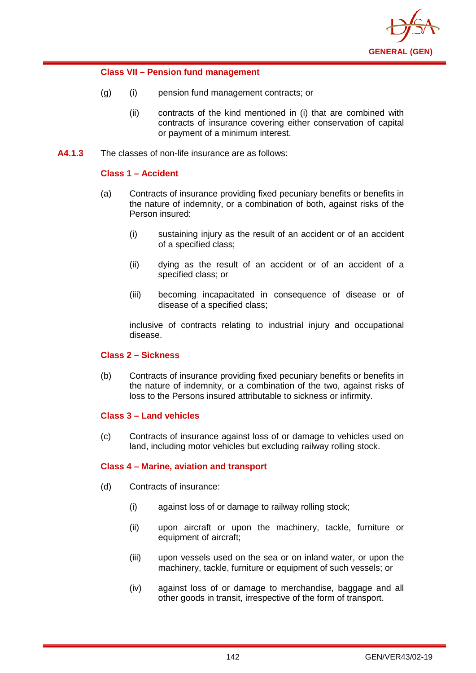

## **Class VII – Pension fund management**

- (g) (i) pension fund management contracts; or
	- (ii) contracts of the kind mentioned in (i) that are combined with contracts of insurance covering either conservation of capital or payment of a minimum interest.
- **A4.1.3** The classes of non-life insurance are as follows:

## **Class 1 – Accident**

- (a) Contracts of insurance providing fixed pecuniary benefits or benefits in the nature of indemnity, or a combination of both, against risks of the Person insured:
	- (i) sustaining injury as the result of an accident or of an accident of a specified class;
	- (ii) dying as the result of an accident or of an accident of a specified class; or
	- (iii) becoming incapacitated in consequence of disease or of disease of a specified class;

inclusive of contracts relating to industrial injury and occupational disease.

## **Class 2 – Sickness**

(b) Contracts of insurance providing fixed pecuniary benefits or benefits in the nature of indemnity, or a combination of the two, against risks of loss to the Persons insured attributable to sickness or infirmity.

## **Class 3 – Land vehicles**

(c) Contracts of insurance against loss of or damage to vehicles used on land, including motor vehicles but excluding railway rolling stock.

## **Class 4 – Marine, aviation and transport**

- (d) Contracts of insurance:
	- (i) against loss of or damage to railway rolling stock;
	- (ii) upon aircraft or upon the machinery, tackle, furniture or equipment of aircraft;
	- (iii) upon vessels used on the sea or on inland water, or upon the machinery, tackle, furniture or equipment of such vessels; or
	- (iv) against loss of or damage to merchandise, baggage and all other goods in transit, irrespective of the form of transport.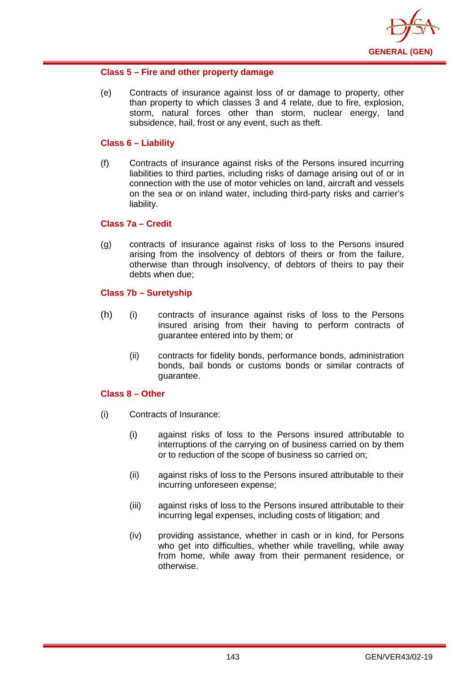

## **Class 5 – Fire and other property damage**

(e) Contracts of insurance against loss of or damage to property, other than property to which classes 3 and 4 relate, due to fire, explosion, storm, natural forces other than storm, nuclear energy, land subsidence, hail, frost or any event, such as theft.

#### **Class 6 – Liability**

(f) Contracts of insurance against risks of the Persons insured incurring liabilities to third parties, including risks of damage arising out of or in connection with the use of motor vehicles on land, aircraft and vessels on the sea or on inland water, including third-party risks and carrier's liability.

#### **Class 7a – Credit**

(g) contracts of insurance against risks of loss to the Persons insured arising from the insolvency of debtors of theirs or from the failure, otherwise than through insolvency, of debtors of theirs to pay their debts when due;

# **Class 7b – Suretyship**

- (h) (i) contracts of insurance against risks of loss to the Persons insured arising from their having to perform contracts of guarantee entered into by them; or
	- (ii) contracts for fidelity bonds, performance bonds, administration bonds, bail bonds or customs bonds or similar contracts of guarantee.

#### **Class 8 – Other**

- (i) Contracts of Insurance:
	- (i) against risks of loss to the Persons insured attributable to interruptions of the carrying on of business carried on by them or to reduction of the scope of business so carried on;
	- (ii) against risks of loss to the Persons insured attributable to their incurring unforeseen expense;
	- (iii) against risks of loss to the Persons insured attributable to their incurring legal expenses, including costs of litigation; and
	- (iv) providing assistance, whether in cash or in kind, for Persons who get into difficulties, whether while travelling, while away from home, while away from their permanent residence, or otherwise.